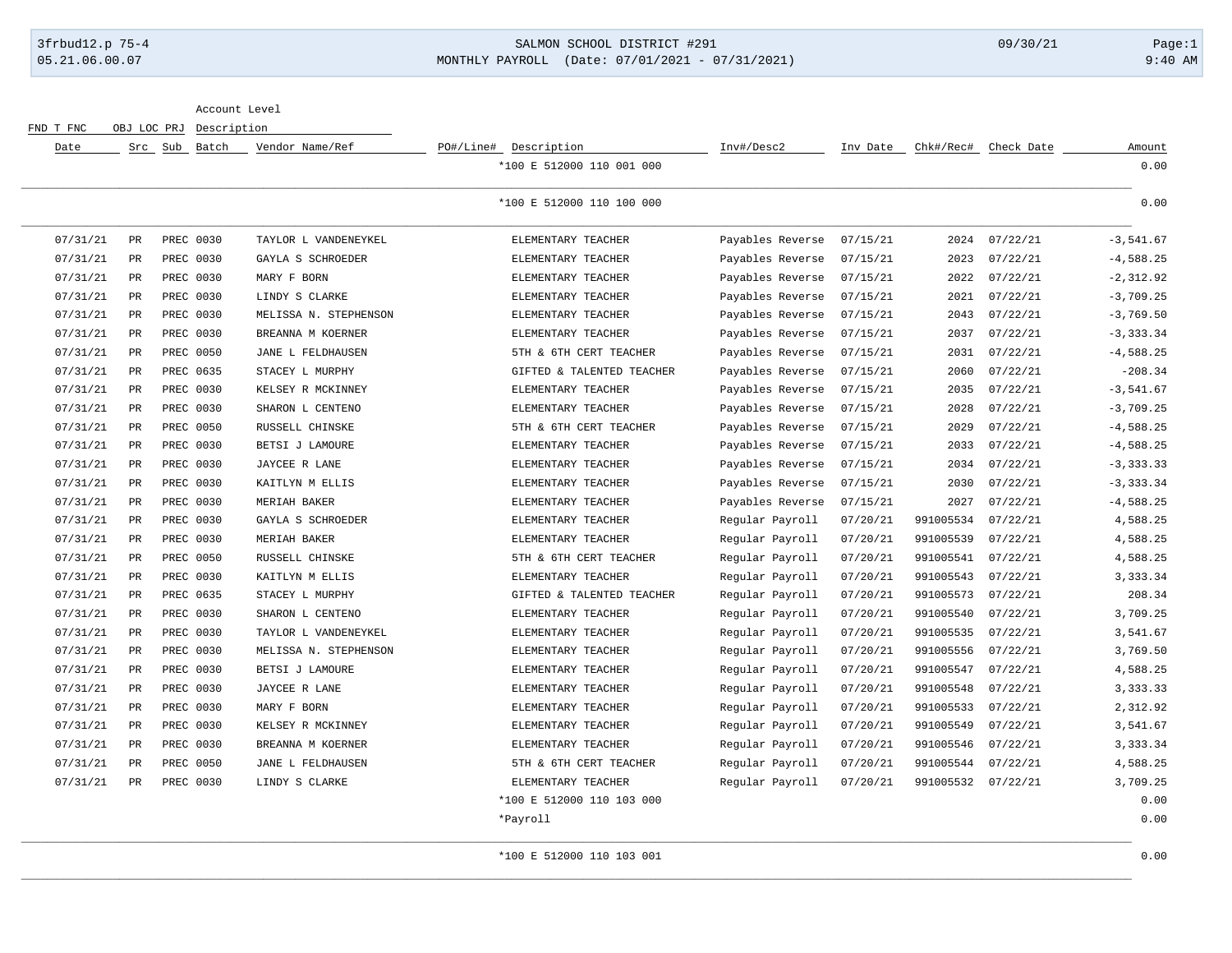## 3frbud12.p 75-4 SALMON SCHOOL DISTRICT #291 09/30/21 Page:1 05.21.06.00.07 MONTHLY PAYROLL (Date: 07/01/2021 - 07/31/2021) 9:40 AM

Account Level

FND T FNC OBJ LOC PRJ Description

| Date     |                      | Src Sub Batch | Vendor Name/Ref       | PO#/Line# Description     | Inv#/Desc2       | Inv Date | Chk#/Rec# | Check Date | Amount       |
|----------|----------------------|---------------|-----------------------|---------------------------|------------------|----------|-----------|------------|--------------|
|          |                      |               |                       | *100 E 512000 110 001 000 |                  |          |           |            | 0.00         |
|          |                      |               |                       | *100 E 512000 110 100 000 |                  |          |           |            | 0.00         |
| 07/31/21 | PR                   | PREC 0030     | TAYLOR L VANDENEYKEL  | ELEMENTARY TEACHER        | Payables Reverse | 07/15/21 | 2024      | 07/22/21   | $-3,541.67$  |
| 07/31/21 | PR                   | PREC 0030     | GAYLA S SCHROEDER     | ELEMENTARY TEACHER        | Payables Reverse | 07/15/21 | 2023      | 07/22/21   | $-4,588.25$  |
| 07/31/21 | PR                   | PREC 0030     | MARY F BORN           | ELEMENTARY TEACHER        | Payables Reverse | 07/15/21 | 2022      | 07/22/21   | $-2, 312.92$ |
| 07/31/21 | PR                   | PREC 0030     | LINDY S CLARKE        | ELEMENTARY TEACHER        | Payables Reverse | 07/15/21 | 2021      | 07/22/21   | $-3,709.25$  |
| 07/31/21 | PR                   | PREC 0030     | MELISSA N. STEPHENSON | ELEMENTARY TEACHER        | Payables Reverse | 07/15/21 | 2043      | 07/22/21   | $-3,769.50$  |
| 07/31/21 | PR                   | PREC 0030     | BREANNA M KOERNER     | ELEMENTARY TEACHER        | Payables Reverse | 07/15/21 | 2037      | 07/22/21   | $-3, 333.34$ |
| 07/31/21 | $\mbox{\textsf{PR}}$ | PREC 0050     | JANE L FELDHAUSEN     | 5TH & 6TH CERT TEACHER    | Payables Reverse | 07/15/21 | 2031      | 07/22/21   | $-4,588.25$  |
| 07/31/21 | PR                   | PREC 0635     | STACEY L MURPHY       | GIFTED & TALENTED TEACHER | Payables Reverse | 07/15/21 | 2060      | 07/22/21   | $-208.34$    |
| 07/31/21 | PR                   | PREC 0030     | KELSEY R MCKINNEY     | ELEMENTARY TEACHER        | Payables Reverse | 07/15/21 | 2035      | 07/22/21   | $-3,541.67$  |
| 07/31/21 | PR                   | PREC 0030     | SHARON L CENTENO      | ELEMENTARY TEACHER        | Payables Reverse | 07/15/21 | 2028      | 07/22/21   | $-3,709.25$  |
| 07/31/21 | PR                   | PREC 0050     | RUSSELL CHINSKE       | 5TH & 6TH CERT TEACHER    | Payables Reverse | 07/15/21 | 2029      | 07/22/21   | $-4,588.25$  |
| 07/31/21 | PR                   | PREC 0030     | BETSI J LAMOURE       | ELEMENTARY TEACHER        | Payables Reverse | 07/15/21 | 2033      | 07/22/21   | $-4,588.25$  |
| 07/31/21 | PR                   | PREC 0030     | JAYCEE R LANE         | ELEMENTARY TEACHER        | Payables Reverse | 07/15/21 | 2034      | 07/22/21   | $-3, 333.33$ |
| 07/31/21 | PR                   | PREC 0030     | KAITLYN M ELLIS       | ELEMENTARY TEACHER        | Payables Reverse | 07/15/21 | 2030      | 07/22/21   | $-3, 333.34$ |
| 07/31/21 | PR                   | PREC 0030     | MERIAH BAKER          | ELEMENTARY TEACHER        | Payables Reverse | 07/15/21 | 2027      | 07/22/21   | $-4,588.25$  |
| 07/31/21 | PR                   | PREC 0030     | GAYLA S SCHROEDER     | ELEMENTARY TEACHER        | Regular Payroll  | 07/20/21 | 991005534 | 07/22/21   | 4,588.25     |
| 07/31/21 | PR                   | PREC 0030     | MERIAH BAKER          | ELEMENTARY TEACHER        | Regular Payroll  | 07/20/21 | 991005539 | 07/22/21   | 4,588.25     |
| 07/31/21 | PR                   | PREC 0050     | RUSSELL CHINSKE       | 5TH & 6TH CERT TEACHER    | Regular Payroll  | 07/20/21 | 991005541 | 07/22/21   | 4,588.25     |
| 07/31/21 | $\mbox{\textsf{PR}}$ | PREC 0030     | KAITLYN M ELLIS       | ELEMENTARY TEACHER        | Regular Payroll  | 07/20/21 | 991005543 | 07/22/21   | 3,333.34     |
| 07/31/21 | PR                   | PREC 0635     | STACEY L MURPHY       | GIFTED & TALENTED TEACHER | Regular Payroll  | 07/20/21 | 991005573 | 07/22/21   | 208.34       |
| 07/31/21 | PR                   | PREC 0030     | SHARON L CENTENO      | ELEMENTARY TEACHER        | Regular Payroll  | 07/20/21 | 991005540 | 07/22/21   | 3,709.25     |
| 07/31/21 | PR                   | PREC 0030     | TAYLOR L VANDENEYKEL  | ELEMENTARY TEACHER        | Regular Payroll  | 07/20/21 | 991005535 | 07/22/21   | 3,541.67     |
| 07/31/21 | PR                   | PREC 0030     | MELISSA N. STEPHENSON | ELEMENTARY TEACHER        | Regular Payroll  | 07/20/21 | 991005556 | 07/22/21   | 3,769.50     |
| 07/31/21 | PR                   | PREC 0030     | BETSI J LAMOURE       | ELEMENTARY TEACHER        | Regular Payroll  | 07/20/21 | 991005547 | 07/22/21   | 4,588.25     |
| 07/31/21 | PR                   | PREC 0030     | JAYCEE R LANE         | ELEMENTARY TEACHER        | Regular Payroll  | 07/20/21 | 991005548 | 07/22/21   | 3, 333.33    |
| 07/31/21 | PR                   | PREC 0030     | MARY F BORN           | ELEMENTARY TEACHER        | Regular Payroll  | 07/20/21 | 991005533 | 07/22/21   | 2,312.92     |
| 07/31/21 | PR                   | PREC 0030     | KELSEY R MCKINNEY     | ELEMENTARY TEACHER        | Regular Payroll  | 07/20/21 | 991005549 | 07/22/21   | 3,541.67     |
| 07/31/21 | PR                   | PREC 0030     | BREANNA M KOERNER     | ELEMENTARY TEACHER        | Regular Payroll  | 07/20/21 | 991005546 | 07/22/21   | 3, 333.34    |
| 07/31/21 | PR                   | PREC 0050     | JANE L FELDHAUSEN     | 5TH & 6TH CERT TEACHER    | Regular Payroll  | 07/20/21 | 991005544 | 07/22/21   | 4,588.25     |
| 07/31/21 | PR                   | PREC 0030     | LINDY S CLARKE        | ELEMENTARY TEACHER        | Regular Payroll  | 07/20/21 | 991005532 | 07/22/21   | 3,709.25     |
|          |                      |               |                       | *100 E 512000 110 103 000 |                  |          |           |            | 0.00         |
|          |                      |               |                       | *Payroll                  |                  |          |           |            | 0.00         |
|          |                      |               |                       |                           |                  |          |           |            |              |

\*100 E 512000 110 103 001 0.000 0.000 0.000 0.000 0.000 0.000 0.000 0.000 0.000 0.000 0.000 0.000 0.000 0.000 0.000 0.000 0.000 0.000 0.000 0.000 0.000 0.000 0.000 0.000 0.000 0.000 0.000 0.000 0.000 0.000 0.000 0.000 0.00 \_\_\_\_\_\_\_\_\_\_\_\_\_\_\_\_\_\_\_\_\_\_\_\_\_\_\_\_\_\_\_\_\_\_\_\_\_\_\_\_\_\_\_\_\_\_\_\_\_\_\_\_\_\_\_\_\_\_\_\_\_\_\_\_\_\_\_\_\_\_\_\_\_\_\_\_\_\_\_\_\_\_\_\_\_\_\_\_\_\_\_\_\_\_\_\_\_\_\_\_\_\_\_\_\_\_\_\_\_\_\_\_\_\_\_\_\_\_\_\_\_\_\_\_\_\_\_\_\_\_\_\_\_\_\_\_\_\_\_\_\_\_\_\_\_\_\_\_\_\_\_\_\_\_\_\_\_\_\_\_\_\_\_\_\_\_\_\_\_\_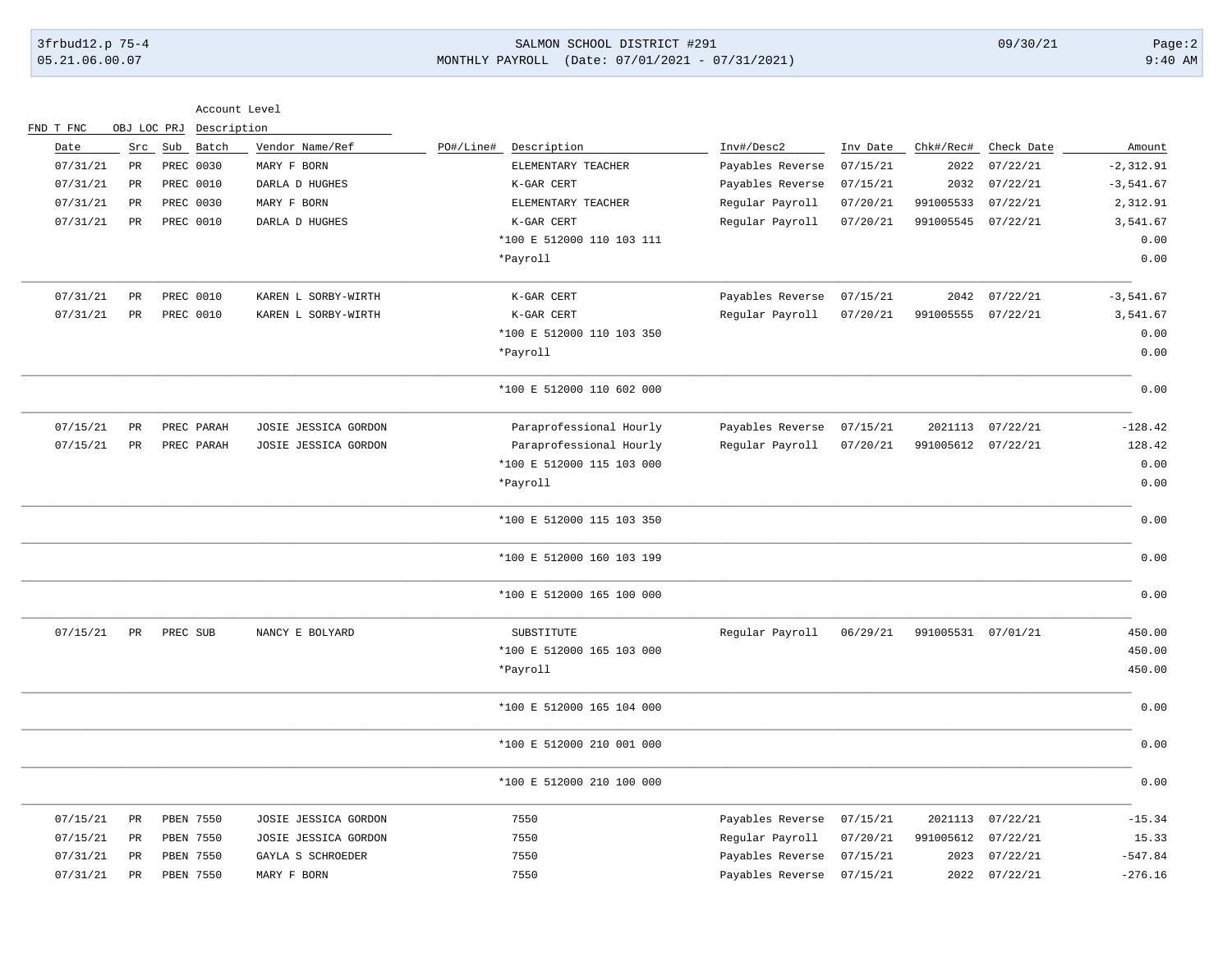# 3frbud12.p 75-4 SALMON SCHOOL DISTRICT #291 09/30/21 Page:2 05.21.06.00.07 MONTHLY PAYROLL (Date: 07/01/2021 - 07/31/2021) 9:40 AM

|                  |             |                        | Account Level                  |                                                |                                |                      |                    |                        |                        |
|------------------|-------------|------------------------|--------------------------------|------------------------------------------------|--------------------------------|----------------------|--------------------|------------------------|------------------------|
| FND T FNC        | OBJ LOC PRJ |                        | Description                    |                                                |                                |                      |                    |                        |                        |
| Date<br>07/31/21 | Src<br>PR   | Sub Batch<br>PREC 0030 | Vendor Name/Ref<br>MARY F BORN | PO#/Line#<br>Description<br>ELEMENTARY TEACHER | Inv#/Desc2<br>Payables Reverse | Inv Date<br>07/15/21 | Chk#/Rec#<br>2022  | Check Date<br>07/22/21 | Amount<br>$-2, 312.91$ |
| 07/31/21         | $_{\rm PR}$ | PREC 0010              | DARLA D HUGHES                 | K-GAR CERT                                     | Payables Reverse               | 07/15/21             | 2032               | 07/22/21               | $-3,541.67$            |
| 07/31/21         | PR          | PREC 0030              | MARY F BORN                    | ELEMENTARY TEACHER                             | Regular Payroll                | 07/20/21             | 991005533          | 07/22/21               | 2,312.91               |
| 07/31/21         | PR          | <b>PREC 0010</b>       |                                | K-GAR CERT                                     |                                |                      | 991005545          | 07/22/21               | 3,541.67               |
|                  |             |                        | DARLA D HUGHES                 | *100 E 512000 110 103 111                      | Regular Payroll                | 07/20/21             |                    |                        | 0.00                   |
|                  |             |                        |                                | *Payroll                                       |                                |                      |                    |                        | 0.00                   |
| 07/31/21         | $_{\rm PR}$ | PREC 0010              | KAREN L SORBY-WIRTH            | K-GAR CERT                                     | Payables Reverse               | 07/15/21             | 2042               | 07/22/21               | $-3,541.67$            |
| 07/31/21         | PR          | PREC 0010              | KAREN L SORBY-WIRTH            | K-GAR CERT                                     | Regular Payroll                | 07/20/21             | 991005555          | 07/22/21               | 3,541.67               |
|                  |             |                        |                                | *100 E 512000 110 103 350                      |                                |                      |                    |                        | 0.00                   |
|                  |             |                        |                                | *Payroll                                       |                                |                      |                    |                        | 0.00                   |
|                  |             |                        |                                | *100 E 512000 110 602 000                      |                                |                      |                    |                        | 0.00                   |
| 07/15/21         | PR          | PREC PARAH             | JOSIE JESSICA GORDON           | Paraprofessional Hourly                        | Payables Reverse               | 07/15/21             |                    | 2021113 07/22/21       | $-128.42$              |
| 07/15/21         | PR          | PREC PARAH             | JOSIE JESSICA GORDON           | Paraprofessional Hourly                        | Regular Payroll                | 07/20/21             | 991005612 07/22/21 |                        | 128.42                 |
|                  |             |                        |                                | *100 E 512000 115 103 000                      |                                |                      |                    |                        | 0.00                   |
|                  |             |                        |                                | *Payroll                                       |                                |                      |                    |                        | 0.00                   |
|                  |             |                        |                                | *100 E 512000 115 103 350                      |                                |                      |                    |                        | 0.00                   |
|                  |             |                        |                                | *100 E 512000 160 103 199                      |                                |                      |                    |                        | 0.00                   |
|                  |             |                        |                                | *100 E 512000 165 100 000                      |                                |                      |                    |                        | 0.00                   |
| 07/15/21         | PR          | PREC SUB               | NANCY E BOLYARD                | SUBSTITUTE                                     | Regular Payroll                | 06/29/21             | 991005531 07/01/21 |                        | 450.00                 |
|                  |             |                        |                                | *100 E 512000 165 103 000                      |                                |                      |                    |                        | 450.00                 |
|                  |             |                        |                                | *Payroll                                       |                                |                      |                    |                        | 450.00                 |
|                  |             |                        |                                | *100 E 512000 165 104 000                      |                                |                      |                    |                        | 0.00                   |
|                  |             |                        |                                | *100 E 512000 210 001 000                      |                                |                      |                    |                        | 0.00                   |
|                  |             |                        |                                | *100 E 512000 210 100 000                      |                                |                      |                    |                        | 0.00                   |
| 07/15/21         | PR          | PBEN 7550              | JOSIE JESSICA GORDON           | 7550                                           | Payables Reverse               | 07/15/21             | 2021113            | 07/22/21               | $-15.34$               |
| 07/15/21         | PR          | PBEN 7550              | JOSIE JESSICA GORDON           | 7550                                           | Regular Payroll                | 07/20/21             | 991005612          | 07/22/21               | 15.33                  |
| 07/31/21         | PR          | PBEN 7550              | GAYLA S SCHROEDER              | 7550                                           | Payables Reverse               | 07/15/21             | 2023               | 07/22/21               | $-547.84$              |
| 07/31/21         | PR          | <b>PBEN 7550</b>       | MARY F BORN                    | 7550                                           | Payables Reverse               | 07/15/21             | 2022               | 07/22/21               | $-276.16$              |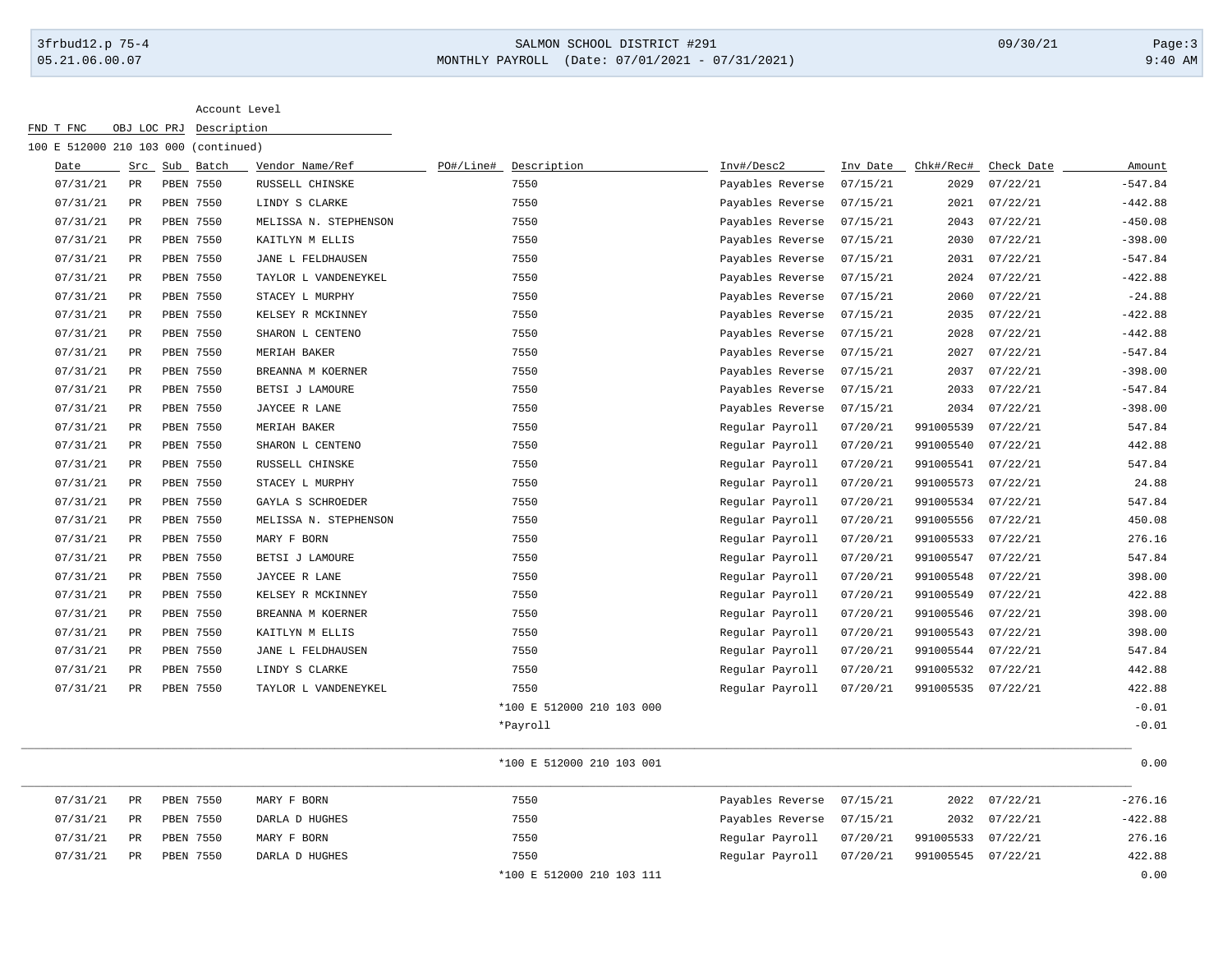# 3frbud12.p 75-4 SALMON SCHOOL DISTRICT #291 09/30/21 Page:3 05.21.06.00.07 MONTHLY PAYROLL (Date: 07/01/2021 - 07/31/2021) 9:40 AM

Account Level

| FND T FNC                            | OBJ LOC PRJ | Description      |                       |           |                           |                  |          |                    |            |           |
|--------------------------------------|-------------|------------------|-----------------------|-----------|---------------------------|------------------|----------|--------------------|------------|-----------|
| 100 E 512000 210 103 000 (continued) |             |                  |                       |           |                           |                  |          |                    |            |           |
| Date                                 |             | Src Sub Batch    | Vendor Name/Ref       | PO#/Line# | Description               | Inv#/Desc2       | Inv Date | Chk#/Rec#          | Check Date | Amount    |
| 07/31/21                             | PR          | PBEN 7550        | RUSSELL CHINSKE       |           | 7550                      | Payables Reverse | 07/15/21 | 2029               | 07/22/21   | $-547.84$ |
| 07/31/21                             | PR          | PBEN 7550        | LINDY S CLARKE        |           | 7550                      | Payables Reverse | 07/15/21 | 2021               | 07/22/21   | $-442.88$ |
| 07/31/21                             | PR          | PBEN 7550        | MELISSA N. STEPHENSON |           | 7550                      | Payables Reverse | 07/15/21 | 2043               | 07/22/21   | $-450.08$ |
| 07/31/21                             | $_{\rm PR}$ | PBEN 7550        | KAITLYN M ELLIS       |           | 7550                      | Payables Reverse | 07/15/21 | 2030               | 07/22/21   | $-398.00$ |
| 07/31/21                             | PR          | <b>PBEN 7550</b> | JANE L FELDHAUSEN     |           | 7550                      | Payables Reverse | 07/15/21 | 2031               | 07/22/21   | $-547.84$ |
| 07/31/21                             | PR          | PBEN 7550        | TAYLOR L VANDENEYKEL  |           | 7550                      | Payables Reverse | 07/15/21 | 2024               | 07/22/21   | $-422.88$ |
| 07/31/21                             | PR          | PBEN 7550        | STACEY L MURPHY       |           | 7550                      | Payables Reverse | 07/15/21 | 2060               | 07/22/21   | $-24.88$  |
| 07/31/21                             | <b>PR</b>   | PBEN 7550        | KELSEY R MCKINNEY     |           | 7550                      | Payables Reverse | 07/15/21 | 2035               | 07/22/21   | $-422.88$ |
| 07/31/21                             | PR          | PBEN 7550        | SHARON L CENTENO      |           | 7550                      | Payables Reverse | 07/15/21 | 2028               | 07/22/21   | $-442.88$ |
| 07/31/21                             | PR          | PBEN 7550        | MERIAH BAKER          |           | 7550                      | Payables Reverse | 07/15/21 | 2027               | 07/22/21   | $-547.84$ |
| 07/31/21                             | PR          | PBEN 7550        | BREANNA M KOERNER     |           | 7550                      | Payables Reverse | 07/15/21 | 2037               | 07/22/21   | $-398.00$ |
| 07/31/21                             | PR          | <b>PBEN 7550</b> | BETSI J LAMOURE       |           | 7550                      | Payables Reverse | 07/15/21 | 2033               | 07/22/21   | $-547.84$ |
| 07/31/21                             | PR          | PBEN 7550        | JAYCEE R LANE         |           | 7550                      | Payables Reverse | 07/15/21 | 2034               | 07/22/21   | $-398.00$ |
| 07/31/21                             | PR          | PBEN 7550        | MERIAH BAKER          |           | 7550                      | Regular Payroll  | 07/20/21 | 991005539          | 07/22/21   | 547.84    |
| 07/31/21                             | PR          | PBEN 7550        | SHARON L CENTENO      |           | 7550                      | Regular Payroll  | 07/20/21 | 991005540          | 07/22/21   | 442.88    |
| 07/31/21                             | PR          | PBEN 7550        | RUSSELL CHINSKE       |           | 7550                      | Regular Payroll  | 07/20/21 | 991005541          | 07/22/21   | 547.84    |
| 07/31/21                             | PR          | PBEN 7550        | STACEY L MURPHY       |           | 7550                      | Regular Payroll  | 07/20/21 | 991005573 07/22/21 |            | 24.88     |
| 07/31/21                             | PR          | PBEN 7550        | GAYLA S SCHROEDER     |           | 7550                      | Regular Payroll  | 07/20/21 | 991005534          | 07/22/21   | 547.84    |
| 07/31/21                             | PR          | PBEN 7550        | MELISSA N. STEPHENSON |           | 7550                      | Regular Payroll  | 07/20/21 | 991005556          | 07/22/21   | 450.08    |
| 07/31/21                             | PR          | PBEN 7550        | MARY F BORN           |           | 7550                      | Regular Payroll  | 07/20/21 | 991005533          | 07/22/21   | 276.16    |
| 07/31/21                             | PR          | PBEN 7550        | BETSI J LAMOURE       |           | 7550                      | Reqular Payroll  | 07/20/21 | 991005547          | 07/22/21   | 547.84    |
| 07/31/21                             | PR          | PBEN 7550        | JAYCEE R LANE         |           | 7550                      | Regular Payroll  | 07/20/21 | 991005548          | 07/22/21   | 398.00    |
| 07/31/21                             | PR          | PBEN 7550        | KELSEY R MCKINNEY     |           | 7550                      | Regular Payroll  | 07/20/21 | 991005549          | 07/22/21   | 422.88    |
| 07/31/21                             | PR          | PBEN 7550        | BREANNA M KOERNER     |           | 7550                      | Regular Payroll  | 07/20/21 | 991005546 07/22/21 |            | 398.00    |
| 07/31/21                             | PR          | <b>PBEN 7550</b> | KAITLYN M ELLIS       |           | 7550                      | Regular Payroll  | 07/20/21 | 991005543          | 07/22/21   | 398.00    |
| 07/31/21                             | PR          | <b>PBEN 7550</b> | JANE L FELDHAUSEN     |           | 7550                      | Regular Payroll  | 07/20/21 | 991005544          | 07/22/21   | 547.84    |
| 07/31/21                             | PR          | PBEN 7550        | LINDY S CLARKE        |           | 7550                      | Regular Payroll  | 07/20/21 | 991005532          | 07/22/21   | 442.88    |
| 07/31/21                             | PR          | PBEN 7550        | TAYLOR L VANDENEYKEL  |           | 7550                      | Regular Payroll  | 07/20/21 | 991005535 07/22/21 |            | 422.88    |
|                                      |             |                  |                       |           | *100 E 512000 210 103 000 |                  |          |                    |            | $-0.01$   |
|                                      |             |                  |                       |           | *Payroll                  |                  |          |                    |            | $-0.01$   |

\_\_\_\_\_\_\_\_\_\_\_\_\_\_\_\_\_\_\_\_\_\_\_\_\_\_\_\_\_\_\_\_\_\_\_\_\_\_\_\_\_\_\_\_\_\_\_\_\_\_\_\_\_\_\_\_\_\_\_\_\_\_\_\_\_\_\_\_\_\_\_\_\_\_\_\_\_\_\_\_\_\_\_\_\_\_\_\_\_\_\_\_\_\_\_\_\_\_\_\_\_\_\_\_\_\_\_\_\_\_\_\_\_\_\_\_\_\_\_\_\_\_\_\_\_\_\_\_\_\_\_\_\_\_\_\_\_\_\_\_\_\_\_\_\_\_\_\_\_\_\_\_\_\_\_\_\_\_\_\_\_\_\_\_\_\_\_\_\_\_ \*100 E 512000 210 103 001 0.000 0.000 0.000 0.000 0.000 0.000 0.000 0.000 0.000 0.000 0.000 0.000 0.000 0.000 0.000 0.000 0.000 0.000 0.000 0.000 0.000 0.000 0.000 0.000 0.000 0.000 0.000 0.000 0.000 0.000 0.000 0.000 0.00

| 07/31/21 | PR | PBEN 7550 | MARY F BORN    | 7550                      | Payables Reverse 07/15/21 |                    | 2022 07/22/21 | $-276.16$ |
|----------|----|-----------|----------------|---------------------------|---------------------------|--------------------|---------------|-----------|
| 07/31/21 | PR | PBEN 7550 | DARLA D HUGHES | 7550                      | Payables Reverse 07/15/21 |                    | 2032 07/22/21 | $-422.88$ |
| 07/31/21 | PR | PBEN 7550 | MARY F BORN    | 7550                      | Regular Payroll 07/20/21  | 991005533 07/22/21 |               | 276.16    |
| 07/31/21 | PR | PBEN 7550 | DARLA D HUGHES | 7550                      | Regular Payroll 07/20/21  | 991005545 07/22/21 |               | 422.88    |
|          |    |           |                | *100 E 512000 210 103 111 |                           |                    |               | 0.00      |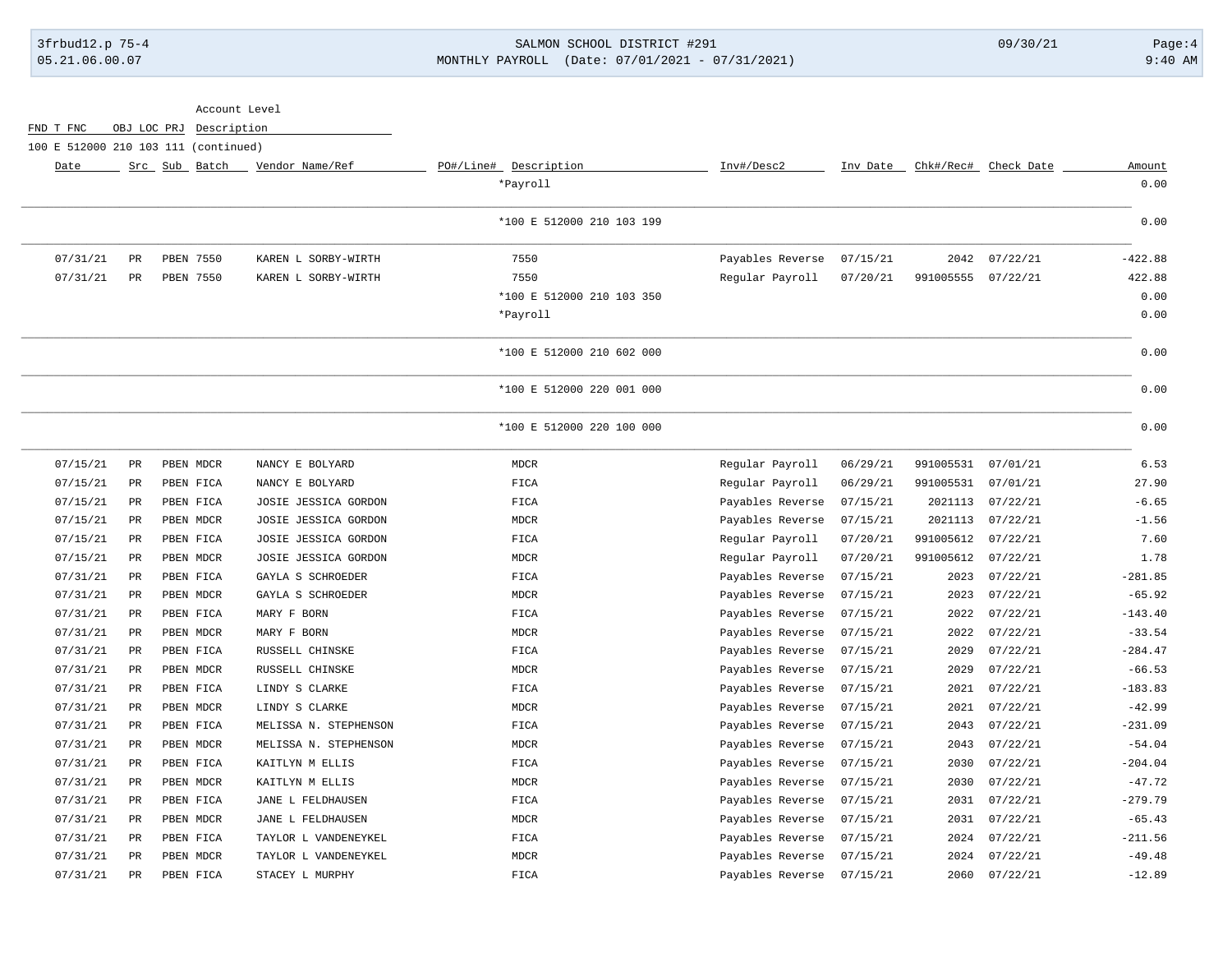# 3frbud12.p 75-4 SALMON SCHOOL DISTRICT #291 09/30/21 Page:4 05.21.06.00.07 MONTHLY PAYROLL (Date: 07/01/2021 - 07/31/2021) 9:40 AM

|                                      |                 | Account Level           |                       |                           |                  |          |                    |                      |           |
|--------------------------------------|-----------------|-------------------------|-----------------------|---------------------------|------------------|----------|--------------------|----------------------|-----------|
| FND T FNC                            |                 | OBJ LOC PRJ Description |                       |                           |                  |          |                    |                      |           |
| 100 E 512000 210 103 111 (continued) |                 |                         |                       |                           |                  |          |                    |                      |           |
| Date                                 |                 | Src Sub Batch           | Vendor Name/Ref       | PO#/Line# Description     | Inv#/Desc2       | Inv Date |                    | Chk#/Rec# Check Date | Amount    |
|                                      |                 |                         |                       | *Payroll                  |                  |          |                    |                      | 0.00      |
|                                      |                 |                         |                       | *100 E 512000 210 103 199 |                  |          |                    |                      | 0.00      |
| 07/31/21                             | PR              | PBEN 7550               | KAREN L SORBY-WIRTH   | 7550                      | Payables Reverse | 07/15/21 | 2042               | 07/22/21             | $-422.88$ |
| 07/31/21                             | $_{\rm PR}$     | PBEN 7550               | KAREN L SORBY-WIRTH   | 7550                      | Regular Payroll  | 07/20/21 | 991005555 07/22/21 |                      | 422.88    |
|                                      |                 |                         |                       | *100 E 512000 210 103 350 |                  |          |                    |                      | 0.00      |
|                                      |                 |                         |                       | *Payroll                  |                  |          |                    |                      | 0.00      |
|                                      |                 |                         |                       | *100 E 512000 210 602 000 |                  |          |                    |                      | 0.00      |
|                                      |                 |                         |                       | *100 E 512000 220 001 000 |                  |          |                    |                      | 0.00      |
|                                      |                 |                         |                       | *100 E 512000 220 100 000 |                  |          |                    |                      | 0.00      |
| 07/15/21                             | $_{\rm PR}$     | PBEN MDCR               | NANCY E BOLYARD       | <b>MDCR</b>               | Regular Payroll  | 06/29/21 | 991005531          | 07/01/21             | 6.53      |
| 07/15/21                             | $_{\rm PR}$     | PBEN FICA               | NANCY E BOLYARD       | FICA                      | Regular Payroll  | 06/29/21 | 991005531          | 07/01/21             | 27.90     |
| 07/15/21                             | $_{\rm PR}$     | PBEN FICA               | JOSIE JESSICA GORDON  | FICA                      | Payables Reverse | 07/15/21 | 2021113            | 07/22/21             | $-6.65$   |
| 07/15/21                             | PR              | PBEN MDCR               | JOSIE JESSICA GORDON  | <b>MDCR</b>               | Payables Reverse | 07/15/21 | 2021113            | 07/22/21             | $-1.56$   |
| 07/15/21                             | $_{\rm PR}$     | PBEN FICA               | JOSIE JESSICA GORDON  | FICA                      | Regular Payroll  | 07/20/21 | 991005612          | 07/22/21             | 7.60      |
| 07/15/21                             | PR              | PBEN MDCR               | JOSIE JESSICA GORDON  | <b>MDCR</b>               | Regular Payroll  | 07/20/21 | 991005612          | 07/22/21             | 1.78      |
| 07/31/21                             | $_{\rm PR}$     | PBEN FICA               | GAYLA S SCHROEDER     | FICA                      | Payables Reverse | 07/15/21 | 2023               | 07/22/21             | $-281.85$ |
| 07/31/21                             | PR              | PBEN MDCR               | GAYLA S SCHROEDER     | <b>MDCR</b>               | Payables Reverse | 07/15/21 | 2023               | 07/22/21             | $-65.92$  |
| 07/31/21                             | $\mbox{\sf PR}$ | PBEN FICA               | MARY F BORN           | FICA                      | Payables Reverse | 07/15/21 | 2022               | 07/22/21             | $-143.40$ |
| 07/31/21                             | PR              | PBEN MDCR               | MARY F BORN           | <b>MDCR</b>               | Payables Reverse | 07/15/21 | 2022               | 07/22/21             | $-33.54$  |
| 07/31/21                             | $_{\rm PR}$     | PBEN FICA               | RUSSELL CHINSKE       | FICA                      | Payables Reverse | 07/15/21 | 2029               | 07/22/21             | $-284.47$ |
| 07/31/21                             | $_{\rm PR}$     | PBEN MDCR               | RUSSELL CHINSKE       | <b>MDCR</b>               | Payables Reverse | 07/15/21 | 2029               | 07/22/21             | $-66.53$  |
| 07/31/21                             | $_{\rm PR}$     | PBEN FICA               | LINDY S CLARKE        | FICA                      | Payables Reverse | 07/15/21 | 2021               | 07/22/21             | $-183.83$ |
| 07/31/21                             | <b>PR</b>       | PBEN MDCR               | LINDY S CLARKE        | <b>MDCR</b>               | Payables Reverse | 07/15/21 | 2021               | 07/22/21             | $-42.99$  |
| 07/31/21                             | PR              | PBEN FICA               | MELISSA N. STEPHENSON | FICA                      | Payables Reverse | 07/15/21 | 2043               | 07/22/21             | $-231.09$ |
| 07/31/21                             | PR              | PBEN MDCR               | MELISSA N. STEPHENSON | <b>MDCR</b>               | Payables Reverse | 07/15/21 | 2043               | 07/22/21             | $-54.04$  |
| 07/31/21                             | PR              | PBEN FICA               | KAITLYN M ELLIS       | FICA                      | Payables Reverse | 07/15/21 | 2030               | 07/22/21             | $-204.04$ |
| 07/31/21                             | $_{\rm PR}$     | PBEN MDCR               | KAITLYN M ELLIS       | <b>MDCR</b>               | Payables Reverse | 07/15/21 | 2030               | 07/22/21             | $-47.72$  |
| 07/31/21                             | PR              | PBEN FICA               | JANE L FELDHAUSEN     | FICA                      | Payables Reverse | 07/15/21 | 2031               | 07/22/21             | $-279.79$ |
| 07/31/21                             | PR              | PBEN MDCR               | JANE L FELDHAUSEN     | <b>MDCR</b>               | Payables Reverse | 07/15/21 | 2031               | 07/22/21             | $-65.43$  |
| 07/31/21                             | $_{\rm PR}$     | PBEN FICA               | TAYLOR L VANDENEYKEL  | FICA                      | Payables Reverse | 07/15/21 | 2024               | 07/22/21             | $-211.56$ |
| 07/31/21                             | <b>PR</b>       | PBEN MDCR               | TAYLOR L VANDENEYKEL  | <b>MDCR</b>               | Payables Reverse | 07/15/21 | 2024               | 07/22/21             | $-49.48$  |
| 07/31/21                             | PR              | PBEN FICA               | STACEY L MURPHY       | FICA                      | Payables Reverse | 07/15/21 | 2060               | 07/22/21             | $-12.89$  |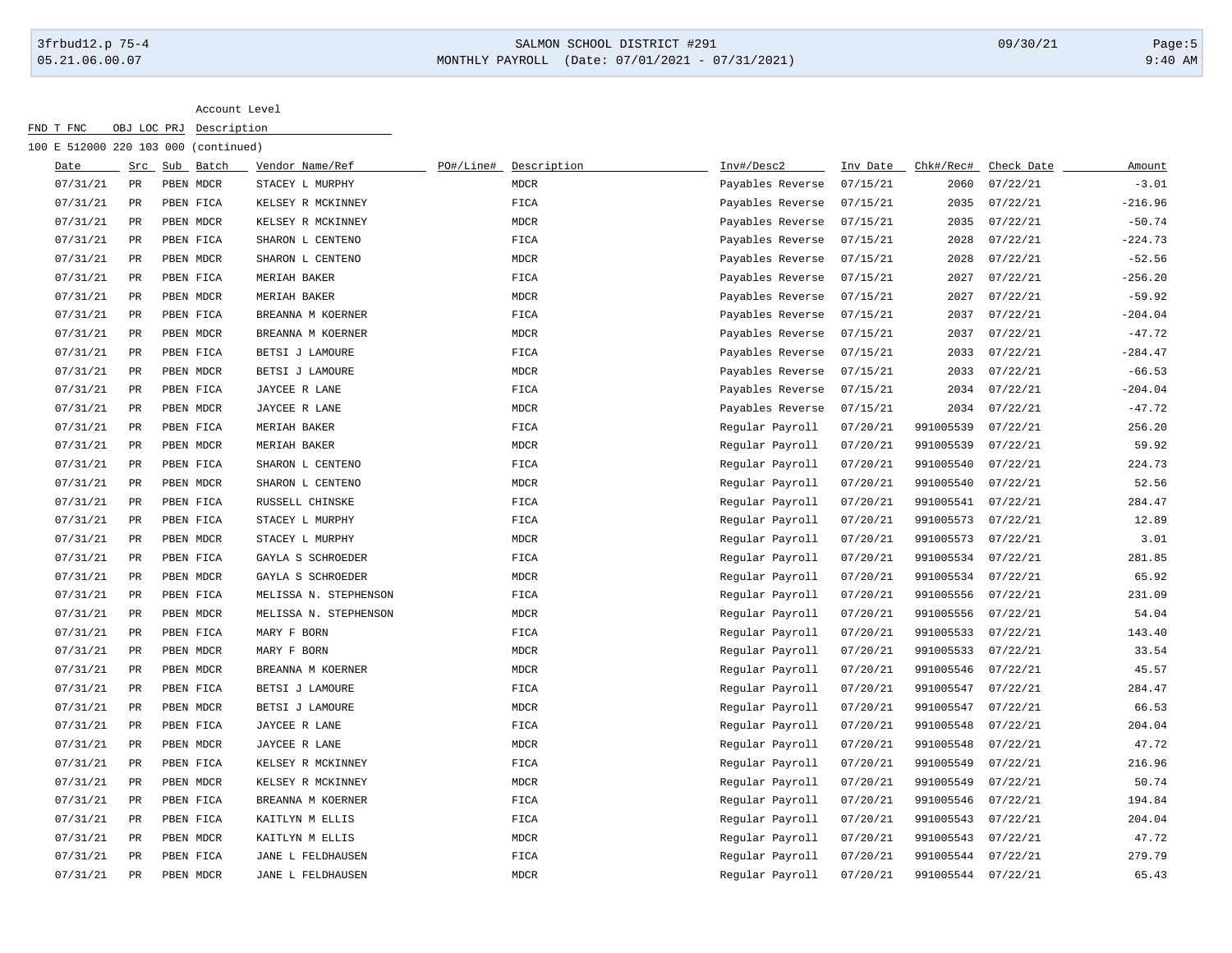### 3frbud12.p 75-4 SALMON SCHOOL DISTRICT #291 09/30/21 Page:5 05.21.06.00.07 MONTHLY PAYROLL (Date: 07/01/2021 - 07/31/2021) 9:40 AM

| FND T FNC                            |             | OBJ LOC PRJ | Description |                       |           |             |                  |          |                    |            |           |
|--------------------------------------|-------------|-------------|-------------|-----------------------|-----------|-------------|------------------|----------|--------------------|------------|-----------|
| 100 E 512000 220 103 000 (continued) |             |             |             |                       |           |             |                  |          |                    |            |           |
| Date                                 | Src         |             | Sub Batch   | Vendor Name/Ref       | PO#/Line# | Description | Inv#/Desc2       | Inv Date | Chk#/Rec#          | Check Date | Amount    |
| 07/31/21                             | PR          |             | PBEN MDCR   | STACEY L MURPHY       |           | <b>MDCR</b> | Payables Reverse | 07/15/21 | 2060               | 07/22/21   | $-3.01$   |
| 07/31/21                             | PR          |             | PBEN FICA   | KELSEY R MCKINNEY     |           | FICA        | Payables Reverse | 07/15/21 | 2035               | 07/22/21   | $-216.96$ |
| 07/31/21                             | PR          |             | PBEN MDCR   | KELSEY R MCKINNEY     |           | MDCR        | Payables Reverse | 07/15/21 | 2035               | 07/22/21   | $-50.74$  |
| 07/31/21                             | PR          |             | PBEN FICA   | SHARON L CENTENO      |           | FICA        | Payables Reverse | 07/15/21 | 2028               | 07/22/21   | $-224.73$ |
| 07/31/21                             | PR          |             | PBEN MDCR   | SHARON L CENTENO      |           | <b>MDCR</b> | Payables Reverse | 07/15/21 | 2028               | 07/22/21   | $-52.56$  |
| 07/31/21                             | PR          |             | PBEN FICA   | MERIAH BAKER          |           | FICA        | Payables Reverse | 07/15/21 | 2027               | 07/22/21   | $-256.20$ |
| 07/31/21                             | PR          |             | PBEN MDCR   | MERIAH BAKER          |           | <b>MDCR</b> | Payables Reverse | 07/15/21 | 2027               | 07/22/21   | $-59.92$  |
| 07/31/21                             | PR          |             | PBEN FICA   | BREANNA M KOERNER     |           | FICA        | Payables Reverse | 07/15/21 | 2037               | 07/22/21   | $-204.04$ |
| 07/31/21                             | PR          |             | PBEN MDCR   | BREANNA M KOERNER     |           | MDCR        | Payables Reverse | 07/15/21 | 2037               | 07/22/21   | $-47.72$  |
| 07/31/21                             | <b>PR</b>   |             | PBEN FICA   | BETSI J LAMOURE       |           | FICA        | Payables Reverse | 07/15/21 | 2033               | 07/22/21   | $-284.47$ |
| 07/31/21                             | PR          |             | PBEN MDCR   | BETSI J LAMOURE       |           | <b>MDCR</b> | Payables Reverse | 07/15/21 | 2033               | 07/22/21   | $-66.53$  |
| 07/31/21                             | PR          |             | PBEN FICA   | JAYCEE R LANE         |           | FICA        | Payables Reverse | 07/15/21 | 2034               | 07/22/21   | $-204.04$ |
| 07/31/21                             | PR          |             | PBEN MDCR   | JAYCEE R LANE         |           | MDCR        | Payables Reverse | 07/15/21 | 2034               | 07/22/21   | $-47.72$  |
| 07/31/21                             | PR          |             | PBEN FICA   | MERIAH BAKER          |           | FICA        | Regular Payroll  | 07/20/21 | 991005539          | 07/22/21   | 256.20    |
| 07/31/21                             | $_{\rm PR}$ |             | PBEN MDCR   | MERIAH BAKER          |           | <b>MDCR</b> | Reqular Payroll  | 07/20/21 | 991005539          | 07/22/21   | 59.92     |
| 07/31/21                             | PR          |             | PBEN FICA   | SHARON L CENTENO      |           | FICA        | Regular Payroll  | 07/20/21 | 991005540          | 07/22/21   | 224.73    |
| 07/31/21                             | PR          |             | PBEN MDCR   | SHARON L CENTENO      |           | MDCR        | Regular Payroll  | 07/20/21 | 991005540          | 07/22/21   | 52.56     |
| 07/31/21                             | PR          |             | PBEN FICA   | RUSSELL CHINSKE       |           | FICA        | Regular Payroll  | 07/20/21 | 991005541          | 07/22/21   | 284.47    |
| 07/31/21                             | PR          |             | PBEN FICA   | STACEY L MURPHY       |           | FICA        | Reqular Payroll  | 07/20/21 | 991005573          | 07/22/21   | 12.89     |
| 07/31/21                             | PR          |             | PBEN MDCR   | STACEY L MURPHY       |           | <b>MDCR</b> | Regular Payroll  | 07/20/21 | 991005573          | 07/22/21   | 3.01      |
| 07/31/21                             | PR          |             | PBEN FICA   | GAYLA S SCHROEDER     |           | FICA        | Regular Payroll  | 07/20/21 | 991005534 07/22/21 |            | 281.85    |
| 07/31/21                             | PR          |             | PBEN MDCR   | GAYLA S SCHROEDER     |           | <b>MDCR</b> | Regular Payroll  | 07/20/21 | 991005534 07/22/21 |            | 65.92     |
| 07/31/21                             | PR          |             | PBEN FICA   | MELISSA N. STEPHENSON |           | FICA        | Regular Payroll  | 07/20/21 | 991005556          | 07/22/21   | 231.09    |
| 07/31/21                             | PR          |             | PBEN MDCR   | MELISSA N. STEPHENSON |           | <b>MDCR</b> | Regular Payroll  | 07/20/21 | 991005556          | 07/22/21   | 54.04     |
| 07/31/21                             | <b>PR</b>   |             | PBEN FICA   | MARY F BORN           |           | FICA        | Regular Payroll  | 07/20/21 | 991005533          | 07/22/21   | 143.40    |
| 07/31/21                             | PR          |             | PBEN MDCR   | MARY F BORN           |           | <b>MDCR</b> | Regular Payroll  | 07/20/21 | 991005533          | 07/22/21   | 33.54     |

| 07/31/21 | PR  | PBEN FICA | MELISSA N. STEPHENSON | FICA | Regular Payroll | 07/20/21 | 991005556 07/22/21 |          | 231.09 |
|----------|-----|-----------|-----------------------|------|-----------------|----------|--------------------|----------|--------|
| 07/31/21 | PR  | PBEN MDCR | MELISSA N. STEPHENSON | MDCR | Regular Payroll | 07/20/21 | 991005556          | 07/22/21 | 54.04  |
| 07/31/21 | PR  | PBEN FICA | MARY F BORN           | FICA | Regular Payroll | 07/20/21 | 991005533          | 07/22/21 | 143.40 |
| 07/31/21 | PR  | PBEN MDCR | MARY F BORN           | MDCR | Regular Payroll | 07/20/21 | 991005533 07/22/21 |          | 33.54  |
| 07/31/21 | PR  | PBEN MDCR | BREANNA M KOERNER     | MDCR | Regular Payroll | 07/20/21 | 991005546          | 07/22/21 | 45.57  |
| 07/31/21 | PR  | PBEN FICA | BETSI J LAMOURE       | FICA | Regular Payroll | 07/20/21 | 991005547          | 07/22/21 | 284.47 |
| 07/31/21 | PR. | PBEN MDCR | BETSI J LAMOURE       | MDCR | Regular Payroll | 07/20/21 | 991005547          | 07/22/21 | 66.53  |
| 07/31/21 | PR  | PBEN FICA | JAYCEE R LANE         | FICA | Regular Payroll | 07/20/21 | 991005548          | 07/22/21 | 204.04 |
| 07/31/21 | PR  | PBEN MDCR | JAYCEE R LANE         | MDCR | Regular Payroll | 07/20/21 | 991005548          | 07/22/21 | 47.72  |
| 07/31/21 | PR  | PBEN FICA | KELSEY R MCKINNEY     | FICA | Regular Payroll | 07/20/21 | 991005549          | 07/22/21 | 216.96 |
| 07/31/21 | PR  | PBEN MDCR | KELSEY R MCKINNEY     | MDCR | Regular Payroll | 07/20/21 | 991005549          | 07/22/21 | 50.74  |
| 07/31/21 | PR  | PBEN FICA | BREANNA M KOERNER     | FICA | Regular Payroll | 07/20/21 | 991005546          | 07/22/21 | 194.84 |
| 07/31/21 | PR  | PBEN FICA | KAITLYN M ELLIS       | FICA | Regular Payroll | 07/20/21 | 991005543 07/22/21 |          | 204.04 |
| 07/31/21 | PR  | PBEN MDCR | KAITLYN M ELLIS       | MDCR | Regular Payroll | 07/20/21 | 991005543          | 07/22/21 | 47.72  |
| 07/31/21 | PR  | PBEN FICA | JANE L FELDHAUSEN     | FICA | Regular Payroll | 07/20/21 | 991005544          | 07/22/21 | 279.79 |
| 07/31/21 | PR  | PBEN MDCR | JANE L FELDHAUSEN     | MDCR | Regular Payroll | 07/20/21 | 991005544 07/22/21 |          | 65.43  |
|          |     |           |                       |      |                 |          |                    |          |        |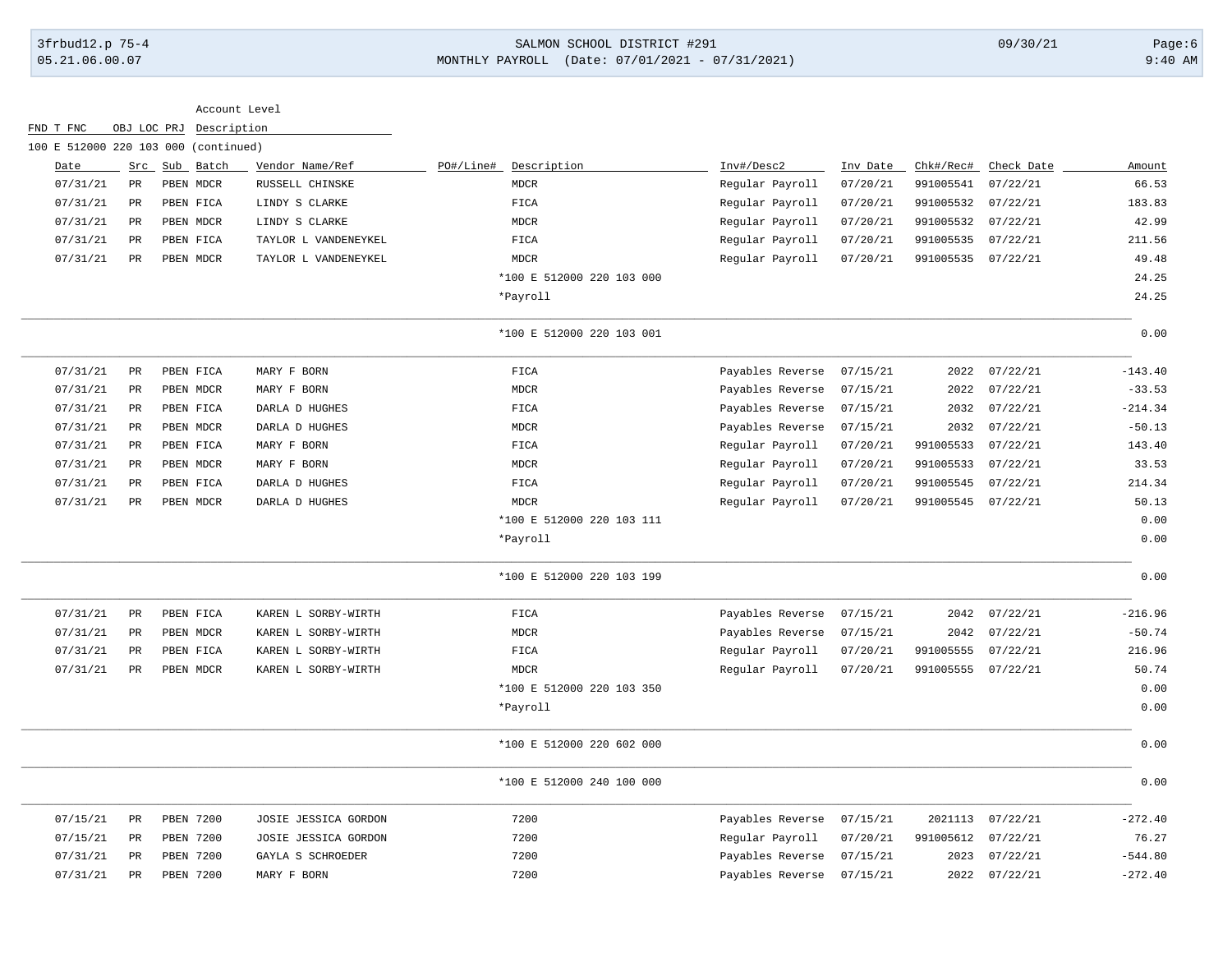# 3frbud12.p 75-4 SALMON SCHOOL DISTRICT #291 09/30/21 Page:6 05.21.06.00.07 MONTHLY PAYROLL (Date: 07/01/2021 - 07/31/2021) 9:40 AM

|                                      |                 |                  | Account Level |                      |           |                           |                  |          |           |            |           |
|--------------------------------------|-----------------|------------------|---------------|----------------------|-----------|---------------------------|------------------|----------|-----------|------------|-----------|
| FND T FNC                            | OBJ LOC PRJ     |                  | Description   |                      |           |                           |                  |          |           |            |           |
| 100 E 512000 220 103 000 (continued) |                 |                  |               |                      |           |                           |                  |          |           |            |           |
| Date                                 | Src             |                  | Sub Batch     | Vendor Name/Ref      | PO#/Line# | Description               | Inv#/Desc2       | Inv Date | Chk#/Rec# | Check Date | Amount    |
| 07/31/21                             | PR              | PBEN MDCR        |               | RUSSELL CHINSKE      |           | <b>MDCR</b>               | Regular Payroll  | 07/20/21 | 991005541 | 07/22/21   | 66.53     |
| 07/31/21                             | $_{\rm PR}$     | PBEN FICA        |               | LINDY S CLARKE       |           | FICA                      | Regular Payroll  | 07/20/21 | 991005532 | 07/22/21   | 183.83    |
| 07/31/21                             | $_{\rm PR}$     | PBEN MDCR        |               | LINDY S CLARKE       |           | <b>MDCR</b>               | Regular Payroll  | 07/20/21 | 991005532 | 07/22/21   | 42.99     |
| 07/31/21                             | PR              | PBEN FICA        |               | TAYLOR L VANDENEYKEL |           | FICA                      | Regular Payroll  | 07/20/21 | 991005535 | 07/22/21   | 211.56    |
| 07/31/21                             | PR              | PBEN MDCR        |               | TAYLOR L VANDENEYKEL |           | <b>MDCR</b>               | Regular Payroll  | 07/20/21 | 991005535 | 07/22/21   | 49.48     |
|                                      |                 |                  |               |                      |           | *100 E 512000 220 103 000 |                  |          |           |            | 24.25     |
|                                      |                 |                  |               |                      |           | *Payroll                  |                  |          |           |            | 24.25     |
|                                      |                 |                  |               |                      |           | *100 E 512000 220 103 001 |                  |          |           |            | 0.00      |
| 07/31/21                             | PR              | PBEN FICA        |               | MARY F BORN          |           | FICA                      | Payables Reverse | 07/15/21 | 2022      | 07/22/21   | $-143.40$ |
| 07/31/21                             | $_{\rm PR}$     | PBEN MDCR        |               | MARY F BORN          |           | MDCR                      | Payables Reverse | 07/15/21 | 2022      | 07/22/21   | $-33.53$  |
| 07/31/21                             | $\mbox{\sf PR}$ | PBEN FICA        |               | DARLA D HUGHES       |           | FICA                      | Payables Reverse | 07/15/21 | 2032      | 07/22/21   | $-214.34$ |
| 07/31/21                             | PR              | PBEN MDCR        |               | DARLA D HUGHES       |           | <b>MDCR</b>               | Payables Reverse | 07/15/21 | 2032      | 07/22/21   | $-50.13$  |
| 07/31/21                             | $_{\rm PR}$     | PBEN FICA        |               | MARY F BORN          |           | FICA                      | Regular Payroll  | 07/20/21 | 991005533 | 07/22/21   | 143.40    |
| 07/31/21                             | $_{\rm PR}$     | PBEN MDCR        |               | MARY F BORN          |           | MDCR                      | Regular Payroll  | 07/20/21 | 991005533 | 07/22/21   | 33.53     |
| 07/31/21                             | <b>PR</b>       | PBEN FICA        |               | DARLA D HUGHES       |           | FICA                      | Regular Payroll  | 07/20/21 | 991005545 | 07/22/21   | 214.34    |
| 07/31/21                             | $_{\rm PR}$     | PBEN MDCR        |               | DARLA D HUGHES       |           | <b>MDCR</b>               | Regular Payroll  | 07/20/21 | 991005545 | 07/22/21   | 50.13     |
|                                      |                 |                  |               |                      |           | *100 E 512000 220 103 111 |                  |          |           |            | 0.00      |
|                                      |                 |                  |               |                      |           | *Payroll                  |                  |          |           |            | 0.00      |
|                                      |                 |                  |               |                      |           | *100 E 512000 220 103 199 |                  |          |           |            | 0.00      |
| 07/31/21                             | PR              | PBEN FICA        |               | KAREN L SORBY-WIRTH  |           | FICA                      | Payables Reverse | 07/15/21 | 2042      | 07/22/21   | $-216.96$ |
| 07/31/21                             | $_{\rm PR}$     | PBEN MDCR        |               | KAREN L SORBY-WIRTH  |           | <b>MDCR</b>               | Payables Reverse | 07/15/21 | 2042      | 07/22/21   | $-50.74$  |
| 07/31/21                             | PR              | PBEN FICA        |               | KAREN L SORBY-WIRTH  |           | FICA                      | Regular Payroll  | 07/20/21 | 991005555 | 07/22/21   | 216.96    |
| 07/31/21                             | PR              | PBEN MDCR        |               | KAREN L SORBY-WIRTH  |           | MDCR                      | Regular Payroll  | 07/20/21 | 991005555 | 07/22/21   | 50.74     |
|                                      |                 |                  |               |                      |           | *100 E 512000 220 103 350 |                  |          |           |            | 0.00      |
|                                      |                 |                  |               |                      |           | *Payroll                  |                  |          |           |            | 0.00      |
|                                      |                 |                  |               |                      |           | *100 E 512000 220 602 000 |                  |          |           |            | 0.00      |
|                                      |                 |                  |               |                      |           | *100 E 512000 240 100 000 |                  |          |           |            | 0.00      |
| 07/15/21                             | $_{\rm PR}$     | PBEN 7200        |               | JOSIE JESSICA GORDON |           | 7200                      | Payables Reverse | 07/15/21 | 2021113   | 07/22/21   | $-272.40$ |
| 07/15/21                             | PR              | PBEN 7200        |               | JOSIE JESSICA GORDON |           | 7200                      | Regular Payroll  | 07/20/21 | 991005612 | 07/22/21   | 76.27     |
| 07/31/21                             | PR              | PBEN 7200        |               | GAYLA S SCHROEDER    |           | 7200                      | Payables Reverse | 07/15/21 | 2023      | 07/22/21   | $-544.80$ |
| 07/31/21                             | $_{\rm PR}$     | <b>PBEN 7200</b> |               | MARY F BORN          |           | 7200                      | Payables Reverse | 07/15/21 | 2022      | 07/22/21   | $-272.40$ |
|                                      |                 |                  |               |                      |           |                           |                  |          |           |            |           |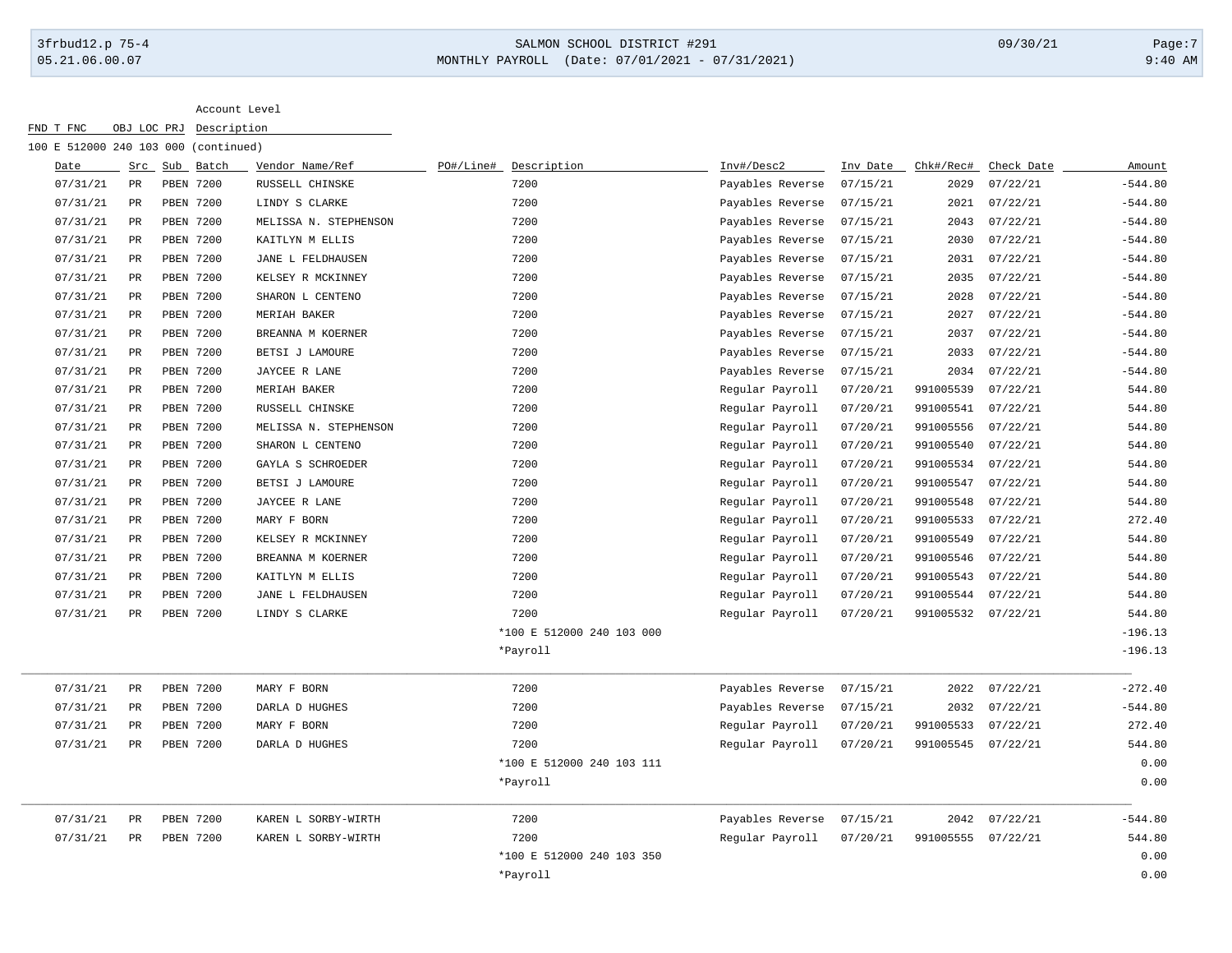## 3frbud12.p 75-4 SALMON SCHOOL DISTRICT #291 09/30/21 Page:7 05.21.06.00.07 MONTHLY PAYROLL (Date: 07/01/2021 - 07/31/2021) 9:40 AM

| 100 E 512000 240 103 000 (continued) |             |                  |                       |           |                           |                  |          |           |            |           |
|--------------------------------------|-------------|------------------|-----------------------|-----------|---------------------------|------------------|----------|-----------|------------|-----------|
| Date                                 |             | Src Sub Batch    | Vendor Name/Ref       | PO#/Line# | Description               | Inv#/Desc2       | Inv Date | Chk#/Rec# | Check Date | Amount    |
| 07/31/21                             | PR          | PBEN 7200        | RUSSELL CHINSKE       |           | 7200                      | Payables Reverse | 07/15/21 | 2029      | 07/22/21   | $-544.80$ |
| 07/31/21                             | PR          | PBEN 7200        | LINDY S CLARKE        |           | 7200                      | Payables Reverse | 07/15/21 | 2021      | 07/22/21   | $-544.80$ |
| 07/31/21                             | PR          | PBEN 7200        | MELISSA N. STEPHENSON |           | 7200                      | Payables Reverse | 07/15/21 | 2043      | 07/22/21   | $-544.80$ |
| 07/31/21                             | PR          | PBEN 7200        | KAITLYN M ELLIS       |           | 7200                      | Payables Reverse | 07/15/21 | 2030      | 07/22/21   | $-544.80$ |
| 07/31/21                             | PR          | PBEN 7200        | JANE L FELDHAUSEN     |           | 7200                      | Payables Reverse | 07/15/21 | 2031      | 07/22/21   | $-544.80$ |
| 07/31/21                             | PR          | PBEN 7200        | KELSEY R MCKINNEY     |           | 7200                      | Payables Reverse | 07/15/21 | 2035      | 07/22/21   | $-544.80$ |
| 07/31/21                             | PR          | PBEN 7200        | SHARON L CENTENO      |           | 7200                      | Payables Reverse | 07/15/21 | 2028      | 07/22/21   | $-544.80$ |
| 07/31/21                             | $_{\rm PR}$ | PBEN 7200        | MERIAH BAKER          |           | 7200                      | Payables Reverse | 07/15/21 | 2027      | 07/22/21   | $-544.80$ |
| 07/31/21                             | $_{\rm PR}$ | PBEN 7200        | BREANNA M KOERNER     |           | 7200                      | Payables Reverse | 07/15/21 | 2037      | 07/22/21   | $-544.80$ |
| 07/31/21                             | $_{\rm PR}$ | PBEN 7200        | BETSI J LAMOURE       |           | 7200                      | Payables Reverse | 07/15/21 | 2033      | 07/22/21   | $-544.80$ |
| 07/31/21                             | PR          | PBEN 7200        | JAYCEE R LANE         |           | 7200                      | Payables Reverse | 07/15/21 | 2034      | 07/22/21   | $-544.80$ |
| 07/31/21                             | $_{\rm PR}$ | PBEN 7200        | MERIAH BAKER          |           | 7200                      | Regular Payroll  | 07/20/21 | 991005539 | 07/22/21   | 544.80    |
| 07/31/21                             | $_{\rm PR}$ | PBEN 7200        | RUSSELL CHINSKE       |           | 7200                      | Regular Payroll  | 07/20/21 | 991005541 | 07/22/21   | 544.80    |
| 07/31/21                             | PR          | PBEN 7200        | MELISSA N. STEPHENSON |           | 7200                      | Regular Payroll  | 07/20/21 | 991005556 | 07/22/21   | 544.80    |
| 07/31/21                             | PR          | <b>PBEN 7200</b> | SHARON L CENTENO      |           | 7200                      | Regular Payroll  | 07/20/21 | 991005540 | 07/22/21   | 544.80    |
| 07/31/21                             | PR          | PBEN 7200        | GAYLA S SCHROEDER     |           | 7200                      | Regular Payroll  | 07/20/21 | 991005534 | 07/22/21   | 544.80    |
| 07/31/21                             | PR          | PBEN 7200        | BETSI J LAMOURE       |           | 7200                      | Regular Payroll  | 07/20/21 | 991005547 | 07/22/21   | 544.80    |
| 07/31/21                             | PR          | PBEN 7200        | JAYCEE R LANE         |           | 7200                      | Regular Payroll  | 07/20/21 | 991005548 | 07/22/21   | 544.80    |
| 07/31/21                             | PR          | PBEN 7200        | MARY F BORN           |           | 7200                      | Regular Payroll  | 07/20/21 | 991005533 | 07/22/21   | 272.40    |
| 07/31/21                             | PR          | PBEN 7200        | KELSEY R MCKINNEY     |           | 7200                      | Regular Payroll  | 07/20/21 | 991005549 | 07/22/21   | 544.80    |
| 07/31/21                             | PR          | <b>PBEN 7200</b> | BREANNA M KOERNER     |           | 7200                      | Regular Payroll  | 07/20/21 | 991005546 | 07/22/21   | 544.80    |
| 07/31/21                             | PR          | PBEN 7200        | KAITLYN M ELLIS       |           | 7200                      | Regular Payroll  | 07/20/21 | 991005543 | 07/22/21   | 544.80    |
| 07/31/21                             | PR          | PBEN 7200        | JANE L FELDHAUSEN     |           | 7200                      | Regular Payroll  | 07/20/21 | 991005544 | 07/22/21   | 544.80    |
| 07/31/21                             | PR          | PBEN 7200        | LINDY S CLARKE        |           | 7200                      | Regular Payroll  | 07/20/21 | 991005532 | 07/22/21   | 544.80    |
|                                      |             |                  |                       |           | *100 E 512000 240 103 000 |                  |          |           |            | $-196.13$ |
|                                      |             |                  |                       |           | *Payroll                  |                  |          |           |            | $-196.13$ |
| 07/31/21                             | PR          | PBEN 7200        | MARY F BORN           |           | 7200                      | Payables Reverse | 07/15/21 | 2022      | 07/22/21   | $-272.40$ |
| 07/31/21                             | PR          | PBEN 7200        | DARLA D HUGHES        |           | 7200                      | Payables Reverse | 07/15/21 | 2032      | 07/22/21   | $-544.80$ |
| 07/31/21                             | $_{\rm PR}$ | PBEN 7200        | MARY F BORN           |           | 7200                      | Regular Payroll  | 07/20/21 | 991005533 | 07/22/21   | 272.40    |
| 07/31/21                             | PR          | PBEN 7200        | DARLA D HUGHES        |           | 7200                      | Regular Payroll  | 07/20/21 | 991005545 | 07/22/21   | 544.80    |
|                                      |             |                  |                       |           | *100 E 512000 240 103 111 |                  |          |           |            | 0.00      |
|                                      |             |                  |                       |           | *Payroll                  |                  |          |           |            | 0.00      |
| 07/31/21                             | PR          | PBEN 7200        | KAREN L SORBY-WIRTH   |           | 7200                      | Payables Reverse | 07/15/21 | 2042      | 07/22/21   | $-544.80$ |
| 07/31/21                             | $_{\rm PR}$ | PBEN 7200        | KAREN L SORBY-WIRTH   |           | 7200                      | Regular Payroll  | 07/20/21 | 991005555 | 07/22/21   | 544.80    |
|                                      |             |                  |                       |           | *100 E 512000 240 103 350 |                  |          |           |            | 0.00      |
|                                      |             |                  |                       |           | *Payroll                  |                  |          |           |            | 0.00      |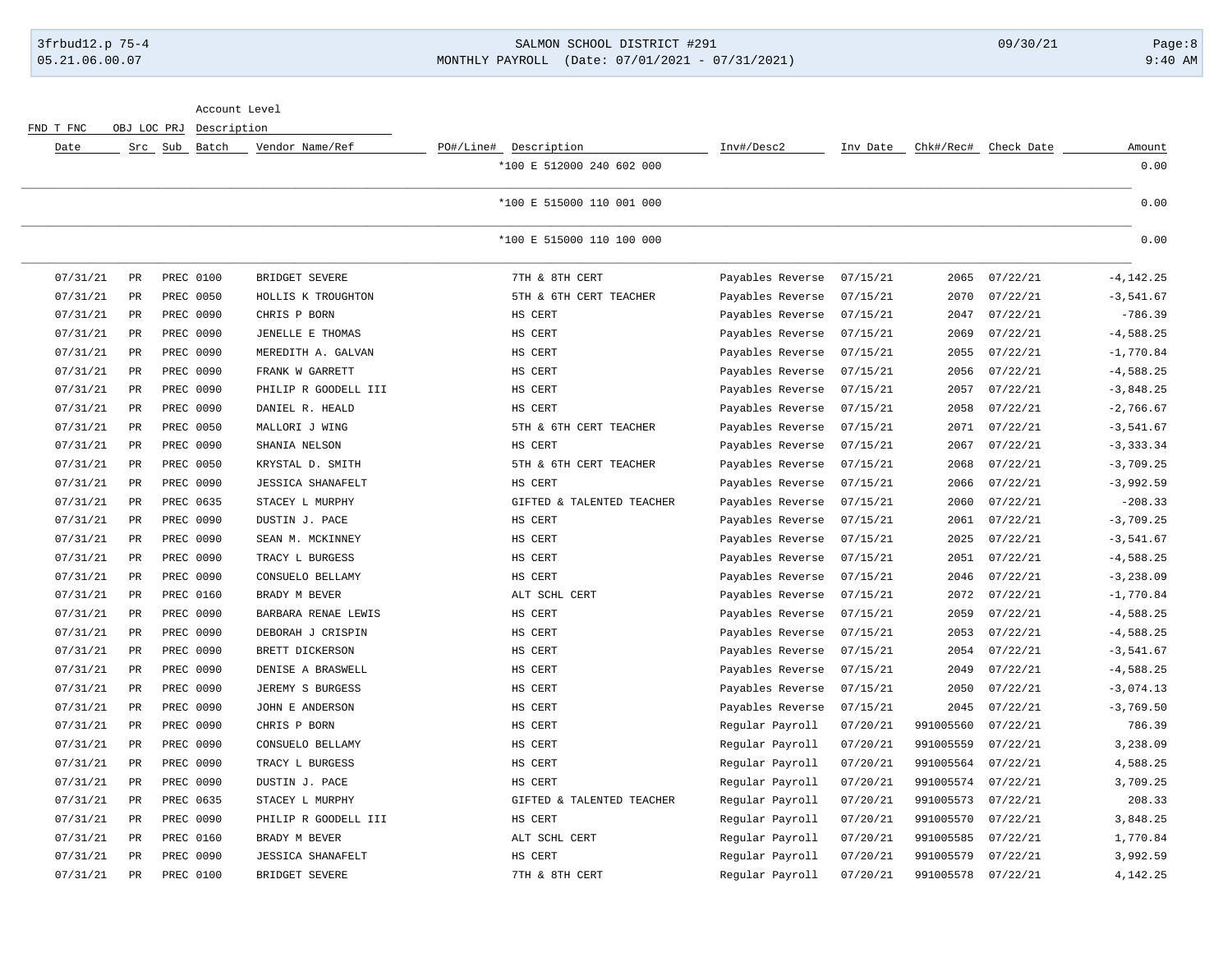### 3frbud12.p 75-4 SALMON SCHOOL DISTRICT #291 09/30/21 Page:8 05.21.06.00.07 MONTHLY PAYROLL (Date: 07/01/2021 - 07/31/2021) 9:40 AM

Account Level

| Date     |               | Src Sub Batch | Vendor Name/Ref          | PO#/Line# Description     | Inv#/Desc2       | Inv Date |           | Chk#/Rec# Check Date | Amount       |
|----------|---------------|---------------|--------------------------|---------------------------|------------------|----------|-----------|----------------------|--------------|
|          |               |               |                          | *100 E 512000 240 602 000 |                  |          |           |                      | 0.00         |
|          |               |               |                          | *100 E 515000 110 001 000 |                  |          |           |                      | 0.00         |
|          |               |               |                          | *100 E 515000 110 100 000 |                  |          |           |                      | 0.00         |
| 07/31/21 | PR            | PREC 0100     | BRIDGET SEVERE           | 7TH & 8TH CERT            | Payables Reverse | 07/15/21 | 2065      | 07/22/21             | $-4, 142.25$ |
| 07/31/21 | $\mathtt{PR}$ | PREC 0050     | HOLLIS K TROUGHTON       | 5TH & 6TH CERT TEACHER    | Payables Reverse | 07/15/21 | 2070      | 07/22/21             | $-3,541.67$  |
| 07/31/21 | PR            | PREC 0090     | CHRIS P BORN             | HS CERT                   | Payables Reverse | 07/15/21 | 2047      | 07/22/21             | $-786.39$    |
| 07/31/21 | PR            | PREC 0090     | JENELLE E THOMAS         | HS CERT                   | Payables Reverse | 07/15/21 | 2069      | 07/22/21             | $-4,588.25$  |
| 07/31/21 | PR            | PREC 0090     | MEREDITH A. GALVAN       | HS CERT                   | Payables Reverse | 07/15/21 | 2055      | 07/22/21             | $-1,770.84$  |
| 07/31/21 | PR            | PREC 0090     | FRANK W GARRETT          | HS CERT                   | Payables Reverse | 07/15/21 | 2056      | 07/22/21             | $-4,588.25$  |
| 07/31/21 | $_{\rm PR}$   | PREC 0090     | PHILIP R GOODELL III     | HS CERT                   | Payables Reverse | 07/15/21 | 2057      | 07/22/21             | $-3,848.25$  |
| 07/31/21 | $\mathtt{PR}$ | PREC 0090     | DANIEL R. HEALD          | HS CERT                   | Payables Reverse | 07/15/21 | 2058      | 07/22/21             | $-2,766.67$  |
| 07/31/21 | PR            | PREC 0050     | MALLORI J WING           | 5TH & 6TH CERT TEACHER    | Payables Reverse | 07/15/21 | 2071      | 07/22/21             | $-3,541.67$  |
| 07/31/21 | $\mathtt{PR}$ | PREC 0090     | SHANIA NELSON            | HS CERT                   | Payables Reverse | 07/15/21 | 2067      | 07/22/21             | $-3, 333.34$ |
| 07/31/21 | PR            | PREC 0050     | KRYSTAL D. SMITH         | 5TH & 6TH CERT TEACHER    | Payables Reverse | 07/15/21 | 2068      | 07/22/21             | $-3,709.25$  |
| 07/31/21 | <b>PR</b>     | PREC 0090     | <b>JESSICA SHANAFELT</b> | HS CERT                   | Payables Reverse | 07/15/21 | 2066      | 07/22/21             | $-3,992.59$  |
| 07/31/21 | $_{\rm PR}$   | PREC 0635     | STACEY L MURPHY          | GIFTED & TALENTED TEACHER | Payables Reverse | 07/15/21 | 2060      | 07/22/21             | $-208.33$    |
| 07/31/21 | PR            | PREC 0090     | DUSTIN J. PACE           | HS CERT                   | Payables Reverse | 07/15/21 | 2061      | 07/22/21             | $-3,709.25$  |
| 07/31/21 | $_{\rm PR}$   | PREC 0090     | SEAN M. MCKINNEY         | HS CERT                   | Payables Reverse | 07/15/21 | 2025      | 07/22/21             | $-3,541.67$  |
| 07/31/21 | PR            | PREC 0090     | TRACY L BURGESS          | HS CERT                   | Payables Reverse | 07/15/21 | 2051      | 07/22/21             | $-4,588.25$  |
| 07/31/21 | PR            | PREC 0090     | CONSUELO BELLAMY         | HS CERT                   | Payables Reverse | 07/15/21 | 2046      | 07/22/21             | $-3, 238.09$ |
| 07/31/21 | PR            | PREC 0160     | BRADY M BEVER            | ALT SCHL CERT             | Payables Reverse | 07/15/21 | 2072      | 07/22/21             | $-1,770.84$  |
| 07/31/21 | PR            | PREC 0090     | BARBARA RENAE LEWIS      | HS CERT                   | Payables Reverse | 07/15/21 | 2059      | 07/22/21             | $-4,588.25$  |
| 07/31/21 | PR            | PREC 0090     | DEBORAH J CRISPIN        | HS CERT                   | Payables Reverse | 07/15/21 | 2053      | 07/22/21             | $-4,588.25$  |
| 07/31/21 | PR            | PREC 0090     | BRETT DICKERSON          | HS CERT                   | Payables Reverse | 07/15/21 | 2054      | 07/22/21             | $-3,541.67$  |
| 07/31/21 | PR            | PREC 0090     | DENISE A BRASWELL        | HS CERT                   | Payables Reverse | 07/15/21 | 2049      | 07/22/21             | $-4,588.25$  |
| 07/31/21 | $_{\rm PR}$   | PREC 0090     | JEREMY S BURGESS         | HS CERT                   | Payables Reverse | 07/15/21 | 2050      | 07/22/21             | $-3,074.13$  |
| 07/31/21 | PR            | PREC 0090     | JOHN E ANDERSON          | HS CERT                   | Payables Reverse | 07/15/21 | 2045      | 07/22/21             | $-3,769.50$  |
| 07/31/21 | $_{\rm PR}$   | PREC 0090     | CHRIS P BORN             | HS CERT                   | Regular Payroll  | 07/20/21 | 991005560 | 07/22/21             | 786.39       |
| 07/31/21 | PR            | PREC 0090     | CONSUELO BELLAMY         | HS CERT                   | Regular Payroll  | 07/20/21 | 991005559 | 07/22/21             | 3,238.09     |
| 07/31/21 | $\mathtt{PR}$ | PREC 0090     | TRACY L BURGESS          | HS CERT                   | Regular Payroll  | 07/20/21 | 991005564 | 07/22/21             | 4,588.25     |
| 07/31/21 | PR            | PREC 0090     | DUSTIN J. PACE           | HS CERT                   | Regular Payroll  | 07/20/21 | 991005574 | 07/22/21             | 3,709.25     |
| 07/31/21 | PR            | PREC 0635     | STACEY L MURPHY          | GIFTED & TALENTED TEACHER | Regular Payroll  | 07/20/21 | 991005573 | 07/22/21             | 208.33       |
| 07/31/21 | PR            | PREC 0090     | PHILIP R GOODELL III     | HS CERT                   | Regular Payroll  | 07/20/21 | 991005570 | 07/22/21             | 3,848.25     |
| 07/31/21 | $_{\rm PR}$   | PREC 0160     | BRADY M BEVER            | ALT SCHL CERT             | Regular Payroll  | 07/20/21 | 991005585 | 07/22/21             | 1,770.84     |
| 07/31/21 | $_{\rm PR}$   | PREC 0090     | <b>JESSICA SHANAFELT</b> | HS CERT                   | Regular Payroll  | 07/20/21 | 991005579 | 07/22/21             | 3,992.59     |
| 07/31/21 | PR            | PREC 0100     | BRIDGET SEVERE           | 7TH & 8TH CERT            | Regular Payroll  | 07/20/21 | 991005578 | 07/22/21             | 4,142.25     |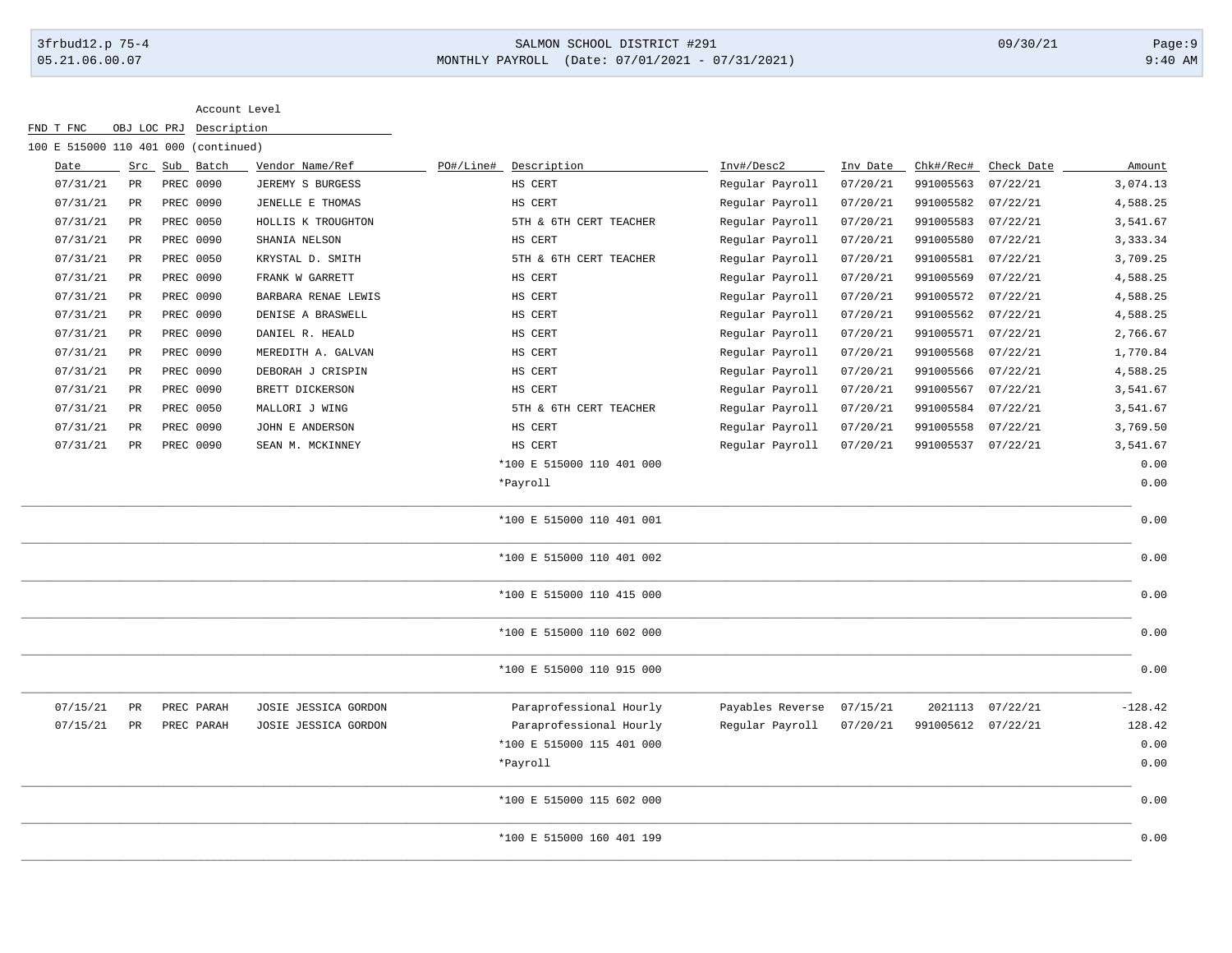# 3frbud12.p 75-4 SALMON SCHOOL DISTRICT #291 09/30/21 Page:9 05.21.06.00.07 MONTHLY PAYROLL (Date: 07/01/2021 - 07/31/2021) 9:40 AM

| 100 E 515000 110 401 000 (continued) |                 |               |                      |           |                           |                  |          |                    |            |           |
|--------------------------------------|-----------------|---------------|----------------------|-----------|---------------------------|------------------|----------|--------------------|------------|-----------|
| Date                                 |                 | Src Sub Batch | Vendor Name/Ref      | PO#/Line# | Description               | Inv#/Desc2       | Inv Date | Chk#/Rec#          | Check Date | Amount    |
| 07/31/21                             | PR              | PREC 0090     | JEREMY S BURGESS     |           | HS CERT                   | Regular Payroll  | 07/20/21 | 991005563          | 07/22/21   | 3,074.13  |
| 07/31/21                             | PR              | PREC 0090     | JENELLE E THOMAS     |           | HS CERT                   | Regular Payroll  | 07/20/21 | 991005582          | 07/22/21   | 4,588.25  |
| 07/31/21                             | PR              | PREC 0050     | HOLLIS K TROUGHTON   |           | 5TH & 6TH CERT TEACHER    | Regular Payroll  | 07/20/21 | 991005583          | 07/22/21   | 3,541.67  |
| 07/31/21                             | $_{\rm PR}$     | PREC 0090     | SHANIA NELSON        |           | HS CERT                   | Regular Payroll  | 07/20/21 | 991005580          | 07/22/21   | 3, 333.34 |
| 07/31/21                             | $_{\rm PR}$     | PREC 0050     | KRYSTAL D. SMITH     |           | 5TH & 6TH CERT TEACHER    | Regular Payroll  | 07/20/21 | 991005581          | 07/22/21   | 3,709.25  |
| 07/31/21                             | $_{\rm PR}$     | PREC 0090     | FRANK W GARRETT      |           | HS CERT                   | Regular Payroll  | 07/20/21 | 991005569          | 07/22/21   | 4,588.25  |
| 07/31/21                             | $_{\rm PR}$     | PREC 0090     | BARBARA RENAE LEWIS  |           | HS CERT                   | Regular Payroll  | 07/20/21 | 991005572          | 07/22/21   | 4,588.25  |
| 07/31/21                             | $_{\rm PR}$     | PREC 0090     | DENISE A BRASWELL    |           | HS CERT                   | Regular Payroll  | 07/20/21 | 991005562          | 07/22/21   | 4,588.25  |
| 07/31/21                             | $_{\rm PR}$     | PREC 0090     | DANIEL R. HEALD      |           | HS CERT                   | Regular Payroll  | 07/20/21 | 991005571          | 07/22/21   | 2,766.67  |
| 07/31/21                             | $_{\rm PR}$     | PREC 0090     | MEREDITH A. GALVAN   |           | HS CERT                   | Regular Payroll  | 07/20/21 | 991005568          | 07/22/21   | 1,770.84  |
| 07/31/21                             | PR              | PREC 0090     | DEBORAH J CRISPIN    |           | HS CERT                   | Regular Payroll  | 07/20/21 | 991005566          | 07/22/21   | 4,588.25  |
| 07/31/21                             | PR              | PREC 0090     | BRETT DICKERSON      |           | HS CERT                   | Regular Payroll  | 07/20/21 | 991005567          | 07/22/21   | 3,541.67  |
| 07/31/21                             | PR              | PREC 0050     | MALLORI J WING       |           | 5TH & 6TH CERT TEACHER    | Regular Payroll  | 07/20/21 | 991005584          | 07/22/21   | 3,541.67  |
| 07/31/21                             | $_{\rm PR}$     | PREC 0090     | JOHN E ANDERSON      |           | HS CERT                   | Regular Payroll  | 07/20/21 | 991005558          | 07/22/21   | 3,769.50  |
| 07/31/21                             | PR              | PREC 0090     | SEAN M. MCKINNEY     |           | HS CERT                   | Regular Payroll  | 07/20/21 | 991005537          | 07/22/21   | 3,541.67  |
|                                      |                 |               |                      |           | *100 E 515000 110 401 000 |                  |          |                    |            | 0.00      |
|                                      |                 |               |                      |           | *Payroll                  |                  |          |                    |            | 0.00      |
|                                      |                 |               |                      |           | *100 E 515000 110 401 001 |                  |          |                    |            | 0.00      |
|                                      |                 |               |                      |           | *100 E 515000 110 401 002 |                  |          |                    |            | 0.00      |
|                                      |                 |               |                      |           | *100 E 515000 110 415 000 |                  |          |                    |            | 0.00      |
|                                      |                 |               |                      |           | *100 E 515000 110 602 000 |                  |          |                    |            | 0.00      |
|                                      |                 |               |                      |           | *100 E 515000 110 915 000 |                  |          |                    |            | 0.00      |
| 07/15/21                             | $\mbox{\sf PR}$ | PREC PARAH    | JOSIE JESSICA GORDON |           | Paraprofessional Hourly   | Payables Reverse | 07/15/21 | 2021113            | 07/22/21   | $-128.42$ |
| 07/15/21                             | PR              | PREC PARAH    | JOSIE JESSICA GORDON |           | Paraprofessional Hourly   | Regular Payroll  | 07/20/21 | 991005612 07/22/21 |            | 128.42    |
|                                      |                 |               |                      |           | *100 E 515000 115 401 000 |                  |          |                    |            | 0.00      |
|                                      |                 |               |                      |           | *Payroll                  |                  |          |                    |            | 0.00      |
|                                      |                 |               |                      |           | *100 E 515000 115 602 000 |                  |          |                    |            | 0.00      |
|                                      |                 |               |                      |           | *100 E 515000 160 401 199 |                  |          |                    |            | 0.00      |
|                                      |                 |               |                      |           |                           |                  |          |                    |            |           |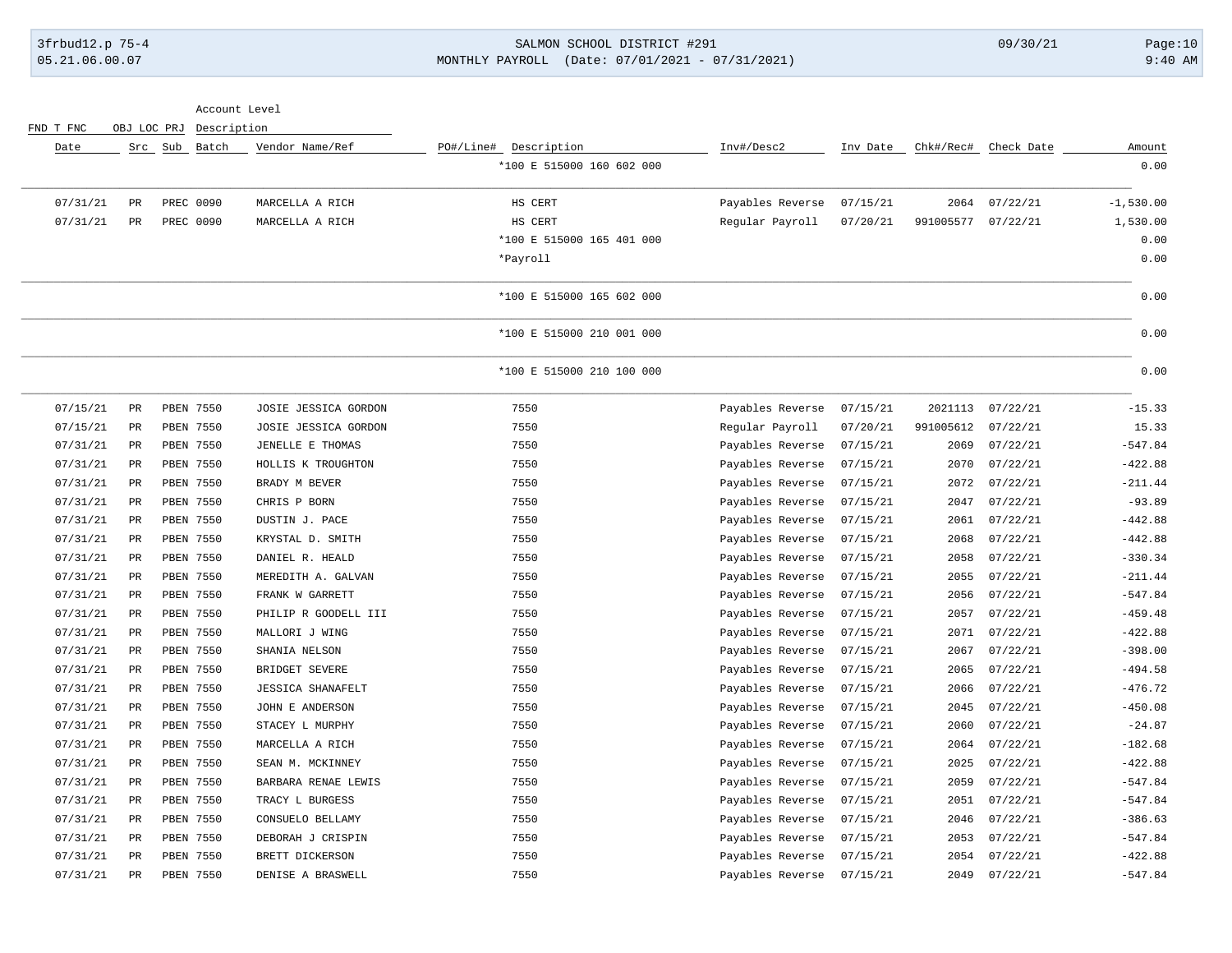### 3frbud12.p 75-4 SALMON SCHOOL DISTRICT #291 09/30/21 Page:10 05.21.06.00.07 MONTHLY PAYROLL (Date: 07/01/2021 - 07/31/2021) 9:40 AM

|           |             | Account Level |                          |                           |                           |          |           |                      |             |
|-----------|-------------|---------------|--------------------------|---------------------------|---------------------------|----------|-----------|----------------------|-------------|
| FND T FNC | OBJ LOC PRJ | Description   |                          |                           |                           |          |           |                      |             |
| Date      |             | Src Sub Batch | Vendor Name/Ref          | PO#/Line# Description     | Inv#/Desc2                | Inv Date |           | Chk#/Rec# Check Date | Amount      |
|           |             |               |                          | *100 E 515000 160 602 000 |                           |          |           |                      | 0.00        |
| 07/31/21  | PR          | PREC 0090     | MARCELLA A RICH          | HS CERT                   | Payables Reverse          | 07/15/21 | 2064      | 07/22/21             | $-1,530.00$ |
| 07/31/21  | PR          | PREC 0090     | MARCELLA A RICH          | HS CERT                   | Regular Payroll           | 07/20/21 | 991005577 | 07/22/21             | 1,530.00    |
|           |             |               |                          | *100 E 515000 165 401 000 |                           |          |           |                      | 0.00        |
|           |             |               |                          | *Payroll                  |                           |          |           |                      | 0.00        |
|           |             |               |                          | *100 E 515000 165 602 000 |                           |          |           |                      | 0.00        |
|           |             |               |                          | *100 E 515000 210 001 000 |                           |          |           |                      | 0.00        |
|           |             |               |                          | *100 E 515000 210 100 000 |                           |          |           |                      | 0.00        |
| 07/15/21  | PR          | PBEN 7550     | JOSIE JESSICA GORDON     | 7550                      | Payables Reverse          | 07/15/21 | 2021113   | 07/22/21             | $-15.33$    |
| 07/15/21  | PR          | PBEN 7550     | JOSIE JESSICA GORDON     | 7550                      | Regular Payroll           | 07/20/21 | 991005612 | 07/22/21             | 15.33       |
| 07/31/21  | PR          | PBEN 7550     | JENELLE E THOMAS         | 7550                      | Payables Reverse          | 07/15/21 | 2069      | 07/22/21             | $-547.84$   |
| 07/31/21  | $_{\rm PR}$ | PBEN 7550     | HOLLIS K TROUGHTON       | 7550                      | Payables Reverse          | 07/15/21 | 2070      | 07/22/21             | $-422.88$   |
| 07/31/21  | $_{\rm PR}$ | PBEN 7550     | BRADY M BEVER            | 7550                      | Payables Reverse          | 07/15/21 | 2072      | 07/22/21             | $-211.44$   |
| 07/31/21  | $_{\rm PR}$ | PBEN 7550     | CHRIS P BORN             | 7550                      | Payables Reverse          | 07/15/21 | 2047      | 07/22/21             | $-93.89$    |
| 07/31/21  | $_{\rm PR}$ | PBEN 7550     | DUSTIN J. PACE           | 7550                      | Payables Reverse          | 07/15/21 | 2061      | 07/22/21             | $-442.88$   |
| 07/31/21  | $_{\rm PR}$ | PBEN 7550     | KRYSTAL D. SMITH         | 7550                      | Payables Reverse          | 07/15/21 | 2068      | 07/22/21             | $-442.88$   |
| 07/31/21  | $_{\rm PR}$ | PBEN 7550     | DANIEL R. HEALD          | 7550                      | Payables Reverse          | 07/15/21 | 2058      | 07/22/21             | $-330.34$   |
| 07/31/21  | PR          | PBEN 7550     | MEREDITH A. GALVAN       | 7550                      | Payables Reverse          | 07/15/21 | 2055      | 07/22/21             | $-211.44$   |
| 07/31/21  | PR          | PBEN 7550     | FRANK W GARRETT          | 7550                      | Payables Reverse          | 07/15/21 | 2056      | 07/22/21             | $-547.84$   |
| 07/31/21  | PR          | PBEN 7550     | PHILIP R GOODELL III     | 7550                      | Payables Reverse          | 07/15/21 | 2057      | 07/22/21             | $-459.48$   |
| 07/31/21  | PR          | PBEN 7550     | MALLORI J WING           | 7550                      | Payables Reverse          | 07/15/21 | 2071      | 07/22/21             | $-422.88$   |
| 07/31/21  | $_{\rm PR}$ | PBEN 7550     | SHANIA NELSON            | 7550                      | Payables Reverse          | 07/15/21 | 2067      | 07/22/21             | $-398.00$   |
| 07/31/21  | PR          | PBEN 7550     | BRIDGET SEVERE           | 7550                      | Payables Reverse          | 07/15/21 | 2065      | 07/22/21             | $-494.58$   |
| 07/31/21  | PR          | PBEN 7550     | <b>JESSICA SHANAFELT</b> | 7550                      | Payables Reverse          | 07/15/21 | 2066      | 07/22/21             | $-476.72$   |
| 07/31/21  | PR          | PBEN 7550     | JOHN E ANDERSON          | 7550                      | Payables Reverse          | 07/15/21 | 2045      | 07/22/21             | $-450.08$   |
| 07/31/21  | PR          | PBEN 7550     | STACEY L MURPHY          | 7550                      | Payables Reverse          | 07/15/21 | 2060      | 07/22/21             | $-24.87$    |
| 07/31/21  | PR          | PBEN 7550     | MARCELLA A RICH          | 7550                      | Payables Reverse          | 07/15/21 | 2064      | 07/22/21             | $-182.68$   |
| 07/31/21  | PR          | PBEN 7550     | SEAN M. MCKINNEY         | 7550                      | Payables Reverse          | 07/15/21 | 2025      | 07/22/21             | $-422.88$   |
| 07/31/21  | PR          | PBEN 7550     | BARBARA RENAE LEWIS      | 7550                      | Payables Reverse          | 07/15/21 | 2059      | 07/22/21             | $-547.84$   |
| 07/31/21  | PR          | PBEN 7550     | TRACY L BURGESS          | 7550                      | Payables Reverse          | 07/15/21 | 2051      | 07/22/21             | $-547.84$   |
| 07/31/21  | PR          | PBEN 7550     | CONSUELO BELLAMY         | 7550                      | Payables Reverse          | 07/15/21 | 2046      | 07/22/21             | $-386.63$   |
| 07/31/21  | PR          | PBEN 7550     | DEBORAH J CRISPIN        | 7550                      | Payables Reverse          | 07/15/21 | 2053      | 07/22/21             | $-547.84$   |
| 07/31/21  | PR          | PBEN 7550     | BRETT DICKERSON          | 7550                      | Payables Reverse          | 07/15/21 | 2054      | 07/22/21             | $-422.88$   |
| 07/31/21  | PR          | PBEN 7550     | DENISE A BRASWELL        | 7550                      | Payables Reverse 07/15/21 |          | 2049      | 07/22/21             | $-547.84$   |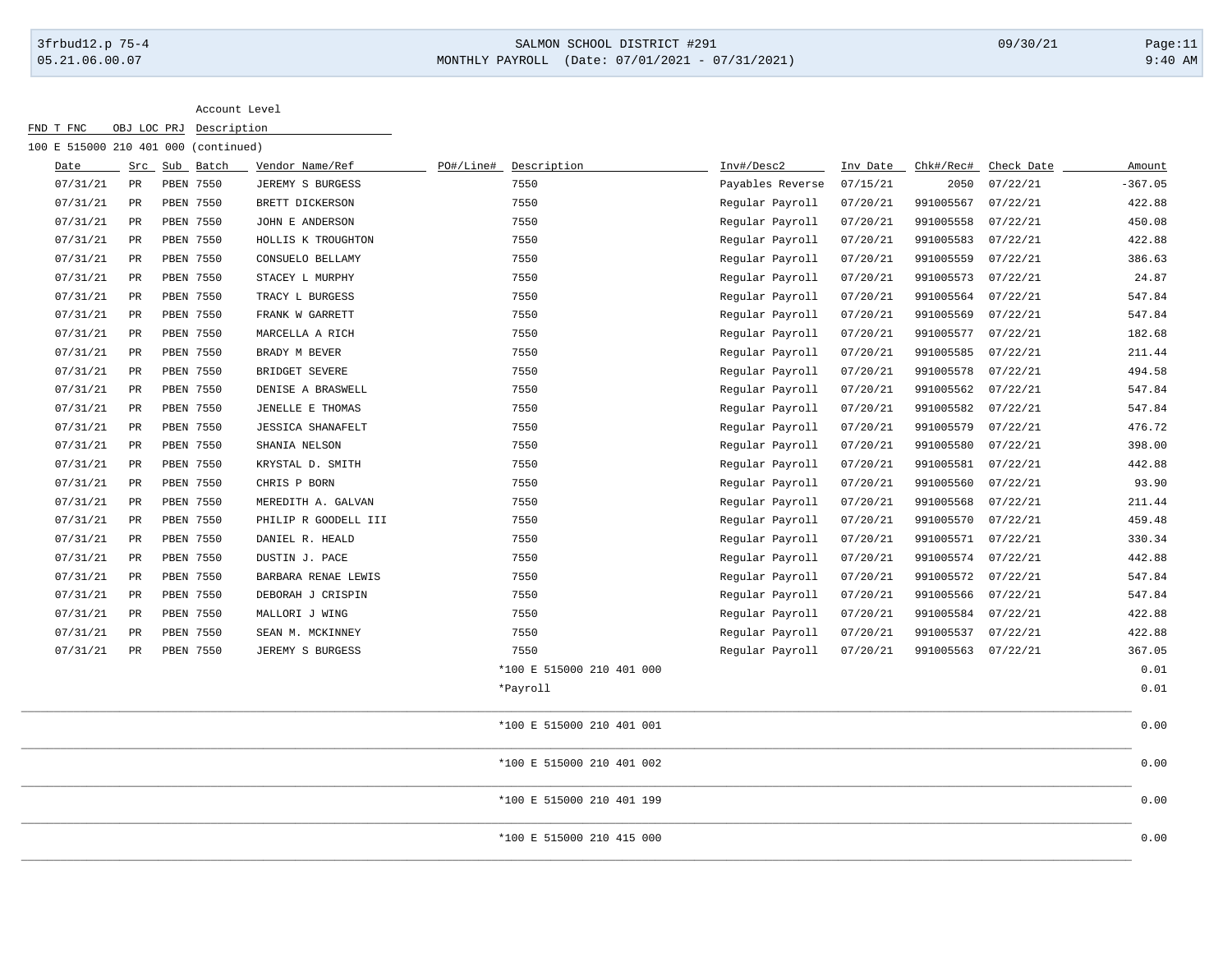# 3frbud12.p 75-4 SALMON SCHOOL DISTRICT #291 09/30/21 Page:11 05.21.06.00.07 MONTHLY PAYROLL (Date: 07/01/2021 - 07/31/2021) 9:40 AM

| 100 E 515000 210 401 000 (continued) |             |               |                          |           |                           |                  |          |           |            |           |
|--------------------------------------|-------------|---------------|--------------------------|-----------|---------------------------|------------------|----------|-----------|------------|-----------|
| Date                                 |             | Src Sub Batch | Vendor Name/Ref          | PO#/Line# | Description               | Inv#/Desc2       | Inv Date | Chk#/Rec# | Check Date | Amount    |
| 07/31/21                             | $_{\rm PR}$ | PBEN 7550     | JEREMY S BURGESS         |           | 7550                      | Payables Reverse | 07/15/21 | 2050      | 07/22/21   | $-367.05$ |
| 07/31/21                             | $_{\rm PR}$ | PBEN 7550     | BRETT DICKERSON          |           | 7550                      | Regular Payroll  | 07/20/21 | 991005567 | 07/22/21   | 422.88    |
| 07/31/21                             | $_{\rm PR}$ | PBEN 7550     | JOHN E ANDERSON          |           | 7550                      | Regular Payroll  | 07/20/21 | 991005558 | 07/22/21   | 450.08    |
| 07/31/21                             | PR          | PBEN 7550     | HOLLIS K TROUGHTON       |           | 7550                      | Regular Payroll  | 07/20/21 | 991005583 | 07/22/21   | 422.88    |
| 07/31/21                             | PR          | PBEN 7550     | CONSUELO BELLAMY         |           | 7550                      | Regular Payroll  | 07/20/21 | 991005559 | 07/22/21   | 386.63    |
| 07/31/21                             | PR          | PBEN 7550     | STACEY L MURPHY          |           | 7550                      | Regular Payroll  | 07/20/21 | 991005573 | 07/22/21   | 24.87     |
| 07/31/21                             | PR          | PBEN 7550     | TRACY L BURGESS          |           | 7550                      | Regular Payroll  | 07/20/21 | 991005564 | 07/22/21   | 547.84    |
| 07/31/21                             | PR          | PBEN 7550     | FRANK W GARRETT          |           | 7550                      | Regular Payroll  | 07/20/21 | 991005569 | 07/22/21   | 547.84    |
| 07/31/21                             | PR          | PBEN 7550     | MARCELLA A RICH          |           | 7550                      | Regular Payroll  | 07/20/21 | 991005577 | 07/22/21   | 182.68    |
| 07/31/21                             | PR          | PBEN 7550     | BRADY M BEVER            |           | 7550                      | Regular Payroll  | 07/20/21 | 991005585 | 07/22/21   | 211.44    |
| 07/31/21                             | $_{\rm PR}$ | PBEN 7550     | BRIDGET SEVERE           |           | 7550                      | Regular Payroll  | 07/20/21 | 991005578 | 07/22/21   | 494.58    |
| 07/31/21                             | $_{\rm PR}$ | PBEN 7550     | DENISE A BRASWELL        |           | 7550                      | Regular Payroll  | 07/20/21 | 991005562 | 07/22/21   | 547.84    |
| 07/31/21                             | $_{\rm PR}$ | PBEN 7550     | JENELLE E THOMAS         |           | 7550                      | Regular Payroll  | 07/20/21 | 991005582 | 07/22/21   | 547.84    |
| 07/31/21                             | $_{\rm PR}$ | PBEN 7550     | <b>JESSICA SHANAFELT</b> |           | 7550                      | Regular Payroll  | 07/20/21 | 991005579 | 07/22/21   | 476.72    |
| 07/31/21                             | PR          | PBEN 7550     | SHANIA NELSON            |           | 7550                      | Regular Payroll  | 07/20/21 | 991005580 | 07/22/21   | 398.00    |
| 07/31/21                             | PR          | PBEN 7550     | KRYSTAL D. SMITH         |           | 7550                      | Regular Payroll  | 07/20/21 | 991005581 | 07/22/21   | 442.88    |
| 07/31/21                             | PR          | PBEN 7550     | CHRIS P BORN             |           | 7550                      | Regular Payroll  | 07/20/21 | 991005560 | 07/22/21   | 93.90     |
| 07/31/21                             | PR          | PBEN 7550     | MEREDITH A. GALVAN       |           | 7550                      | Regular Payroll  | 07/20/21 | 991005568 | 07/22/21   | 211.44    |
| 07/31/21                             | PR          | PBEN 7550     | PHILIP R GOODELL III     |           | 7550                      | Regular Payroll  | 07/20/21 | 991005570 | 07/22/21   | 459.48    |
| 07/31/21                             | PR          | PBEN 7550     | DANIEL R. HEALD          |           | 7550                      | Regular Payroll  | 07/20/21 | 991005571 | 07/22/21   | 330.34    |
| 07/31/21                             | PR          | PBEN 7550     | DUSTIN J. PACE           |           | 7550                      | Regular Payroll  | 07/20/21 | 991005574 | 07/22/21   | 442.88    |
| 07/31/21                             | PR          | PBEN 7550     | BARBARA RENAE LEWIS      |           | 7550                      | Regular Payroll  | 07/20/21 | 991005572 | 07/22/21   | 547.84    |
| 07/31/21                             | $_{\rm PR}$ | PBEN 7550     | DEBORAH J CRISPIN        |           | 7550                      | Regular Payroll  | 07/20/21 | 991005566 | 07/22/21   | 547.84    |
| 07/31/21                             | $_{\rm PR}$ | PBEN 7550     | MALLORI J WING           |           | 7550                      | Regular Payroll  | 07/20/21 | 991005584 | 07/22/21   | 422.88    |
| 07/31/21                             | $_{\rm PR}$ | PBEN 7550     | SEAN M. MCKINNEY         |           | 7550                      | Regular Payroll  | 07/20/21 | 991005537 | 07/22/21   | 422.88    |
| 07/31/21                             | PR          | PBEN 7550     | JEREMY S BURGESS         |           | 7550                      | Regular Payroll  | 07/20/21 | 991005563 | 07/22/21   | 367.05    |
|                                      |             |               |                          |           | *100 E 515000 210 401 000 |                  |          |           |            | 0.01      |
|                                      |             |               |                          |           | *Payroll                  |                  |          |           |            | 0.01      |
|                                      |             |               |                          |           | *100 E 515000 210 401 001 |                  |          |           |            | 0.00      |
|                                      |             |               |                          |           | *100 E 515000 210 401 002 |                  |          |           |            | 0.00      |
|                                      |             |               |                          |           | *100 E 515000 210 401 199 |                  |          |           |            | 0.00      |
|                                      |             |               |                          |           | *100 E 515000 210 415 000 |                  |          |           |            | 0.00      |
|                                      |             |               |                          |           |                           |                  |          |           |            |           |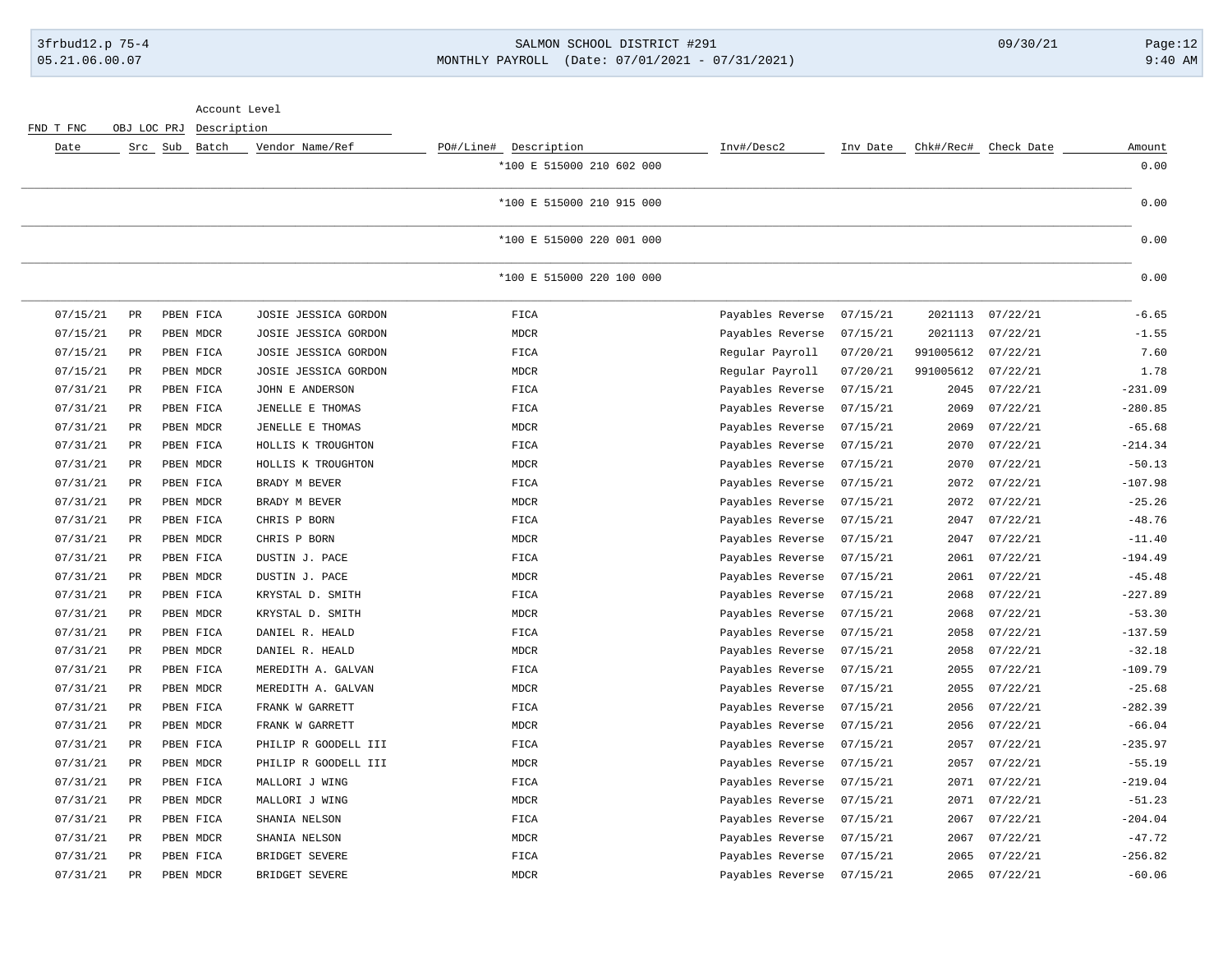# 3frbud12.p 75-4 SALMON SCHOOL DISTRICT #291 09/30/21 Page:12 05.21.06.00.07 MONTHLY PAYROLL (Date: 07/01/2021 - 07/31/2021) 9:40 AM

| Account Level |                 |             |             |                      |                           |                  |          |           |                      |           |
|---------------|-----------------|-------------|-------------|----------------------|---------------------------|------------------|----------|-----------|----------------------|-----------|
| FND T FNC     |                 | OBJ LOC PRJ | Description |                      |                           |                  |          |           |                      |           |
| Date          |                 | Src Sub     | Batch       | Vendor Name/Ref      | PO#/Line# Description     | Inv#/Desc2       | Inv Date |           | Chk#/Rec# Check Date | Amount    |
|               |                 |             |             |                      | *100 E 515000 210 602 000 |                  |          |           |                      | 0.00      |
|               |                 |             |             |                      | *100 E 515000 210 915 000 |                  |          |           |                      | 0.00      |
|               |                 |             |             |                      | *100 E 515000 220 001 000 |                  |          |           |                      | 0.00      |
|               |                 |             |             |                      | *100 E 515000 220 100 000 |                  |          |           |                      | 0.00      |
| 07/15/21      | PR              |             | PBEN FICA   | JOSIE JESSICA GORDON | FICA                      | Payables Reverse | 07/15/21 | 2021113   | 07/22/21             | $-6.65$   |
| 07/15/21      | $_{\rm PR}$     |             | PBEN MDCR   | JOSIE JESSICA GORDON | <b>MDCR</b>               | Payables Reverse | 07/15/21 | 2021113   | 07/22/21             | $-1.55$   |
| 07/15/21      | PR              |             | PBEN FICA   | JOSIE JESSICA GORDON | FICA                      | Regular Payroll  | 07/20/21 | 991005612 | 07/22/21             | 7.60      |
| 07/15/21      | $_{\rm PR}$     |             | PBEN MDCR   | JOSIE JESSICA GORDON | $\tt MDCR$                | Regular Payroll  | 07/20/21 | 991005612 | 07/22/21             | 1.78      |
| 07/31/21      | PR              |             | PBEN FICA   | JOHN E ANDERSON      | FICA                      | Payables Reverse | 07/15/21 | 2045      | 07/22/21             | $-231.09$ |
| 07/31/21      | PR              |             | PBEN FICA   | JENELLE E THOMAS     | FICA                      | Payables Reverse | 07/15/21 | 2069      | 07/22/21             | $-280.85$ |
| 07/31/21      | PR              |             | PBEN MDCR   | JENELLE E THOMAS     | MDCR                      | Payables Reverse | 07/15/21 | 2069      | 07/22/21             | $-65.68$  |
| 07/31/21      | PR              |             | PBEN FICA   | HOLLIS K TROUGHTON   | FICA                      | Payables Reverse | 07/15/21 | 2070      | 07/22/21             | $-214.34$ |
| 07/31/21      | PR              |             | PBEN MDCR   | HOLLIS K TROUGHTON   | $\tt MDCR$                | Payables Reverse | 07/15/21 | 2070      | 07/22/21             | $-50.13$  |
| 07/31/21      | PR              |             | PBEN FICA   | BRADY M BEVER        | FICA                      | Payables Reverse | 07/15/21 | 2072      | 07/22/21             | $-107.98$ |
| 07/31/21      | $_{\rm PR}$     |             | PBEN MDCR   | BRADY M BEVER        | <b>MDCR</b>               | Payables Reverse | 07/15/21 | 2072      | 07/22/21             | $-25.26$  |
| 07/31/21      | $_{\rm PR}$     |             | PBEN FICA   | CHRIS P BORN         | FICA                      | Payables Reverse | 07/15/21 | 2047      | 07/22/21             | $-48.76$  |
| 07/31/21      | PR              |             | PBEN MDCR   | CHRIS P BORN         | $\tt MDCR$                | Payables Reverse | 07/15/21 | 2047      | 07/22/21             | $-11.40$  |
| 07/31/21      | PR              |             | PBEN FICA   | DUSTIN J. PACE       | FICA                      | Payables Reverse | 07/15/21 | 2061      | 07/22/21             | $-194.49$ |
| 07/31/21      | PR              |             | PBEN MDCR   | DUSTIN J. PACE       | <b>MDCR</b>               | Payables Reverse | 07/15/21 | 2061      | 07/22/21             | $-45.48$  |
| 07/31/21      | $_{\rm PR}$     |             | PBEN FICA   | KRYSTAL D. SMITH     | FICA                      | Payables Reverse | 07/15/21 | 2068      | 07/22/21             | $-227.89$ |
| 07/31/21      | $_{\rm PR}$     |             | PBEN MDCR   | KRYSTAL D. SMITH     | MDCR                      | Payables Reverse | 07/15/21 | 2068      | 07/22/21             | $-53.30$  |
| 07/31/21      | <b>PR</b>       |             | PBEN FICA   | DANIEL R. HEALD      | FICA                      | Payables Reverse | 07/15/21 | 2058      | 07/22/21             | $-137.59$ |
| 07/31/21      | PR              |             | PBEN MDCR   | DANIEL R. HEALD      | MDCR                      | Payables Reverse | 07/15/21 | 2058      | 07/22/21             | $-32.18$  |
| 07/31/21      | PR              |             | PBEN FICA   | MEREDITH A. GALVAN   | FICA                      | Payables Reverse | 07/15/21 | 2055      | 07/22/21             | $-109.79$ |
| 07/31/21      | $\mbox{\sf PR}$ |             | PBEN MDCR   | MEREDITH A. GALVAN   | MDCR                      | Payables Reverse | 07/15/21 | 2055      | 07/22/21             | $-25.68$  |
| 07/31/21      | PR              |             | PBEN FICA   | FRANK W GARRETT      | FICA                      | Payables Reverse | 07/15/21 | 2056      | 07/22/21             | $-282.39$ |
| 07/31/21      | <b>PR</b>       |             | PBEN MDCR   | FRANK W GARRETT      | <b>MDCR</b>               | Payables Reverse | 07/15/21 | 2056      | 07/22/21             | $-66.04$  |
| 07/31/21      | PR              |             | PBEN FICA   | PHILIP R GOODELL III | FICA                      | Payables Reverse | 07/15/21 | 2057      | 07/22/21             | $-235.97$ |
| 07/31/21      | PR              |             | PBEN MDCR   | PHILIP R GOODELL III | $\tt MDCR$                | Payables Reverse | 07/15/21 | 2057      | 07/22/21             | $-55.19$  |
| 07/31/21      | PR              |             | PBEN FICA   | MALLORI J WING       | FICA                      | Payables Reverse | 07/15/21 | 2071      | 07/22/21             | $-219.04$ |
| 07/31/21      | $_{\rm PR}$     |             | PBEN MDCR   | MALLORI J WING       | <b>MDCR</b>               | Payables Reverse | 07/15/21 | 2071      | 07/22/21             | $-51.23$  |
| 07/31/21      | <b>PR</b>       |             | PBEN FICA   | SHANIA NELSON        | FICA                      | Payables Reverse | 07/15/21 | 2067      | 07/22/21             | $-204.04$ |
| 07/31/21      | $_{\rm PR}$     |             | PBEN MDCR   | SHANIA NELSON        | $\tt MDCR$                | Payables Reverse | 07/15/21 | 2067      | 07/22/21             | $-47.72$  |
| 07/31/21      | $_{\rm PR}$     |             | PBEN FICA   | BRIDGET SEVERE       | FICA                      | Payables Reverse | 07/15/21 | 2065      | 07/22/21             | $-256.82$ |
| 07/31/21      | PR              |             | PBEN MDCR   | BRIDGET SEVERE       | <b>MDCR</b>               | Payables Reverse | 07/15/21 | 2065      | 07/22/21             | $-60.06$  |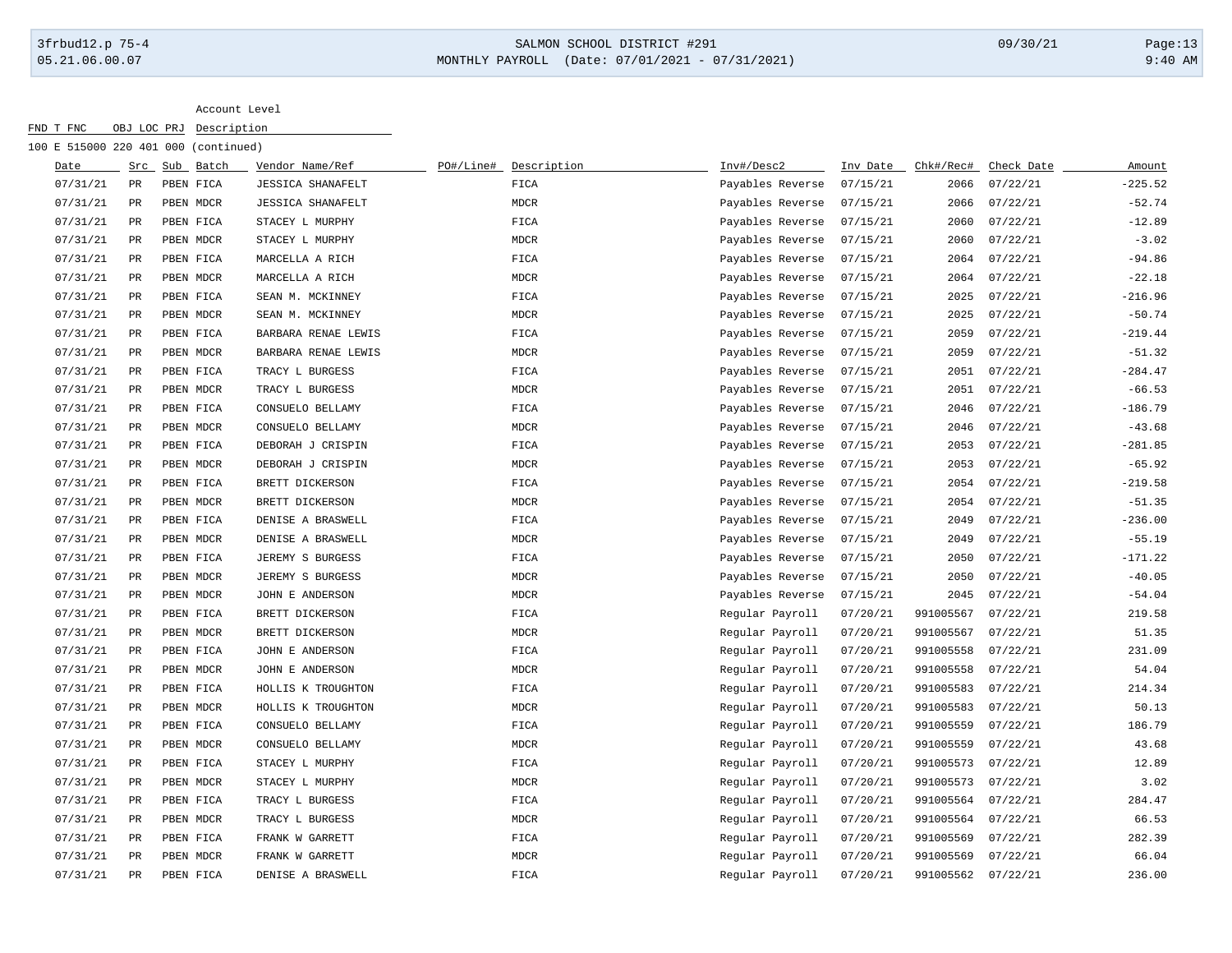### 3frbud12.p 75-4 SALMON SCHOOL DISTRICT #291 09/30/21 Page:13 05.21.06.00.07 MONTHLY PAYROLL (Date: 07/01/2021 - 07/31/2021) 9:40 AM

| Date     |                 | Src Sub Batch | Vendor Name/Ref          | PO#/Line# | Description | Inv#/Desc2       | Inv Date | Chk#/Rec#          | Check Date | Amount    |
|----------|-----------------|---------------|--------------------------|-----------|-------------|------------------|----------|--------------------|------------|-----------|
| 07/31/21 | $\mbox{\sf PR}$ | PBEN FICA     | <b>JESSICA SHANAFELT</b> |           | FICA        | Payables Reverse | 07/15/21 | 2066               | 07/22/21   | $-225.52$ |
| 07/31/21 | $\mbox{\sf PR}$ | PBEN MDCR     | <b>JESSICA SHANAFELT</b> |           | MDCR        | Payables Reverse | 07/15/21 | 2066               | 07/22/21   | $-52.74$  |
| 07/31/21 | PR              | PBEN FICA     | STACEY L MURPHY          |           | FICA        | Payables Reverse | 07/15/21 | 2060               | 07/22/21   | $-12.89$  |
| 07/31/21 | $_{\rm PR}$     | PBEN MDCR     | STACEY L MURPHY          |           | MDCR        | Payables Reverse | 07/15/21 | 2060               | 07/22/21   | $-3.02$   |
| 07/31/21 | PR              | PBEN FICA     | MARCELLA A RICH          |           | FICA        | Payables Reverse | 07/15/21 | 2064               | 07/22/21   | $-94.86$  |
| 07/31/21 | PR              | PBEN MDCR     | MARCELLA A RICH          |           | MDCR        | Payables Reverse | 07/15/21 | 2064               | 07/22/21   | $-22.18$  |
| 07/31/21 | PR              | PBEN FICA     | SEAN M. MCKINNEY         |           | FICA        | Payables Reverse | 07/15/21 | 2025               | 07/22/21   | $-216.96$ |
| 07/31/21 | PR              | PBEN MDCR     | SEAN M. MCKINNEY         |           | MDCR        | Payables Reverse | 07/15/21 | 2025               | 07/22/21   | $-50.74$  |
| 07/31/21 | PR              | PBEN FICA     | BARBARA RENAE LEWIS      |           | FICA        | Payables Reverse | 07/15/21 | 2059               | 07/22/21   | $-219.44$ |
| 07/31/21 | $\mathtt{PR}$   | PBEN MDCR     | BARBARA RENAE LEWIS      |           | MDCR        | Payables Reverse | 07/15/21 | 2059               | 07/22/21   | $-51.32$  |
| 07/31/21 | $_{\rm PR}$     | PBEN FICA     | TRACY L BURGESS          |           | FICA        | Payables Reverse | 07/15/21 | 2051               | 07/22/21   | $-284.47$ |
| 07/31/21 | PR              | PBEN MDCR     | TRACY L BURGESS          |           | MDCR        | Payables Reverse | 07/15/21 | 2051               | 07/22/21   | $-66.53$  |
| 07/31/21 | PR              | PBEN FICA     | CONSUELO BELLAMY         |           | FICA        | Payables Reverse | 07/15/21 | 2046               | 07/22/21   | $-186.79$ |
| 07/31/21 | $\rm PR$        | PBEN MDCR     | CONSUELO BELLAMY         |           | MDCR        | Payables Reverse | 07/15/21 | 2046               | 07/22/21   | $-43.68$  |
| 07/31/21 | PR              | PBEN FICA     | DEBORAH J CRISPIN        |           | FICA        | Payables Reverse | 07/15/21 | 2053               | 07/22/21   | $-281.85$ |
| 07/31/21 | PR              | PBEN MDCR     | DEBORAH J CRISPIN        |           | MDCR        | Payables Reverse | 07/15/21 | 2053               | 07/22/21   | $-65.92$  |
| 07/31/21 | PR              | PBEN FICA     | BRETT DICKERSON          |           | FICA        | Payables Reverse | 07/15/21 | 2054               | 07/22/21   | $-219.58$ |
| 07/31/21 | PR              | PBEN MDCR     | BRETT DICKERSON          |           | MDCR        | Payables Reverse | 07/15/21 | 2054               | 07/22/21   | $-51.35$  |
| 07/31/21 | PR              | PBEN FICA     | DENISE A BRASWELL        |           | FICA        | Payables Reverse | 07/15/21 | 2049               | 07/22/21   | $-236.00$ |
| 07/31/21 | PR              | PBEN MDCR     | DENISE A BRASWELL        |           | MDCR        | Payables Reverse | 07/15/21 | 2049               | 07/22/21   | $-55.19$  |
| 07/31/21 | PR              | PBEN FICA     | JEREMY S BURGESS         |           | FICA        | Payables Reverse | 07/15/21 | 2050               | 07/22/21   | $-171.22$ |
| 07/31/21 | PR              | PBEN MDCR     | JEREMY S BURGESS         |           | MDCR        | Payables Reverse | 07/15/21 | 2050               | 07/22/21   | $-40.05$  |
| 07/31/21 | PR              | PBEN MDCR     | JOHN E ANDERSON          |           | MDCR        | Payables Reverse | 07/15/21 | 2045               | 07/22/21   | $-54.04$  |
| 07/31/21 | PR              | PBEN FICA     | BRETT DICKERSON          |           | FICA        | Regular Payroll  | 07/20/21 | 991005567          | 07/22/21   | 219.58    |
| 07/31/21 | PR              | PBEN MDCR     | BRETT DICKERSON          |           | MDCR        | Regular Payroll  | 07/20/21 | 991005567          | 07/22/21   | 51.35     |
| 07/31/21 | PR              | PBEN FICA     | JOHN E ANDERSON          |           | FICA        | Regular Payroll  | 07/20/21 | 991005558          | 07/22/21   | 231.09    |
| 07/31/21 | PR              | PBEN MDCR     | JOHN E ANDERSON          |           | MDCR        | Regular Payroll  | 07/20/21 | 991005558          | 07/22/21   | 54.04     |
| 07/31/21 | PR              | PBEN FICA     | HOLLIS K TROUGHTON       |           | FICA        | Regular Payroll  | 07/20/21 | 991005583          | 07/22/21   | 214.34    |
| 07/31/21 | PR              | PBEN MDCR     | HOLLIS K TROUGHTON       |           | MDCR        | Regular Payroll  | 07/20/21 | 991005583          | 07/22/21   | 50.13     |
| 07/31/21 | $\mbox{\sf PR}$ | PBEN FICA     | CONSUELO BELLAMY         |           | FICA        | Regular Payroll  | 07/20/21 | 991005559          | 07/22/21   | 186.79    |
| 07/31/21 | PR              | PBEN MDCR     | CONSUELO BELLAMY         |           | MDCR        | Regular Payroll  | 07/20/21 | 991005559          | 07/22/21   | 43.68     |
| 07/31/21 | $_{\rm PR}$     | PBEN FICA     | STACEY L MURPHY          |           | FICA        | Regular Payroll  | 07/20/21 | 991005573          | 07/22/21   | 12.89     |
| 07/31/21 | PR              | PBEN MDCR     | STACEY L MURPHY          |           | MDCR        | Regular Payroll  | 07/20/21 | 991005573          | 07/22/21   | 3.02      |
| 07/31/21 | PR              | PBEN FICA     | TRACY L BURGESS          |           | FICA        | Regular Payroll  | 07/20/21 | 991005564          | 07/22/21   | 284.47    |
| 07/31/21 | PR              | PBEN MDCR     | TRACY L BURGESS          |           | MDCR        | Regular Payroll  | 07/20/21 | 991005564 07/22/21 |            | 66.53     |
| 07/31/21 | PR              | PBEN FICA     | FRANK W GARRETT          |           | FICA        | Regular Payroll  | 07/20/21 | 991005569          | 07/22/21   | 282.39    |
| 07/31/21 | $\mbox{\sf PR}$ | PBEN MDCR     | FRANK W GARRETT          |           | MDCR        | Regular Payroll  | 07/20/21 | 991005569          | 07/22/21   | 66.04     |
| 07/31/21 | PR              | PBEN FICA     | DENISE A BRASWELL        |           | FIGA        | Regular Payroll  | 07/20/21 | 991005562          | 07/22/21   | 236.00    |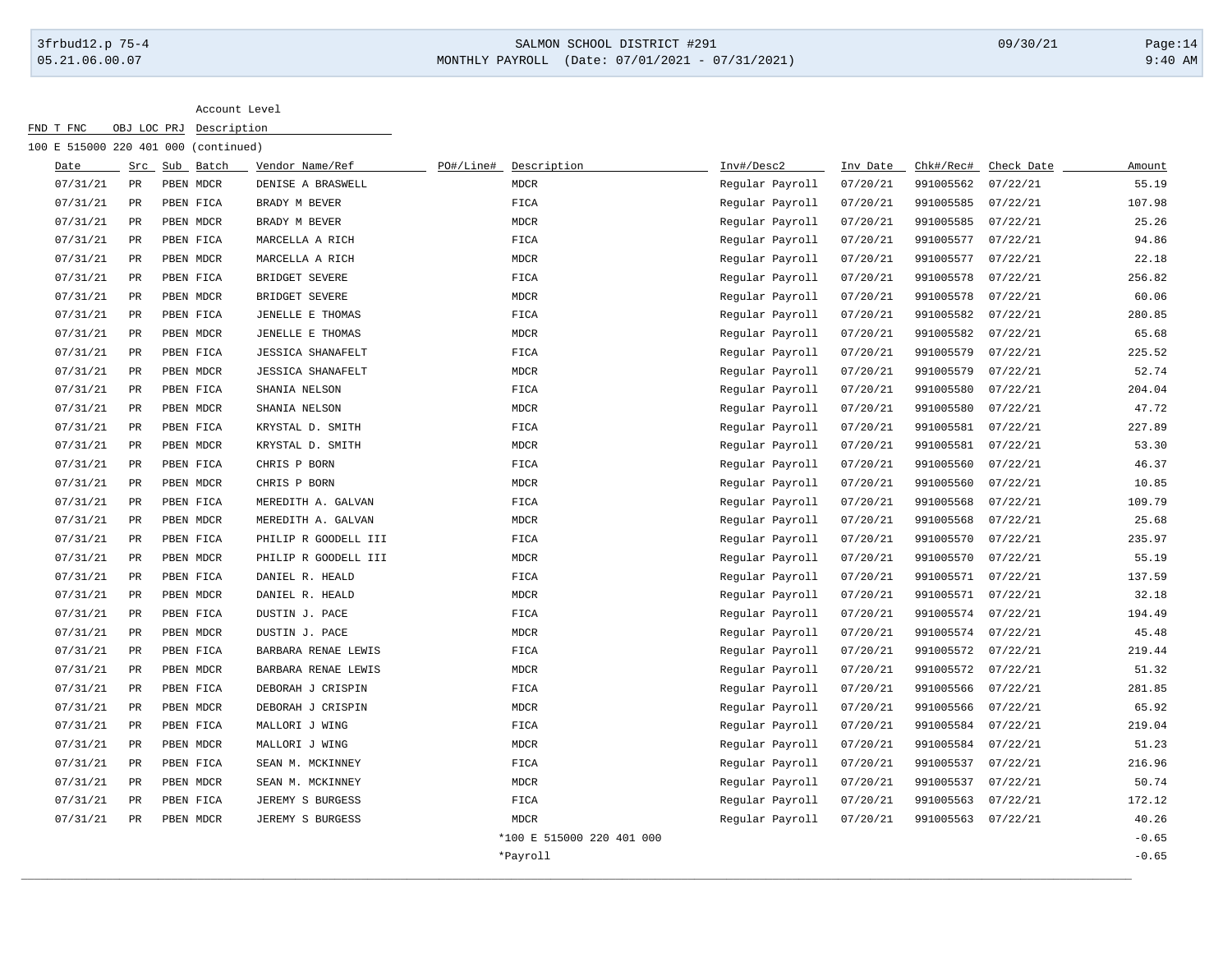## 3frbud12.p 75-4 SALMON SCHOOL DISTRICT #291 09/30/21 Page:14 05.21.06.00.07 MONTHLY PAYROLL (Date: 07/01/2021 - 07/31/2021) 9:40 AM

| Date<br>07/31/21 | Src           | Sub Batch | Vendor Name/Ref          |           |                           |                 |          |           |            |         |
|------------------|---------------|-----------|--------------------------|-----------|---------------------------|-----------------|----------|-----------|------------|---------|
|                  |               |           |                          | PO#/Line# | Description               | Inv#/Desc2      | Inv Date | Chk#/Rec# | Check Date | Amount  |
|                  | PR            | PBEN MDCR | DENISE A BRASWELL        |           | <b>MDCR</b>               | Regular Payroll | 07/20/21 | 991005562 | 07/22/21   | 55.19   |
| 07/31/21         | PR            | PBEN FICA | BRADY M BEVER            |           | FICA                      | Regular Payroll | 07/20/21 | 991005585 | 07/22/21   | 107.98  |
| 07/31/21         | $_{\rm PR}$   | PBEN MDCR | BRADY M BEVER            |           | MDCR                      | Regular Payroll | 07/20/21 | 991005585 | 07/22/21   | 25.26   |
| 07/31/21         | $_{\rm PR}$   | PBEN FICA | MARCELLA A RICH          |           | FICA                      | Regular Payroll | 07/20/21 | 991005577 | 07/22/21   | 94.86   |
| 07/31/21         | $_{\rm PR}$   | PBEN MDCR | MARCELLA A RICH          |           | MDCR                      | Regular Payroll | 07/20/21 | 991005577 | 07/22/21   | 22.18   |
| 07/31/21         | $_{\rm PR}$   | PBEN FICA | BRIDGET SEVERE           |           | FICA                      | Regular Payroll | 07/20/21 | 991005578 | 07/22/21   | 256.82  |
| 07/31/21         | PR            | PBEN MDCR | BRIDGET SEVERE           |           | MDCR                      | Regular Payroll | 07/20/21 | 991005578 | 07/22/21   | 60.06   |
| 07/31/21         | PR            | PBEN FICA | JENELLE E THOMAS         |           | FICA                      | Regular Payroll | 07/20/21 | 991005582 | 07/22/21   | 280.85  |
| 07/31/21         | PR            | PBEN MDCR | JENELLE E THOMAS         |           | MDCR                      | Regular Payroll | 07/20/21 | 991005582 | 07/22/21   | 65.68   |
| 07/31/21         | PR            | PBEN FICA | <b>JESSICA SHANAFELT</b> |           | FICA                      | Regular Payroll | 07/20/21 | 991005579 | 07/22/21   | 225.52  |
| 07/31/21         | PR            | PBEN MDCR | <b>JESSICA SHANAFELT</b> |           | MDCR                      | Regular Payroll | 07/20/21 | 991005579 | 07/22/21   | 52.74   |
| 07/31/21         | $_{\rm PR}$   | PBEN FICA | SHANIA NELSON            |           | FICA                      | Regular Payroll | 07/20/21 | 991005580 | 07/22/21   | 204.04  |
| 07/31/21         | PR            | PBEN MDCR | SHANIA NELSON            |           | <b>MDCR</b>               | Regular Payroll | 07/20/21 | 991005580 | 07/22/21   | 47.72   |
| 07/31/21         | PR            | PBEN FICA | KRYSTAL D. SMITH         |           | FICA                      | Regular Payroll | 07/20/21 | 991005581 | 07/22/21   | 227.89  |
| 07/31/21         | PR            | PBEN MDCR | KRYSTAL D. SMITH         |           | MDCR                      | Regular Payroll | 07/20/21 | 991005581 | 07/22/21   | 53.30   |
| 07/31/21         | $\mathtt{PR}$ | PBEN FICA | CHRIS P BORN             |           | FICA                      | Regular Payroll | 07/20/21 | 991005560 | 07/22/21   | 46.37   |
| 07/31/21         | $_{\rm PR}$   | PBEN MDCR | CHRIS P BORN             |           | MDCR                      | Regular Payroll | 07/20/21 | 991005560 | 07/22/21   | 10.85   |
| 07/31/21         | $_{\rm PR}$   | PBEN FICA | MEREDITH A. GALVAN       |           | FICA                      | Regular Payroll | 07/20/21 | 991005568 | 07/22/21   | 109.79  |
| 07/31/21         | PR            | PBEN MDCR | MEREDITH A. GALVAN       |           | <b>MDCR</b>               | Regular Payroll | 07/20/21 | 991005568 | 07/22/21   | 25.68   |
| 07/31/21         | PR            | PBEN FICA | PHILIP R GOODELL III     |           | FICA                      | Regular Payroll | 07/20/21 | 991005570 | 07/22/21   | 235.97  |
| 07/31/21         | PR            | PBEN MDCR | PHILIP R GOODELL III     |           | MDCR                      | Regular Payroll | 07/20/21 | 991005570 | 07/22/21   | 55.19   |
| 07/31/21         | $_{\rm PR}$   | PBEN FICA | DANIEL R. HEALD          |           | FICA                      | Regular Payroll | 07/20/21 | 991005571 | 07/22/21   | 137.59  |
| 07/31/21         | PR            | PBEN MDCR | DANIEL R. HEALD          |           | MDCR                      | Regular Payroll | 07/20/21 | 991005571 | 07/22/21   | 32.18   |
| 07/31/21         | PR            | PBEN FICA | DUSTIN J. PACE           |           | FICA                      | Regular Payroll | 07/20/21 | 991005574 | 07/22/21   | 194.49  |
| 07/31/21         | PR            | PBEN MDCR | DUSTIN J. PACE           |           | MDCR                      | Regular Payroll | 07/20/21 | 991005574 | 07/22/21   | 45.48   |
| 07/31/21         | PR            | PBEN FICA | BARBARA RENAE LEWIS      |           | FICA                      | Regular Payroll | 07/20/21 | 991005572 | 07/22/21   | 219.44  |
| 07/31/21         | PR            | PBEN MDCR | BARBARA RENAE LEWIS      |           | <b>MDCR</b>               | Regular Payroll | 07/20/21 | 991005572 | 07/22/21   | 51.32   |
| 07/31/21         | PR            | PBEN FICA | DEBORAH J CRISPIN        |           | FICA                      | Regular Payroll | 07/20/21 | 991005566 | 07/22/21   | 281.85  |
| 07/31/21         | $_{\rm PR}$   | PBEN MDCR | DEBORAH J CRISPIN        |           | MDCR                      | Regular Payroll | 07/20/21 | 991005566 | 07/22/21   | 65.92   |
| 07/31/21         | $_{\rm PR}$   | PBEN FICA | MALLORI J WING           |           | FICA                      | Regular Payroll | 07/20/21 | 991005584 | 07/22/21   | 219.04  |
| 07/31/21         | PR            | PBEN MDCR | MALLORI J WING           |           | MDCR                      | Regular Payroll | 07/20/21 | 991005584 | 07/22/21   | 51.23   |
| 07/31/21         | PR            | PBEN FICA | SEAN M. MCKINNEY         |           | FICA                      | Regular Payroll | 07/20/21 | 991005537 | 07/22/21   | 216.96  |
| 07/31/21         | PR            | PBEN MDCR | SEAN M. MCKINNEY         |           | MDCR                      | Regular Payroll | 07/20/21 | 991005537 | 07/22/21   | 50.74   |
| 07/31/21         | $_{\rm PR}$   | PBEN FICA | JEREMY S BURGESS         |           | FICA                      | Regular Payroll | 07/20/21 | 991005563 | 07/22/21   | 172.12  |
| 07/31/21         | $_{\rm PR}$   | PBEN MDCR | JEREMY S BURGESS         |           | MDCR                      | Regular Payroll | 07/20/21 | 991005563 | 07/22/21   | 40.26   |
|                  |               |           |                          |           | *100 E 515000 220 401 000 |                 |          |           |            | $-0.65$ |
|                  |               |           |                          |           | *Payroll                  |                 |          |           |            | $-0.65$ |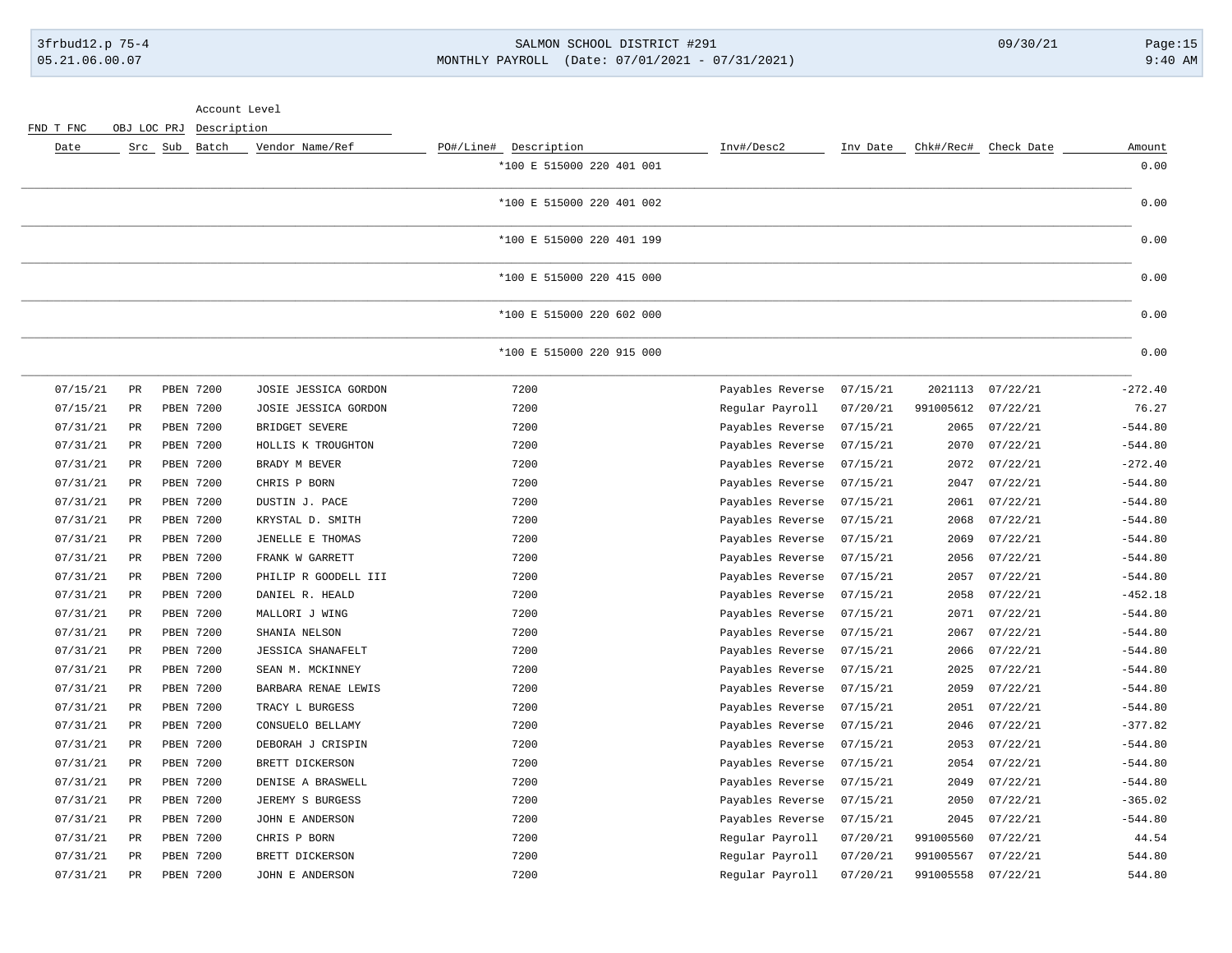### 3frbud12.p 75-4 SALMON SCHOOL DISTRICT #291 09/30/21 Page:15 05.21.06.00.07 MONTHLY PAYROLL (Date: 07/01/2021 - 07/31/2021) 9:40 AM

Account Level

| Date     | Src           | Sub Batch | Vendor Name/Ref          | PO#/Line#<br>Description  | Inv#/Desc2       | Inv Date | Chk#/Rec# | Check Date       | Amount    |
|----------|---------------|-----------|--------------------------|---------------------------|------------------|----------|-----------|------------------|-----------|
|          |               |           |                          | *100 E 515000 220 401 001 |                  |          |           |                  | 0.00      |
|          |               |           |                          | *100 E 515000 220 401 002 |                  |          |           |                  | 0.00      |
|          |               |           |                          | *100 E 515000 220 401 199 |                  |          |           |                  | 0.00      |
|          |               |           |                          | *100 E 515000 220 415 000 |                  |          |           |                  | 0.00      |
|          |               |           |                          | *100 E 515000 220 602 000 |                  |          |           |                  | 0.00      |
|          |               |           |                          | *100 E 515000 220 915 000 |                  |          |           |                  | 0.00      |
| 07/15/21 | $\mathtt{PR}$ | PBEN 7200 | JOSIE JESSICA GORDON     | 7200                      | Payables Reverse | 07/15/21 |           | 2021113 07/22/21 | $-272.40$ |
| 07/15/21 | $\mathtt{PR}$ | PBEN 7200 | JOSIE JESSICA GORDON     | 7200                      | Regular Payroll  | 07/20/21 | 991005612 | 07/22/21         | 76.27     |
| 07/31/21 | $\mathtt{PR}$ | PBEN 7200 | BRIDGET SEVERE           | 7200                      | Payables Reverse | 07/15/21 | 2065      | 07/22/21         | $-544.80$ |
| 07/31/21 | $_{\rm PR}$   | PBEN 7200 | HOLLIS K TROUGHTON       | 7200                      | Payables Reverse | 07/15/21 | 2070      | 07/22/21         | $-544.80$ |
| 07/31/21 | $\rm PR$      | PBEN 7200 | BRADY M BEVER            | 7200                      | Payables Reverse | 07/15/21 | 2072      | 07/22/21         | $-272.40$ |
| 07/31/21 | PR            | PBEN 7200 | CHRIS P BORN             | 7200                      | Payables Reverse | 07/15/21 | 2047      | 07/22/21         | $-544.80$ |
| 07/31/21 | PR            | PBEN 7200 | DUSTIN J. PACE           | 7200                      | Payables Reverse | 07/15/21 | 2061      | 07/22/21         | $-544.80$ |
| 07/31/21 | PR            | PBEN 7200 | KRYSTAL D. SMITH         | 7200                      | Payables Reverse | 07/15/21 | 2068      | 07/22/21         | $-544.80$ |
| 07/31/21 | PR            | PBEN 7200 | JENELLE E THOMAS         | 7200                      | Payables Reverse | 07/15/21 | 2069      | 07/22/21         | $-544.80$ |
| 07/31/21 | PR            | PBEN 7200 | FRANK W GARRETT          | 7200                      | Payables Reverse | 07/15/21 | 2056      | 07/22/21         | $-544.80$ |
| 07/31/21 | $_{\rm PR}$   | PBEN 7200 | PHILIP R GOODELL III     | 7200                      | Payables Reverse | 07/15/21 | 2057      | 07/22/21         | $-544.80$ |
| 07/31/21 | PR            | PBEN 7200 | DANIEL R. HEALD          | 7200                      | Payables Reverse | 07/15/21 | 2058      | 07/22/21         | $-452.18$ |
| 07/31/21 | PR            | PBEN 7200 | MALLORI J WING           | 7200                      | Payables Reverse | 07/15/21 | 2071      | 07/22/21         | $-544.80$ |
| 07/31/21 | $_{\rm PR}$   | PBEN 7200 | SHANIA NELSON            | 7200                      | Payables Reverse | 07/15/21 | 2067      | 07/22/21         | $-544.80$ |
| 07/31/21 | PR            | PBEN 7200 | <b>JESSICA SHANAFELT</b> | 7200                      | Payables Reverse | 07/15/21 | 2066      | 07/22/21         | $-544.80$ |
| 07/31/21 | PR            | PBEN 7200 | SEAN M. MCKINNEY         | 7200                      | Payables Reverse | 07/15/21 | 2025      | 07/22/21         | $-544.80$ |
| 07/31/21 | PR            | PBEN 7200 | BARBARA RENAE LEWIS      | 7200                      | Payables Reverse | 07/15/21 | 2059      | 07/22/21         | $-544.80$ |
| 07/31/21 | PR            | PBEN 7200 | TRACY L BURGESS          | 7200                      | Payables Reverse | 07/15/21 | 2051      | 07/22/21         | $-544.80$ |
| 07/31/21 | $_{\rm PR}$   | PBEN 7200 | CONSUELO BELLAMY         | 7200                      | Payables Reverse | 07/15/21 | 2046      | 07/22/21         | $-377.82$ |
| 07/31/21 | PR            | PBEN 7200 | DEBORAH J CRISPIN        | 7200                      | Payables Reverse | 07/15/21 | 2053      | 07/22/21         | $-544.80$ |
| 07/31/21 | $_{\rm PR}$   | PBEN 7200 | BRETT DICKERSON          | 7200                      | Payables Reverse | 07/15/21 | 2054      | 07/22/21         | $-544.80$ |
| 07/31/21 | PR            | PBEN 7200 | DENISE A BRASWELL        | 7200                      | Payables Reverse | 07/15/21 | 2049      | 07/22/21         | $-544.80$ |
| 07/31/21 | PR            | PBEN 7200 | JEREMY S BURGESS         | 7200                      | Payables Reverse | 07/15/21 | 2050      | 07/22/21         | $-365.02$ |
| 07/31/21 | PR            | PBEN 7200 | JOHN E ANDERSON          | 7200                      | Payables Reverse | 07/15/21 | 2045      | 07/22/21         | $-544.80$ |
| 07/31/21 | PR            | PBEN 7200 | CHRIS P BORN             | 7200                      | Regular Payroll  | 07/20/21 | 991005560 | 07/22/21         | 44.54     |
| 07/31/21 | $_{\rm PR}$   | PBEN 7200 | BRETT DICKERSON          | 7200                      | Regular Payroll  | 07/20/21 | 991005567 | 07/22/21         | 544.80    |
| 07/31/21 | $\mathtt{PR}$ | PBEN 7200 | JOHN E ANDERSON          | 7200                      | Regular Payroll  | 07/20/21 | 991005558 | 07/22/21         | 544.80    |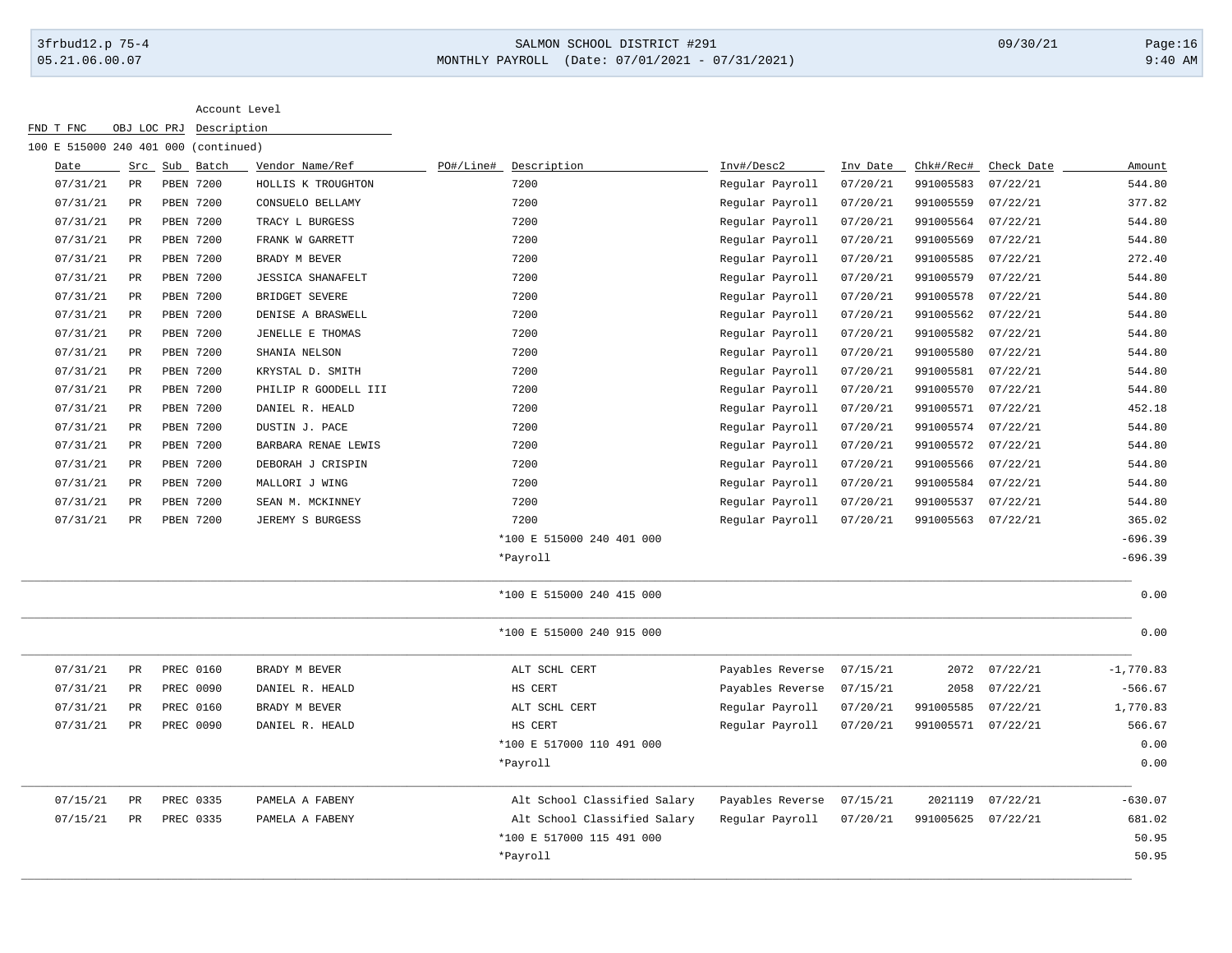# 3frbud12.p 75-4 SALMON SCHOOL DISTRICT #291 09/30/21 Page:16 05.21.06.00.07 MONTHLY PAYROLL (Date: 07/01/2021 - 07/31/2021) 9:40 AM

| Date     | Src         | Sub Batch        | Vendor Name/Ref          | PO#/Line# | Description                  | Inv#/Desc2       | Inv Date | Chk#/Rec#          | Check Date | Amount      |
|----------|-------------|------------------|--------------------------|-----------|------------------------------|------------------|----------|--------------------|------------|-------------|
| 07/31/21 | PR          | <b>PBEN 7200</b> | HOLLIS K TROUGHTON       |           | 7200                         | Regular Payroll  | 07/20/21 | 991005583          | 07/22/21   | 544.80      |
| 07/31/21 | PR          | <b>PBEN 7200</b> | CONSUELO BELLAMY         |           | 7200                         | Regular Payroll  | 07/20/21 | 991005559          | 07/22/21   | 377.82      |
| 07/31/21 | $_{\rm PR}$ | PBEN 7200        | TRACY L BURGESS          |           | 7200                         | Regular Payroll  | 07/20/21 | 991005564          | 07/22/21   | 544.80      |
| 07/31/21 | PR          | PBEN 7200        | FRANK W GARRETT          |           | 7200                         | Regular Payroll  | 07/20/21 | 991005569          | 07/22/21   | 544.80      |
| 07/31/21 | PR          | PBEN 7200        | BRADY M BEVER            |           | 7200                         | Regular Payroll  | 07/20/21 | 991005585          | 07/22/21   | 272.40      |
| 07/31/21 | PR          | PBEN 7200        | <b>JESSICA SHANAFELT</b> |           | 7200                         | Regular Payroll  | 07/20/21 | 991005579          | 07/22/21   | 544.80      |
| 07/31/21 | PR          | PBEN 7200        | BRIDGET SEVERE           |           | 7200                         | Regular Payroll  | 07/20/21 | 991005578          | 07/22/21   | 544.80      |
| 07/31/21 | PR          | <b>PBEN 7200</b> | DENISE A BRASWELL        |           | 7200                         | Regular Payroll  | 07/20/21 | 991005562          | 07/22/21   | 544.80      |
| 07/31/21 | PR          | PBEN 7200        | JENELLE E THOMAS         |           | 7200                         | Regular Payroll  | 07/20/21 | 991005582          | 07/22/21   | 544.80      |
| 07/31/21 | PR          | PBEN 7200        | SHANIA NELSON            |           | 7200                         | Regular Payroll  | 07/20/21 | 991005580          | 07/22/21   | 544.80      |
| 07/31/21 | PR          | PBEN 7200        | KRYSTAL D. SMITH         |           | 7200                         | Regular Payroll  | 07/20/21 | 991005581          | 07/22/21   | 544.80      |
| 07/31/21 | $_{\rm PR}$ | PBEN 7200        | PHILIP R GOODELL III     |           | 7200                         | Regular Payroll  | 07/20/21 | 991005570          | 07/22/21   | 544.80      |
| 07/31/21 | PR          | PBEN 7200        | DANIEL R. HEALD          |           | 7200                         | Regular Payroll  | 07/20/21 | 991005571          | 07/22/21   | 452.18      |
| 07/31/21 | PR          | PBEN 7200        | DUSTIN J. PACE           |           | 7200                         | Regular Payroll  | 07/20/21 | 991005574          | 07/22/21   | 544.80      |
| 07/31/21 | PR          | <b>PBEN 7200</b> | BARBARA RENAE LEWIS      |           | 7200                         | Regular Payroll  | 07/20/21 | 991005572          | 07/22/21   | 544.80      |
| 07/31/21 | PR          | PBEN 7200        | DEBORAH J CRISPIN        |           | 7200                         | Regular Payroll  | 07/20/21 | 991005566          | 07/22/21   | 544.80      |
| 07/31/21 | PR          | PBEN 7200        | MALLORI J WING           |           | 7200                         | Regular Payroll  | 07/20/21 | 991005584          | 07/22/21   | 544.80      |
| 07/31/21 | PR          | PBEN 7200        | SEAN M. MCKINNEY         |           | 7200                         | Regular Payroll  | 07/20/21 | 991005537          | 07/22/21   | 544.80      |
| 07/31/21 | PR          | PBEN 7200        | JEREMY S BURGESS         |           | 7200                         | Regular Payroll  | 07/20/21 | 991005563          | 07/22/21   | 365.02      |
|          |             |                  |                          |           | *100 E 515000 240 401 000    |                  |          |                    |            | $-696.39$   |
|          |             |                  |                          |           | *Payroll                     |                  |          |                    |            | $-696.39$   |
|          |             |                  |                          |           | *100 E 515000 240 415 000    |                  |          |                    |            | 0.00        |
|          |             |                  |                          |           | *100 E 515000 240 915 000    |                  |          |                    |            | 0.00        |
| 07/31/21 | PR          | PREC 0160        | BRADY M BEVER            |           | ALT SCHL CERT                | Payables Reverse | 07/15/21 | 2072               | 07/22/21   | $-1,770.83$ |
| 07/31/21 | PR          | PREC 0090        | DANIEL R. HEALD          |           | HS CERT                      | Payables Reverse | 07/15/21 | 2058               | 07/22/21   | $-566.67$   |
| 07/31/21 | PR          | PREC 0160        | BRADY M BEVER            |           | ALT SCHL CERT                | Regular Payroll  | 07/20/21 | 991005585          | 07/22/21   | 1,770.83    |
| 07/31/21 | $_{\rm PR}$ | PREC 0090        | DANIEL R. HEALD          |           | HS CERT                      | Regular Payroll  | 07/20/21 | 991005571 07/22/21 |            | 566.67      |
|          |             |                  |                          |           | *100 E 517000 110 491 000    |                  |          |                    |            | 0.00        |
|          |             |                  |                          |           | *Payroll                     |                  |          |                    |            | 0.00        |
| 07/15/21 | $_{\rm PR}$ | PREC 0335        | PAMELA A FABENY          |           | Alt School Classified Salary | Payables Reverse | 07/15/21 | 2021119            | 07/22/21   | $-630.07$   |
| 07/15/21 | $_{\rm PR}$ | PREC 0335        | PAMELA A FABENY          |           | Alt School Classified Salary | Regular Payroll  | 07/20/21 | 991005625          | 07/22/21   | 681.02      |
|          |             |                  |                          |           | *100 E 517000 115 491 000    |                  |          |                    |            | 50.95       |
|          |             |                  |                          |           | *Payroll                     |                  |          |                    |            | 50.95       |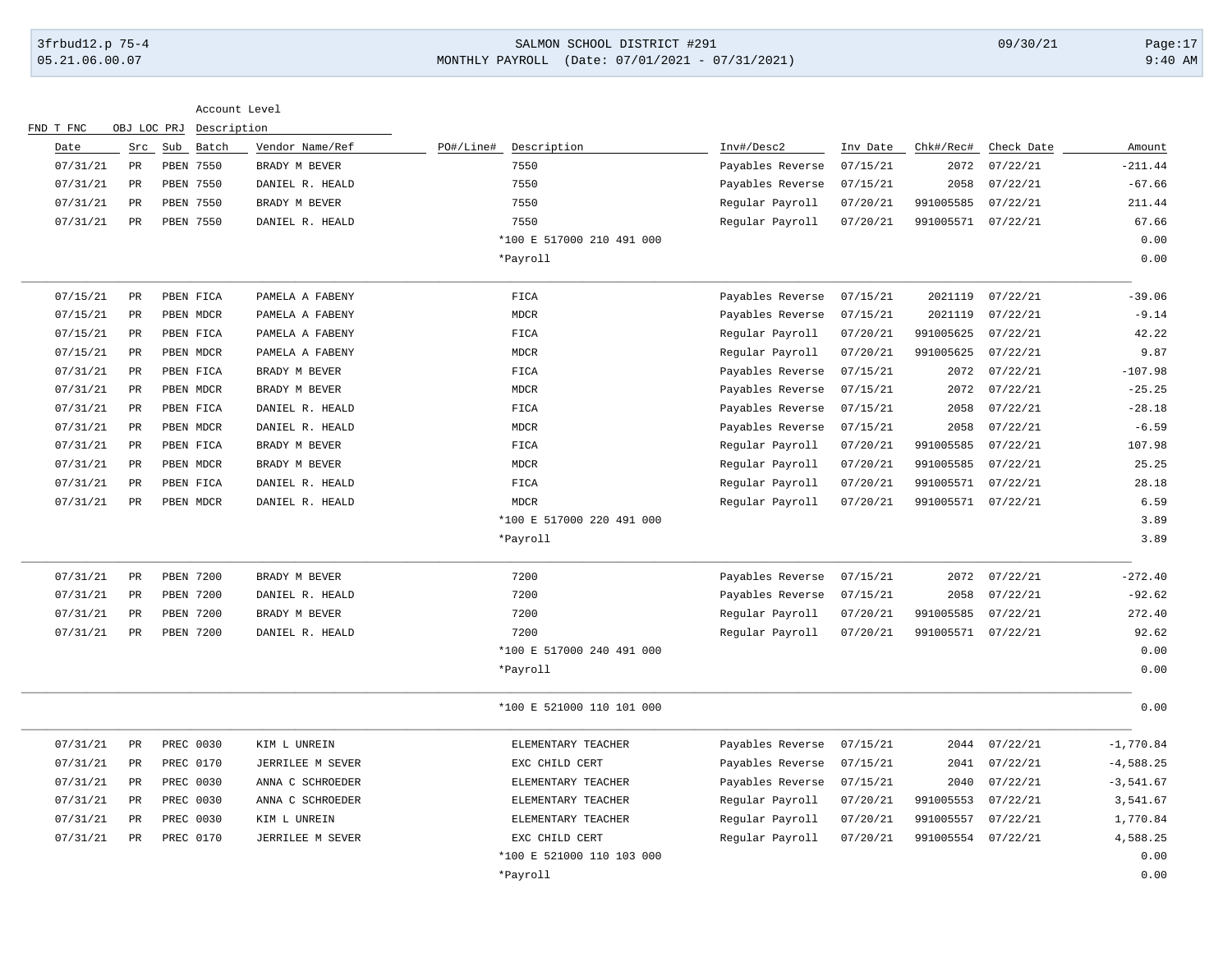## 3frbud12.p 75-4 SALMON SCHOOL DISTRICT #291 09/30/21 Page:17 05.21.06.00.07 MONTHLY PAYROLL (Date: 07/01/2021 - 07/31/2021) 9:40 AM

|           |             |               | Account Level |                  |                           |                  |          |                    |            |              |
|-----------|-------------|---------------|---------------|------------------|---------------------------|------------------|----------|--------------------|------------|--------------|
| FND T FNC |             | OBJ LOC PRJ   | Description   |                  |                           |                  |          |                    |            |              |
| Date      |             | Src Sub Batch |               | Vendor Name/Ref  | PO#/Line# Description     | Inv#/Desc2       | Inv Date | Chk#/Rec#          | Check Date | Amount       |
| 07/31/21  | PR          |               | PBEN 7550     | BRADY M BEVER    | 7550                      | Payables Reverse | 07/15/21 | 2072               | 07/22/21   | $-211.44$    |
| 07/31/21  | PR          |               | PBEN 7550     | DANIEL R. HEALD  | 7550                      | Payables Reverse | 07/15/21 | 2058               | 07/22/21   | $-67.66$     |
| 07/31/21  | PR          |               | PBEN 7550     | BRADY M BEVER    | 7550                      | Regular Payroll  | 07/20/21 | 991005585          | 07/22/21   | 211.44       |
| 07/31/21  | PR          |               | PBEN 7550     | DANIEL R. HEALD  | 7550                      | Regular Payroll  | 07/20/21 | 991005571 07/22/21 |            | 67.66        |
|           |             |               |               |                  | *100 E 517000 210 491 000 |                  |          |                    |            | 0.00         |
|           |             |               |               |                  | *Payroll                  |                  |          |                    |            | 0.00         |
| 07/15/21  | PR          |               | PBEN FICA     | PAMELA A FABENY  | FICA                      | Payables Reverse | 07/15/21 | 2021119            | 07/22/21   | $-39.06$     |
| 07/15/21  | PR          |               | PBEN MDCR     | PAMELA A FABENY  | MDCR                      | Payables Reverse | 07/15/21 | 2021119            | 07/22/21   | $-9.14$      |
| 07/15/21  | $_{\rm PR}$ |               | PBEN FICA     | PAMELA A FABENY  | FICA                      | Regular Payroll  | 07/20/21 | 991005625          | 07/22/21   | 42.22        |
| 07/15/21  | PR          |               | PBEN MDCR     | PAMELA A FABENY  | MDCR                      | Regular Payroll  | 07/20/21 | 991005625          | 07/22/21   | 9.87         |
| 07/31/21  | PR          |               | PBEN FICA     | BRADY M BEVER    | FICA                      | Payables Reverse | 07/15/21 | 2072               | 07/22/21   | $-107.98$    |
| 07/31/21  | PR          |               | PBEN MDCR     | BRADY M BEVER    | <b>MDCR</b>               | Payables Reverse | 07/15/21 | 2072               | 07/22/21   | $-25.25$     |
| 07/31/21  | $_{\rm PR}$ |               | PBEN FICA     | DANIEL R. HEALD  | FICA                      | Payables Reverse | 07/15/21 | 2058               | 07/22/21   | $-28.18$     |
| 07/31/21  | $_{\rm PR}$ |               | PBEN MDCR     | DANIEL R. HEALD  | MDCR                      | Payables Reverse | 07/15/21 | 2058               | 07/22/21   | $-6.59$      |
| 07/31/21  | PR          |               | PBEN FICA     | BRADY M BEVER    | FICA                      | Regular Payroll  | 07/20/21 | 991005585          | 07/22/21   | 107.98       |
| 07/31/21  | PR          |               | PBEN MDCR     | BRADY M BEVER    | <b>MDCR</b>               | Regular Payroll  | 07/20/21 | 991005585          | 07/22/21   | 25.25        |
| 07/31/21  | PR          |               | PBEN FICA     | DANIEL R. HEALD  | FICA                      | Regular Payroll  | 07/20/21 | 991005571          | 07/22/21   | 28.18        |
| 07/31/21  | PR          |               | PBEN MDCR     | DANIEL R. HEALD  | <b>MDCR</b>               | Regular Payroll  | 07/20/21 | 991005571 07/22/21 |            | 6.59         |
|           |             |               |               |                  | *100 E 517000 220 491 000 |                  |          |                    |            | 3.89         |
|           |             |               |               |                  | *Payroll                  |                  |          |                    |            | 3.89         |
| 07/31/21  | PR          |               | PBEN 7200     | BRADY M BEVER    | 7200                      | Payables Reverse | 07/15/21 | 2072               | 07/22/21   | $-272.40$    |
| 07/31/21  | PR          |               | PBEN 7200     | DANIEL R. HEALD  | 7200                      | Payables Reverse | 07/15/21 | 2058               | 07/22/21   | $-92.62$     |
| 07/31/21  | $_{\rm PR}$ |               | PBEN 7200     | BRADY M BEVER    | 7200                      | Regular Payroll  | 07/20/21 | 991005585          | 07/22/21   | 272.40       |
| 07/31/21  | PR          |               | PBEN 7200     | DANIEL R. HEALD  | 7200                      | Regular Payroll  | 07/20/21 | 991005571          | 07/22/21   | 92.62        |
|           |             |               |               |                  | *100 E 517000 240 491 000 |                  |          |                    |            | 0.00         |
|           |             |               |               |                  | *Payroll                  |                  |          |                    |            | 0.00         |
|           |             |               |               |                  | *100 E 521000 110 101 000 |                  |          |                    |            | 0.00         |
| 07/31/21  | $_{\rm PR}$ |               | PREC 0030     | KIM L UNREIN     | ELEMENTARY TEACHER        | Payables Reverse | 07/15/21 | 2044               | 07/22/21   | $-1,770.84$  |
| 07/31/21  | $_{\rm PR}$ |               | PREC 0170     | JERRILEE M SEVER | EXC CHILD CERT            | Payables Reverse | 07/15/21 | 2041               | 07/22/21   | $-4,588.25$  |
| 07/31/21  | PR          |               | PREC 0030     | ANNA C SCHROEDER | ELEMENTARY TEACHER        | Payables Reverse | 07/15/21 | 2040               | 07/22/21   | $-3, 541.67$ |
| 07/31/21  | PR          |               | PREC 0030     | ANNA C SCHROEDER | ELEMENTARY TEACHER        | Regular Payroll  | 07/20/21 | 991005553          | 07/22/21   | 3,541.67     |
| 07/31/21  | PR          |               | PREC 0030     | KIM L UNREIN     | ELEMENTARY TEACHER        | Regular Payroll  | 07/20/21 | 991005557          | 07/22/21   | 1,770.84     |
| 07/31/21  | PR          |               | PREC 0170     | JERRILEE M SEVER | EXC CHILD CERT            | Regular Payroll  | 07/20/21 | 991005554          | 07/22/21   | 4,588.25     |
|           |             |               |               |                  | *100 E 521000 110 103 000 |                  |          |                    |            | 0.00         |
|           |             |               |               |                  | *Payroll                  |                  |          |                    |            | 0.00         |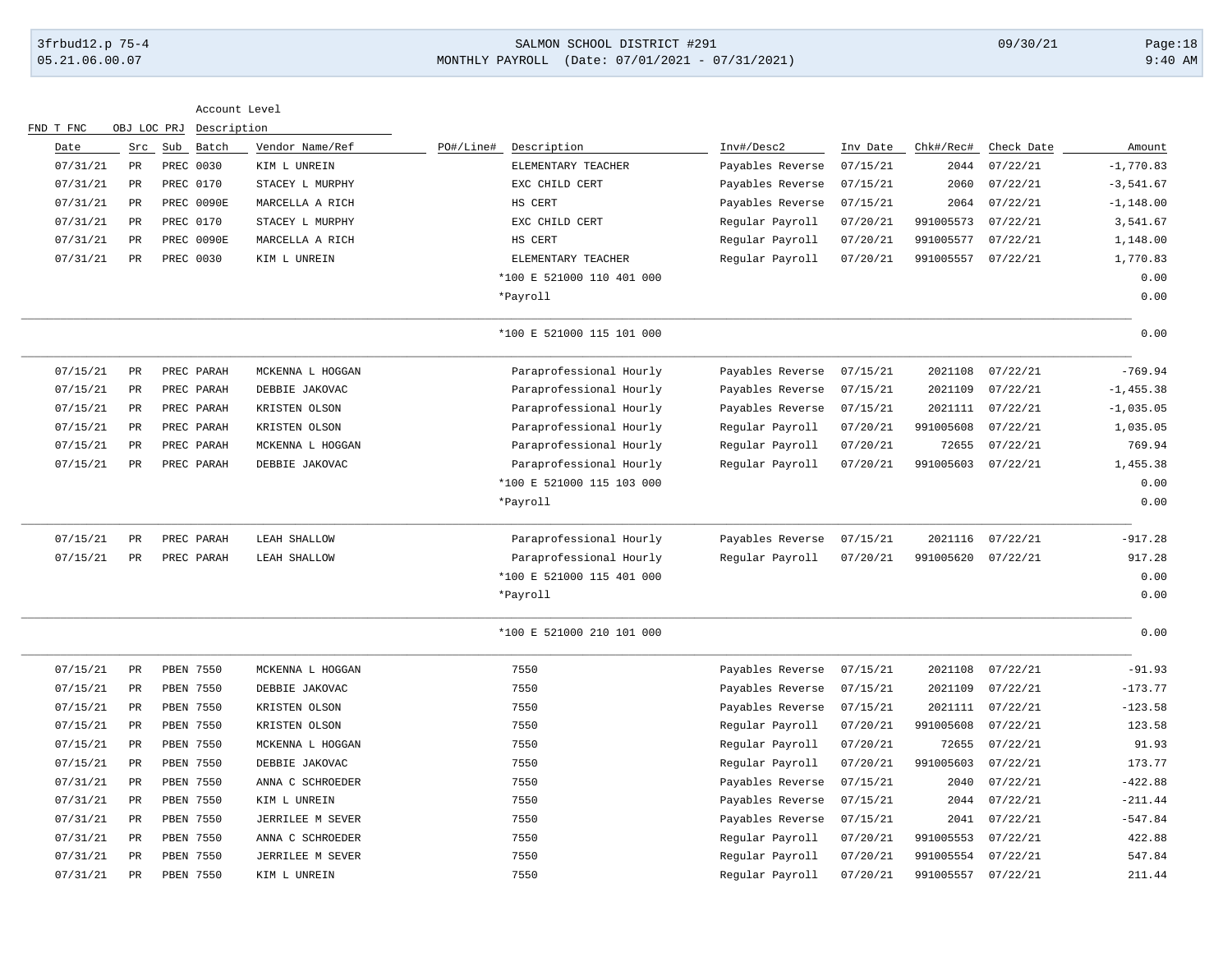# 3frbud12.p 75-4 SALMON SCHOOL DISTRICT #291 09/30/21 Page:18 05.21.06.00.07 MONTHLY PAYROLL (Date: 07/01/2021 - 07/31/2021) 9:40 AM

| Account Level |             |                  |                  |                           |                  |          |           |            |              |
|---------------|-------------|------------------|------------------|---------------------------|------------------|----------|-----------|------------|--------------|
| FND T FNC     | OBJ LOC PRJ | Description      |                  |                           |                  |          |           |            |              |
| Date          | Src         | Batch<br>Sub     | Vendor Name/Ref  | PO#/Line# Description     | Inv#/Desc2       | Inv Date | Chk#/Rec# | Check Date | Amount       |
| 07/31/21      | PR          | PREC 0030        | KIM L UNREIN     | ELEMENTARY TEACHER        | Payables Reverse | 07/15/21 | 2044      | 07/22/21   | $-1,770.83$  |
| 07/31/21      | PR          | PREC 0170        | STACEY L MURPHY  | EXC CHILD CERT            | Payables Reverse | 07/15/21 | 2060      | 07/22/21   | $-3,541.67$  |
| 07/31/21      | PR          | PREC 0090E       | MARCELLA A RICH  | HS CERT                   | Payables Reverse | 07/15/21 | 2064      | 07/22/21   | $-1, 148.00$ |
| 07/31/21      | PR          | PREC 0170        | STACEY L MURPHY  | EXC CHILD CERT            | Regular Payroll  | 07/20/21 | 991005573 | 07/22/21   | 3,541.67     |
| 07/31/21      | PR          | PREC 0090E       | MARCELLA A RICH  | HS CERT                   | Regular Payroll  | 07/20/21 | 991005577 | 07/22/21   | 1,148.00     |
| 07/31/21      | PR          | PREC 0030        | KIM L UNREIN     | ELEMENTARY TEACHER        | Regular Payroll  | 07/20/21 | 991005557 | 07/22/21   | 1,770.83     |
|               |             |                  |                  | *100 E 521000 110 401 000 |                  |          |           |            | 0.00         |
|               |             |                  |                  | *Payroll                  |                  |          |           |            | 0.00         |
|               |             |                  |                  | *100 E 521000 115 101 000 |                  |          |           |            | 0.00         |
| 07/15/21      | PR          | PREC PARAH       | MCKENNA L HOGGAN | Paraprofessional Hourly   | Payables Reverse | 07/15/21 | 2021108   | 07/22/21   | $-769.94$    |
| 07/15/21      | PR          | PREC PARAH       | DEBBIE JAKOVAC   | Paraprofessional Hourly   | Payables Reverse | 07/15/21 | 2021109   | 07/22/21   | $-1, 455.38$ |
| 07/15/21      | PR          | PREC PARAH       | KRISTEN OLSON    | Paraprofessional Hourly   | Payables Reverse | 07/15/21 | 2021111   | 07/22/21   | $-1,035.05$  |
| 07/15/21      | PR          | PREC PARAH       | KRISTEN OLSON    | Paraprofessional Hourly   | Regular Payroll  | 07/20/21 | 991005608 | 07/22/21   | 1,035.05     |
| 07/15/21      | PR          | PREC PARAH       | MCKENNA L HOGGAN | Paraprofessional Hourly   | Regular Payroll  | 07/20/21 | 72655     | 07/22/21   | 769.94       |
| 07/15/21      | PR          | PREC PARAH       | DEBBIE JAKOVAC   | Paraprofessional Hourly   | Regular Payroll  | 07/20/21 | 991005603 | 07/22/21   | 1,455.38     |
|               |             |                  |                  | *100 E 521000 115 103 000 |                  |          |           |            | 0.00         |
|               |             |                  |                  | *Payroll                  |                  |          |           |            | 0.00         |
| 07/15/21      | PR          | PREC PARAH       | LEAH SHALLOW     | Paraprofessional Hourly   | Payables Reverse | 07/15/21 | 2021116   | 07/22/21   | $-917.28$    |
| 07/15/21      | PR          | PREC PARAH       | LEAH SHALLOW     | Paraprofessional Hourly   | Regular Payroll  | 07/20/21 | 991005620 | 07/22/21   | 917.28       |
|               |             |                  |                  | *100 E 521000 115 401 000 |                  |          |           |            | 0.00         |
|               |             |                  |                  | *Payroll                  |                  |          |           |            | 0.00         |
|               |             |                  |                  | *100 E 521000 210 101 000 |                  |          |           |            | 0.00         |
| 07/15/21      | PR          | PBEN 7550        | MCKENNA L HOGGAN | 7550                      | Payables Reverse | 07/15/21 | 2021108   | 07/22/21   | $-91.93$     |
| 07/15/21      | PR          | PBEN 7550        | DEBBIE JAKOVAC   | 7550                      | Payables Reverse | 07/15/21 | 2021109   | 07/22/21   | $-173.77$    |
| 07/15/21      | PR          | <b>PBEN 7550</b> | KRISTEN OLSON    | 7550                      | Payables Reverse | 07/15/21 | 2021111   | 07/22/21   | $-123.58$    |
| 07/15/21      | PR          | <b>PBEN 7550</b> | KRISTEN OLSON    | 7550                      | Regular Payroll  | 07/20/21 | 991005608 | 07/22/21   | 123.58       |
| 07/15/21      | PR          | PBEN 7550        | MCKENNA L HOGGAN | 7550                      | Regular Payroll  | 07/20/21 | 72655     | 07/22/21   | 91.93        |
| 07/15/21      | PR          | PBEN 7550        | DEBBIE JAKOVAC   | 7550                      | Regular Payroll  | 07/20/21 | 991005603 | 07/22/21   | 173.77       |
| 07/31/21      | PR          | PBEN 7550        | ANNA C SCHROEDER | 7550                      | Payables Reverse | 07/15/21 | 2040      | 07/22/21   | $-422.88$    |
| 07/31/21      | PR          | <b>PBEN 7550</b> | KIM L UNREIN     | 7550                      | Payables Reverse | 07/15/21 | 2044      | 07/22/21   | $-211.44$    |
| 07/31/21      | PR          | PBEN 7550        | JERRILEE M SEVER | 7550                      | Payables Reverse | 07/15/21 | 2041      | 07/22/21   | $-547.84$    |
| 07/31/21      | PR          | PBEN 7550        | ANNA C SCHROEDER | 7550                      | Regular Payroll  | 07/20/21 | 991005553 | 07/22/21   | 422.88       |
| 07/31/21      | PR          | PBEN 7550        | JERRILEE M SEVER | 7550                      | Regular Payroll  | 07/20/21 | 991005554 | 07/22/21   | 547.84       |
| 07/31/21      | PR          | <b>PBEN 7550</b> | KIM L UNREIN     | 7550                      | Regular Payroll  | 07/20/21 | 991005557 | 07/22/21   | 211.44       |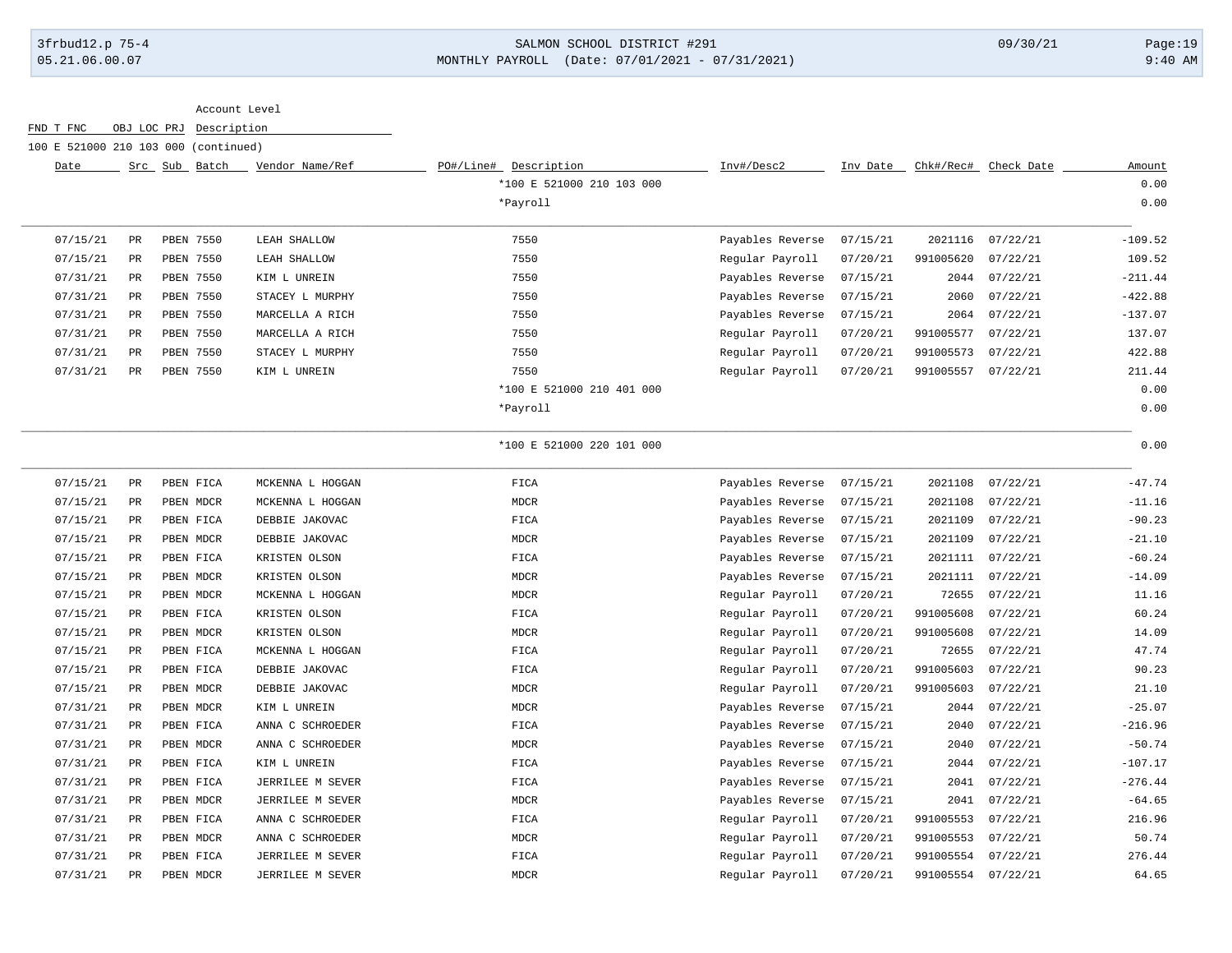### 3frbud12.p 75-4 SALMON SCHOOL DISTRICT #291 09/30/21 Page:19 05.21.06.00.07 MONTHLY PAYROLL (Date: 07/01/2021 - 07/31/2021) 9:40 AM

#### Account Level

FND T FNC OBJ LOC PRJ Description

100 E 521000 210 103 000 (continued)

| Date     |             | Batch<br>Src Sub | Vendor Name/Ref  | PO#/Line#<br>Description  | Inv#/Desc2       | Inv Date | Chk#/Rec# | Check Date | Amount    |
|----------|-------------|------------------|------------------|---------------------------|------------------|----------|-----------|------------|-----------|
|          |             |                  |                  | *100 E 521000 210 103 000 |                  |          |           |            | 0.00      |
|          |             |                  |                  | *Payroll                  |                  |          |           |            | 0.00      |
| 07/15/21 | $_{\rm PR}$ | PBEN 7550        | LEAH SHALLOW     | 7550                      | Payables Reverse | 07/15/21 | 2021116   | 07/22/21   | $-109.52$ |
| 07/15/21 | $_{\rm PR}$ | PBEN 7550        | LEAH SHALLOW     | 7550                      | Regular Payroll  | 07/20/21 | 991005620 | 07/22/21   | 109.52    |
| 07/31/21 | <b>PR</b>   | <b>PBEN 7550</b> | KIM L UNREIN     | 7550                      | Payables Reverse | 07/15/21 | 2044      | 07/22/21   | $-211.44$ |
| 07/31/21 | PR          | <b>PBEN 7550</b> | STACEY L MURPHY  | 7550                      | Payables Reverse | 07/15/21 | 2060      | 07/22/21   | $-422.88$ |
| 07/31/21 | PR          | <b>PBEN 7550</b> | MARCELLA A RICH  | 7550                      | Payables Reverse | 07/15/21 | 2064      | 07/22/21   | $-137.07$ |
| 07/31/21 | $_{\rm PR}$ | PBEN 7550        | MARCELLA A RICH  | 7550                      | Regular Payroll  | 07/20/21 | 991005577 | 07/22/21   | 137.07    |
| 07/31/21 | <b>PR</b>   | PBEN 7550        | STACEY L MURPHY  | 7550                      | Regular Payroll  | 07/20/21 | 991005573 | 07/22/21   | 422.88    |
| 07/31/21 | <b>PR</b>   | PBEN 7550        | KIM L UNREIN     | 7550                      | Reqular Payroll  | 07/20/21 | 991005557 | 07/22/21   | 211.44    |
|          |             |                  |                  | *100 E 521000 210 401 000 |                  |          |           |            | 0.00      |
|          |             |                  |                  | *Payroll                  |                  |          |           |            | 0.00      |
|          |             |                  |                  | *100 E 521000 220 101 000 |                  |          |           |            | 0.00      |
| 07/15/21 | PR          | PBEN FICA        | MCKENNA L HOGGAN | FICA                      | Payables Reverse | 07/15/21 | 2021108   | 07/22/21   | $-47.74$  |
| 07/15/21 | PR          | PBEN MDCR        | MCKENNA L HOGGAN | <b>MDCR</b>               | Payables Reverse | 07/15/21 | 2021108   | 07/22/21   | $-11.16$  |
| 07/15/21 | <b>PR</b>   | PBEN FICA        | DEBBIE JAKOVAC   | FICA                      | Payables Reverse | 07/15/21 | 2021109   | 07/22/21   | $-90.23$  |
| 07/15/21 | <b>PR</b>   | PBEN MDCR        | DEBBIE JAKOVAC   | <b>MDCR</b>               | Payables Reverse | 07/15/21 | 2021109   | 07/22/21   | $-21.10$  |
| 07/15/21 | PR          | PBEN FICA        | KRISTEN OLSON    | FICA                      | Payables Reverse | 07/15/21 | 2021111   | 07/22/21   | $-60.24$  |
| 07/15/21 | <b>PR</b>   | PBEN MDCR        | KRISTEN OLSON    | <b>MDCR</b>               | Payables Reverse | 07/15/21 | 2021111   | 07/22/21   | $-14.09$  |
| 07/15/21 | <b>PR</b>   | PBEN MDCR        | MCKENNA L HOGGAN | <b>MDCR</b>               | Regular Payroll  | 07/20/21 | 72655     | 07/22/21   | 11.16     |
| 07/15/21 | <b>PR</b>   | PBEN FICA        | KRISTEN OLSON    | FICA                      | Regular Payroll  | 07/20/21 | 991005608 | 07/22/21   | 60.24     |
|          |             |                  |                  |                           |                  |          |           |            |           |

| 0775721  | FΚ        | <b>FREN MDCK</b> | MCKENNA L HOGGAN | MDCK | Requiar Payroll  | 01/20/21 | 72055     | 01/22/21 | $\perp\perp$ , $\perp$ b |
|----------|-----------|------------------|------------------|------|------------------|----------|-----------|----------|--------------------------|
| 07/15/21 | PR.       | PBEN FICA        | KRISTEN OLSON    | FICA | Reqular Payroll  | 07/20/21 | 991005608 | 07/22/21 | 60.24                    |
| 07/15/21 | PR.       | PBEN MDCR        | KRISTEN OLSON    | MDCR | Regular Payroll  | 07/20/21 | 991005608 | 07/22/21 | 14.09                    |
| 07/15/21 | PR        | PBEN FICA        | MCKENNA L HOGGAN | FICA | Regular Payroll  | 07/20/21 | 72655     | 07/22/21 | 47.74                    |
| 07/15/21 | PR.       | PBEN FICA        | DEBBIE JAKOVAC   | FICA | Regular Payroll  | 07/20/21 | 991005603 | 07/22/21 | 90.23                    |
| 07/15/21 | PR        | PBEN MDCR        | DEBBIE JAKOVAC   | MDCR | Regular Payroll  | 07/20/21 | 991005603 | 07/22/21 | 21.10                    |
| 07/31/21 | PR.       | PBEN MDCR        | KIM L UNREIN     | MDCR | Payables Reverse | 07/15/21 | 2044      | 07/22/21 | $-25.07$                 |
| 07/31/21 | PR.       | PBEN FICA        | ANNA C SCHROEDER | FICA | Payables Reverse | 07/15/21 | 2040      | 07/22/21 | $-216.96$                |
| 07/31/21 | PR.       | PBEN MDCR        | ANNA C SCHROEDER | MDCR | Payables Reverse | 07/15/21 | 2040      | 07/22/21 | $-50.74$                 |
| 07/31/21 | PR        | PBEN FICA        | KIM L UNREIN     | FICA | Payables Reverse | 07/15/21 | 2044      | 07/22/21 | $-107.17$                |
| 07/31/21 | PR        | PBEN FICA        | JERRILEE M SEVER | FICA | Payables Reverse | 07/15/21 | 2041      | 07/22/21 | $-276.44$                |
| 07/31/21 | PR.       | PBEN MDCR        | JERRILEE M SEVER | MDCR | Payables Reverse | 07/15/21 | 2041      | 07/22/21 | $-64.65$                 |
| 07/31/21 | <b>PR</b> | PBEN FICA        | ANNA C SCHROEDER | FICA | Regular Payroll  | 07/20/21 | 991005553 | 07/22/21 | 216.96                   |
| 07/31/21 | PR.       | PBEN MDCR        | ANNA C SCHROEDER | MDCR | Regular Payroll  | 07/20/21 | 991005553 | 07/22/21 | 50.74                    |
| 07/31/21 | PR.       | PBEN FICA        | JERRILEE M SEVER | FICA | Regular Payroll  | 07/20/21 | 991005554 | 07/22/21 | 276.44                   |
| 07/31/21 | PR.       | PBEN MDCR        | JERRILEE M SEVER | MDCR | Regular Payroll  | 07/20/21 | 991005554 | 07/22/21 | 64.65                    |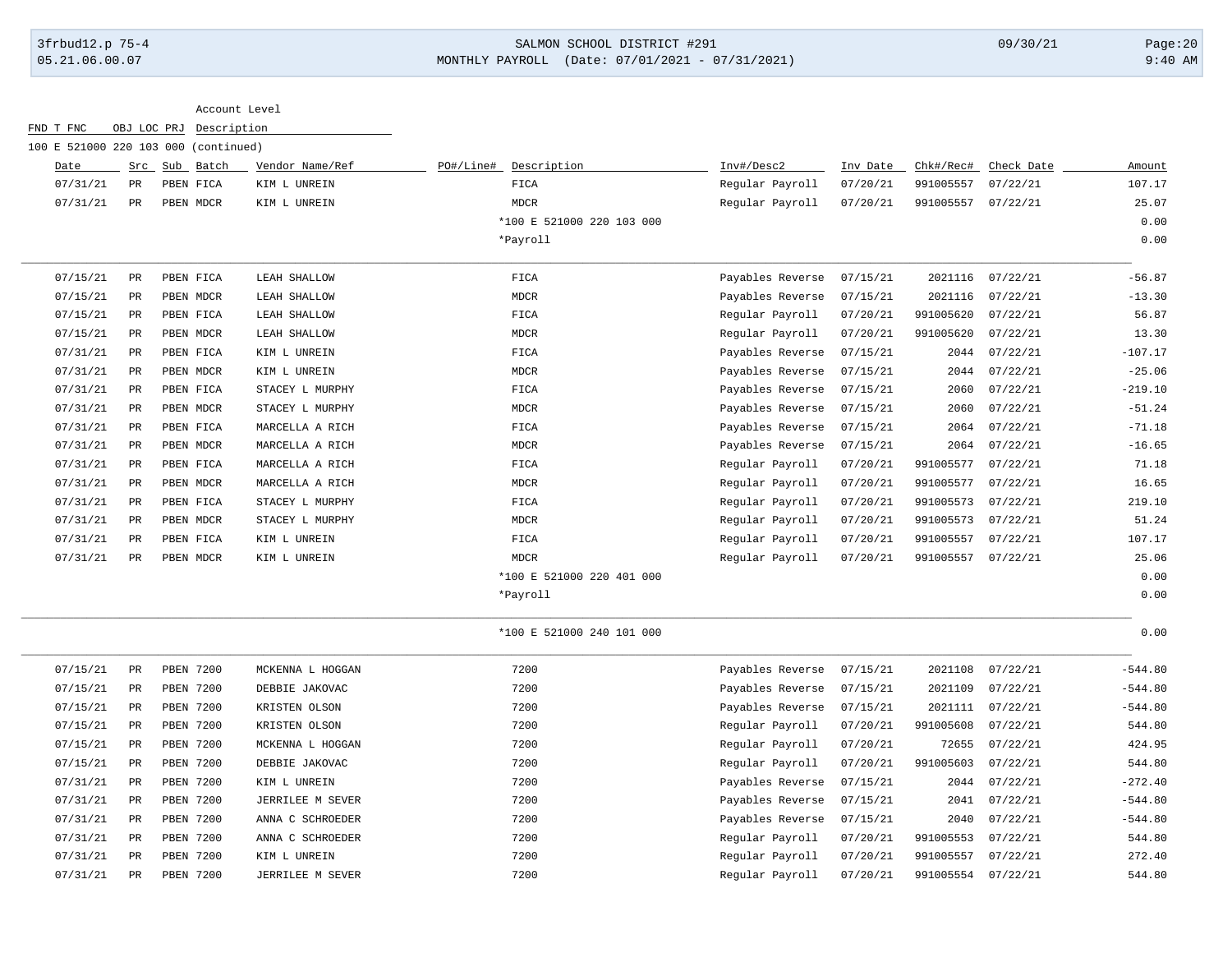# 3frbud12.p 75-4 SALMON SCHOOL DISTRICT #291 09/30/21 Page:20 05.21.06.00.07 MONTHLY PAYROLL (Date: 07/01/2021 - 07/31/2021) 9:40 AM

| Account Level |  |
|---------------|--|
|               |  |

| 100 E 521000 220 103 000 (continued) |             |                  |                  |                          |                           |                  |          |           |            |           |
|--------------------------------------|-------------|------------------|------------------|--------------------------|---------------------------|------------------|----------|-----------|------------|-----------|
| Date                                 |             | Src Sub Batch    | Vendor Name/Ref  | PO#/Line#<br>Description |                           | Inv#/Desc2       | Inv Date | Chk#/Rec# | Check Date | Amount    |
| 07/31/21                             | $_{\rm PR}$ | PBEN FICA        | KIM L UNREIN     | FICA                     |                           | Regular Payroll  | 07/20/21 | 991005557 | 07/22/21   | 107.17    |
| 07/31/21                             | $_{\rm PR}$ | PBEN MDCR        | KIM L UNREIN     | <b>MDCR</b>              |                           | Regular Payroll  | 07/20/21 | 991005557 | 07/22/21   | 25.07     |
|                                      |             |                  |                  |                          | *100 E 521000 220 103 000 |                  |          |           |            | 0.00      |
|                                      |             |                  |                  | *Payroll                 |                           |                  |          |           |            | 0.00      |
| 07/15/21                             | PR          | PBEN FICA        | LEAH SHALLOW     | FICA                     |                           | Payables Reverse | 07/15/21 | 2021116   | 07/22/21   | $-56.87$  |
| 07/15/21                             | $_{\rm PR}$ | PBEN MDCR        | LEAH SHALLOW     | <b>MDCR</b>              |                           | Payables Reverse | 07/15/21 | 2021116   | 07/22/21   | $-13.30$  |
| 07/15/21                             | PR          | PBEN FICA        | LEAH SHALLOW     | FICA                     |                           | Regular Payroll  | 07/20/21 | 991005620 | 07/22/21   | 56.87     |
| 07/15/21                             | PR          | PBEN MDCR        | LEAH SHALLOW     | <b>MDCR</b>              |                           | Regular Payroll  | 07/20/21 | 991005620 | 07/22/21   | 13.30     |
| 07/31/21                             | PR          | PBEN FICA        | KIM L UNREIN     | FICA                     |                           | Payables Reverse | 07/15/21 | 2044      | 07/22/21   | $-107.17$ |
| 07/31/21                             | PR          | PBEN MDCR        | KIM L UNREIN     | <b>MDCR</b>              |                           | Payables Reverse | 07/15/21 | 2044      | 07/22/21   | $-25.06$  |
| 07/31/21                             | PR          | PBEN FICA        | STACEY L MURPHY  | FICA                     |                           | Payables Reverse | 07/15/21 | 2060      | 07/22/21   | $-219.10$ |
| 07/31/21                             | PR          | PBEN MDCR        | STACEY L MURPHY  | <b>MDCR</b>              |                           | Payables Reverse | 07/15/21 | 2060      | 07/22/21   | $-51.24$  |
| 07/31/21                             | $_{\rm PR}$ | PBEN FICA        | MARCELLA A RICH  | FICA                     |                           | Payables Reverse | 07/15/21 | 2064      | 07/22/21   | $-71.18$  |
| 07/31/21                             | PR          | PBEN MDCR        | MARCELLA A RICH  | <b>MDCR</b>              |                           | Payables Reverse | 07/15/21 | 2064      | 07/22/21   | $-16.65$  |
| 07/31/21                             | $_{\rm PR}$ | PBEN FICA        | MARCELLA A RICH  | FICA                     |                           | Regular Payroll  | 07/20/21 | 991005577 | 07/22/21   | 71.18     |
| 07/31/21                             | <b>PR</b>   | PBEN MDCR        | MARCELLA A RICH  | <b>MDCR</b>              |                           | Regular Payroll  | 07/20/21 | 991005577 | 07/22/21   | 16.65     |
| 07/31/21                             | $_{\rm PR}$ | PBEN FICA        | STACEY L MURPHY  | FICA                     |                           | Regular Payroll  | 07/20/21 | 991005573 | 07/22/21   | 219.10    |
| 07/31/21                             | PR          | PBEN MDCR        | STACEY L MURPHY  | <b>MDCR</b>              |                           | Regular Payroll  | 07/20/21 | 991005573 | 07/22/21   | 51.24     |
| 07/31/21                             | $_{\rm PR}$ | PBEN FICA        | KIM L UNREIN     | FICA                     |                           | Regular Payroll  | 07/20/21 | 991005557 | 07/22/21   | 107.17    |
| 07/31/21                             | PR          | PBEN MDCR        | KIM L UNREIN     | <b>MDCR</b>              |                           | Regular Payroll  | 07/20/21 | 991005557 | 07/22/21   | 25.06     |
|                                      |             |                  |                  |                          | *100 E 521000 220 401 000 |                  |          |           |            | 0.00      |
|                                      |             |                  |                  | *Payroll                 |                           |                  |          |           |            | 0.00      |
|                                      |             |                  |                  |                          | *100 E 521000 240 101 000 |                  |          |           |            | 0.00      |
| 07/15/21                             | $_{\rm PR}$ | PBEN 7200        | MCKENNA L HOGGAN | 7200                     |                           | Payables Reverse | 07/15/21 | 2021108   | 07/22/21   | $-544.80$ |
| 07/15/21                             | PR          | PBEN 7200        | DEBBIE JAKOVAC   | 7200                     |                           | Payables Reverse | 07/15/21 | 2021109   | 07/22/21   | $-544.80$ |
| 07/15/21                             | $_{\rm PR}$ | PBEN 7200        | KRISTEN OLSON    | 7200                     |                           | Payables Reverse | 07/15/21 | 2021111   | 07/22/21   | $-544.80$ |
| 07/15/21                             | PR          | <b>PBEN 7200</b> | KRISTEN OLSON    | 7200                     |                           | Regular Payroll  | 07/20/21 | 991005608 | 07/22/21   | 544.80    |
| 07/15/21                             | PR          | PBEN 7200        | MCKENNA L HOGGAN | 7200                     |                           | Regular Payroll  | 07/20/21 | 72655     | 07/22/21   | 424.95    |
| 07/15/21                             | $_{\rm PR}$ | PBEN 7200        | DEBBIE JAKOVAC   | 7200                     |                           | Regular Payroll  | 07/20/21 | 991005603 | 07/22/21   | 544.80    |
| 07/31/21                             | $_{\rm PR}$ | PBEN 7200        | KIM L UNREIN     | 7200                     |                           | Payables Reverse | 07/15/21 | 2044      | 07/22/21   | $-272.40$ |
| 07/31/21                             | $_{\rm PR}$ | PBEN 7200        | JERRILEE M SEVER | 7200                     |                           | Payables Reverse | 07/15/21 | 2041      | 07/22/21   | $-544.80$ |
| 07/31/21                             | PR          | PBEN 7200        | ANNA C SCHROEDER | 7200                     |                           | Payables Reverse | 07/15/21 | 2040      | 07/22/21   | $-544.80$ |
| 07/31/21                             | $_{\rm PR}$ | PBEN 7200        | ANNA C SCHROEDER | 7200                     |                           | Regular Payroll  | 07/20/21 | 991005553 | 07/22/21   | 544.80    |
| 07/31/21                             | PR          | <b>PBEN 7200</b> | KIM L UNREIN     | 7200                     |                           | Regular Payroll  | 07/20/21 | 991005557 | 07/22/21   | 272.40    |
| 07/31/21                             | $_{\rm PR}$ | PBEN 7200        | JERRILEE M SEVER | 7200                     |                           | Regular Payroll  | 07/20/21 | 991005554 | 07/22/21   | 544.80    |
|                                      |             |                  |                  |                          |                           |                  |          |           |            |           |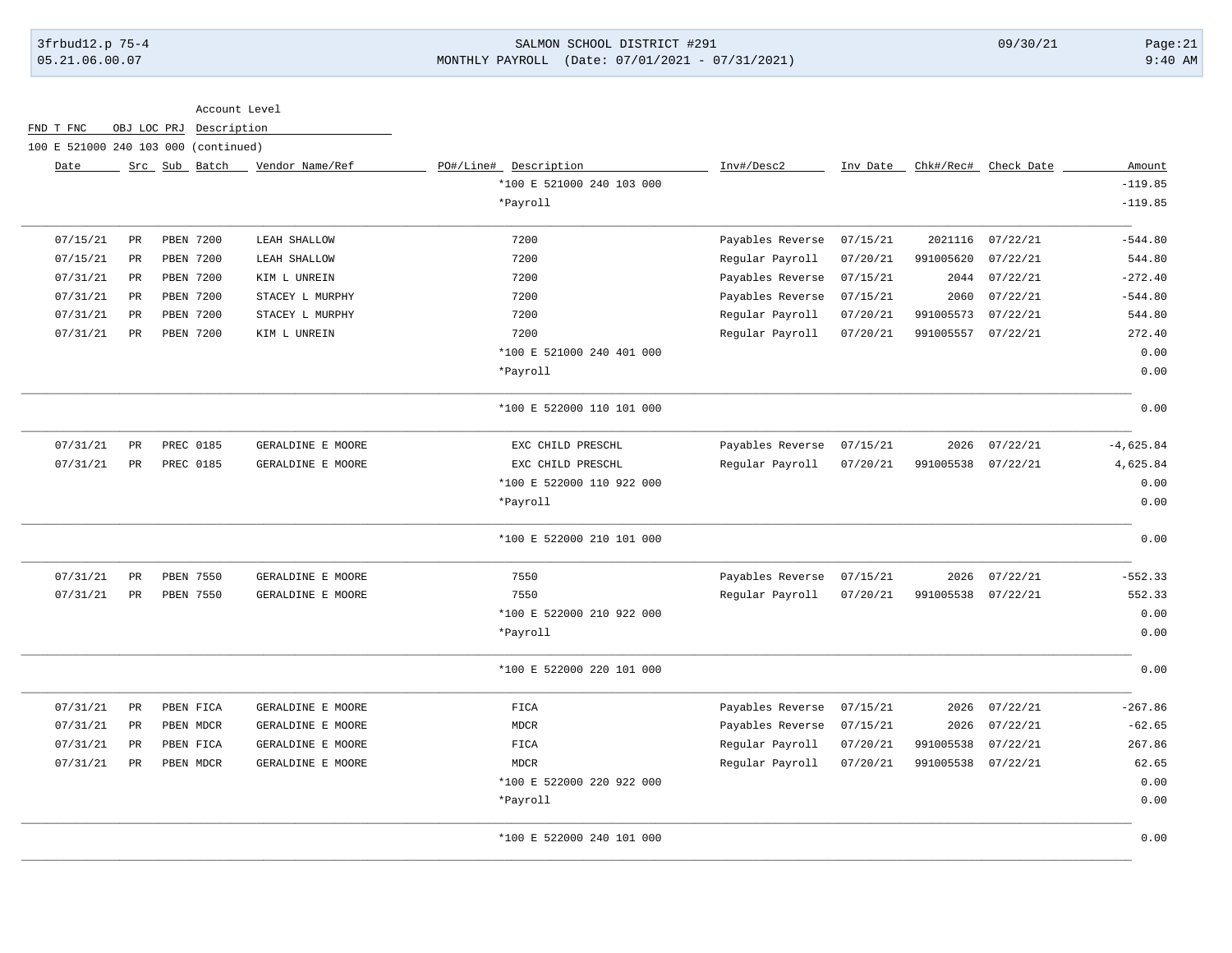# 3frbud12.p 75-4 SALMON SCHOOL DISTRICT #291 09/30/21 Page:21 05.21.06.00.07 MONTHLY PAYROLL (Date: 07/01/2021 - 07/31/2021) 9:40 AM

Account Level

FND T FNC OBJ LOC PRJ Description

100 E 521000 240 103 000 (continued)

| Date     |             | Src Sub Batch    | Vendor Name/Ref   | PO#/Line# Description<br>*100 E 521000 240 103 000<br>*Payroll | Inv#/Desc2       | Inv Date | Chk#/Rec#          | Check Date | Amount<br>$-119.85$<br>$-119.85$ |
|----------|-------------|------------------|-------------------|----------------------------------------------------------------|------------------|----------|--------------------|------------|----------------------------------|
| 07/15/21 | PR          | <b>PBEN 7200</b> | LEAH SHALLOW      | 7200                                                           | Payables Reverse | 07/15/21 | 2021116            | 07/22/21   | $-544.80$                        |
| 07/15/21 | PR          | <b>PBEN 7200</b> | LEAH SHALLOW      | 7200                                                           | Regular Payroll  | 07/20/21 | 991005620          | 07/22/21   | 544.80                           |
| 07/31/21 | PR          | PBEN 7200        | KIM L UNREIN      | 7200                                                           | Payables Reverse | 07/15/21 | 2044               | 07/22/21   | $-272.40$                        |
| 07/31/21 | PR          | PBEN 7200        | STACEY L MURPHY   | 7200                                                           | Payables Reverse | 07/15/21 | 2060               | 07/22/21   | $-544.80$                        |
| 07/31/21 | PR          | PBEN 7200        | STACEY L MURPHY   | 7200                                                           | Regular Payroll  | 07/20/21 | 991005573          | 07/22/21   | 544.80                           |
| 07/31/21 | $_{\rm PR}$ | PBEN 7200        | KIM L UNREIN      | 7200                                                           | Regular Payroll  | 07/20/21 | 991005557 07/22/21 |            | 272.40                           |
|          |             |                  |                   | *100 E 521000 240 401 000                                      |                  |          |                    |            | 0.00                             |
|          |             |                  |                   | *Payroll                                                       |                  |          |                    |            | 0.00                             |
|          |             |                  |                   | *100 E 522000 110 101 000                                      |                  |          |                    |            | 0.00                             |
| 07/31/21 | $_{\rm PR}$ | PREC 0185        | GERALDINE E MOORE | EXC CHILD PRESCHL                                              | Payables Reverse | 07/15/21 | 2026               | 07/22/21   | $-4,625.84$                      |
| 07/31/21 | PR          | PREC 0185        | GERALDINE E MOORE | EXC CHILD PRESCHL                                              | Regular Payroll  | 07/20/21 | 991005538          | 07/22/21   | 4,625.84                         |
|          |             |                  |                   | *100 E 522000 110 922 000                                      |                  |          |                    |            | 0.00                             |
|          |             |                  |                   | *Payroll                                                       |                  |          |                    |            | 0.00                             |
|          |             |                  |                   | *100 E 522000 210 101 000                                      |                  |          |                    |            | 0.00                             |
| 07/31/21 | PR          | PBEN 7550        | GERALDINE E MOORE | 7550                                                           | Payables Reverse | 07/15/21 | 2026               | 07/22/21   | $-552.33$                        |
| 07/31/21 | PR          | PBEN 7550        | GERALDINE E MOORE | 7550                                                           | Regular Payroll  | 07/20/21 | 991005538          | 07/22/21   | 552.33                           |
|          |             |                  |                   | *100 E 522000 210 922 000                                      |                  |          |                    |            | 0.00                             |
|          |             |                  |                   | *Payroll                                                       |                  |          |                    |            | 0.00                             |
|          |             |                  |                   | *100 E 522000 220 101 000                                      |                  |          |                    |            | 0.00                             |
| 07/31/21 | PR          | PBEN FICA        | GERALDINE E MOORE | <b>FICA</b>                                                    | Payables Reverse | 07/15/21 | 2026               | 07/22/21   | $-267.86$                        |
| 07/31/21 | PR          | PBEN MDCR        | GERALDINE E MOORE | <b>MDCR</b>                                                    | Payables Reverse | 07/15/21 | 2026               | 07/22/21   | $-62.65$                         |
| 07/31/21 | PR          | PBEN FICA        | GERALDINE E MOORE | FICA                                                           | Regular Payroll  | 07/20/21 | 991005538          | 07/22/21   | 267.86                           |
| 07/31/21 | PR          | PBEN MDCR        | GERALDINE E MOORE | <b>MDCR</b>                                                    | Regular Payroll  | 07/20/21 | 991005538 07/22/21 |            | 62.65                            |
|          |             |                  |                   | *100 E 522000 220 922 000                                      |                  |          |                    |            | 0.00                             |
|          |             |                  |                   | *Payroll                                                       |                  |          |                    |            | 0.00                             |
|          |             |                  |                   | *100 E 522000 240 101 000                                      |                  |          |                    |            | 0.00                             |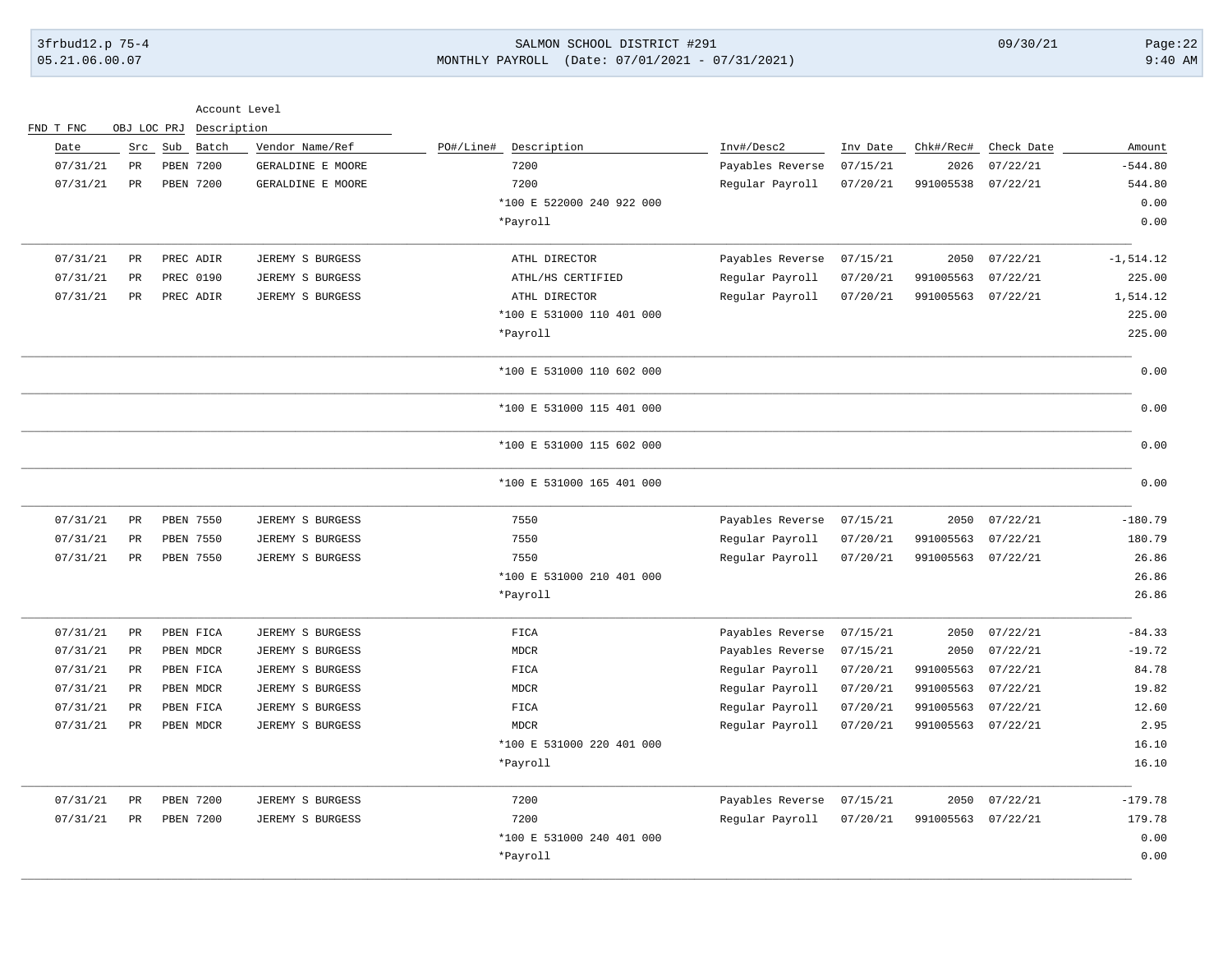## 3frbud12.p 75-4 SALMON SCHOOL DISTRICT #291 09/30/21 Page:22 05.21.06.00.07 MONTHLY PAYROLL (Date: 07/01/2021 - 07/31/2021) 9:40 AM

| Account Level |  |  |
|---------------|--|--|
|---------------|--|--|

|              |            |           |          |                  |                           |                   | Description      | OBJ LOC PRJ |               | FND T FNC |
|--------------|------------|-----------|----------|------------------|---------------------------|-------------------|------------------|-------------|---------------|-----------|
| Amount       | Check Date | Chk#/Rec# | Inv Date | Inv#/Desc2       | Description<br>PO#/Line#  | Vendor Name/Ref   | Batch            | Sub         | Src           | Date      |
| $-544.80$    | 07/22/21   | 2026      | 07/15/21 | Payables Reverse | 7200                      | GERALDINE E MOORE | <b>PBEN 7200</b> |             | PR            | 07/31/21  |
| 544.80       | 07/22/21   | 991005538 | 07/20/21 | Regular Payroll  | 7200                      | GERALDINE E MOORE | PBEN 7200        |             | $_{\rm PR}$   | 07/31/21  |
| 0.00         |            |           |          |                  | *100 E 522000 240 922 000 |                   |                  |             |               |           |
| 0.00         |            |           |          |                  | *Payroll                  |                   |                  |             |               |           |
| $-1, 514.12$ | 07/22/21   | 2050      | 07/15/21 | Payables Reverse | ATHL DIRECTOR             | JEREMY S BURGESS  | PREC ADIR        |             | PR            | 07/31/21  |
| 225.00       | 07/22/21   | 991005563 | 07/20/21 | Regular Payroll  | ATHL/HS CERTIFIED         | JEREMY S BURGESS  | PREC 0190        |             | PR            | 07/31/21  |
| 1,514.12     | 07/22/21   | 991005563 | 07/20/21 | Regular Payroll  | ATHL DIRECTOR             | JEREMY S BURGESS  | PREC ADIR        |             | PR            | 07/31/21  |
| 225.00       |            |           |          |                  | *100 E 531000 110 401 000 |                   |                  |             |               |           |
| 225.00       |            |           |          |                  | *Payroll                  |                   |                  |             |               |           |
| 0.00         |            |           |          |                  | *100 E 531000 110 602 000 |                   |                  |             |               |           |
| 0.00         |            |           |          |                  | *100 E 531000 115 401 000 |                   |                  |             |               |           |
| 0.00         |            |           |          |                  | *100 E 531000 115 602 000 |                   |                  |             |               |           |
| 0.00         |            |           |          |                  | *100 E 531000 165 401 000 |                   |                  |             |               |           |
| $-180.79$    | 07/22/21   | 2050      | 07/15/21 | Payables Reverse | 7550                      | JEREMY S BURGESS  | PBEN 7550        |             | PR            | 07/31/21  |
| 180.79       | 07/22/21   | 991005563 | 07/20/21 | Regular Payroll  | 7550                      | JEREMY S BURGESS  | PBEN 7550        |             | $_{\rm PR}$   | 07/31/21  |
| 26.86        | 07/22/21   | 991005563 | 07/20/21 | Regular Payroll  | 7550                      | JEREMY S BURGESS  | PBEN 7550        |             | PR            | 07/31/21  |
| 26.86        |            |           |          |                  | *100 E 531000 210 401 000 |                   |                  |             |               |           |
| 26.86        |            |           |          |                  | *Payroll                  |                   |                  |             |               |           |
| $-84.33$     | 07/22/21   | 2050      | 07/15/21 | Payables Reverse | FICA                      | JEREMY S BURGESS  | PBEN FICA        |             | $_{\rm PR}$   | 07/31/21  |
| $-19.72$     | 07/22/21   | 2050      | 07/15/21 | Payables Reverse | MDCR                      | JEREMY S BURGESS  | PBEN MDCR        |             | $\mathtt{PR}$ | 07/31/21  |
| 84.78        | 07/22/21   | 991005563 | 07/20/21 | Regular Payroll  | ${\tt FICA}$              | JEREMY S BURGESS  | PBEN FICA        |             | PR            | 07/31/21  |
| 19.82        | 07/22/21   | 991005563 | 07/20/21 | Regular Payroll  | <b>MDCR</b>               | JEREMY S BURGESS  | PBEN MDCR        |             | <b>PR</b>     | 07/31/21  |
| 12.60        | 07/22/21   | 991005563 | 07/20/21 | Regular Payroll  | ${\tt FICA}$              | JEREMY S BURGESS  | PBEN FICA        |             | PR            | 07/31/21  |
| 2.95         | 07/22/21   | 991005563 | 07/20/21 | Regular Payroll  | <b>MDCR</b>               | JEREMY S BURGESS  | PBEN MDCR        |             | $_{\rm PR}$   | 07/31/21  |
| 16.10        |            |           |          |                  | *100 E 531000 220 401 000 |                   |                  |             |               |           |
| 16.10        |            |           |          |                  | *Payroll                  |                   |                  |             |               |           |
| $-179.78$    | 07/22/21   | 2050      | 07/15/21 | Payables Reverse | 7200                      | JEREMY S BURGESS  | PBEN 7200        |             | PR            | 07/31/21  |
| 179.78       | 07/22/21   | 991005563 | 07/20/21 | Regular Payroll  | 7200                      | JEREMY S BURGESS  | PBEN 7200        |             | $_{\rm PR}$   | 07/31/21  |
| 0.00         |            |           |          |                  | *100 E 531000 240 401 000 |                   |                  |             |               |           |
| 0.00         |            |           |          |                  | *Payroll                  |                   |                  |             |               |           |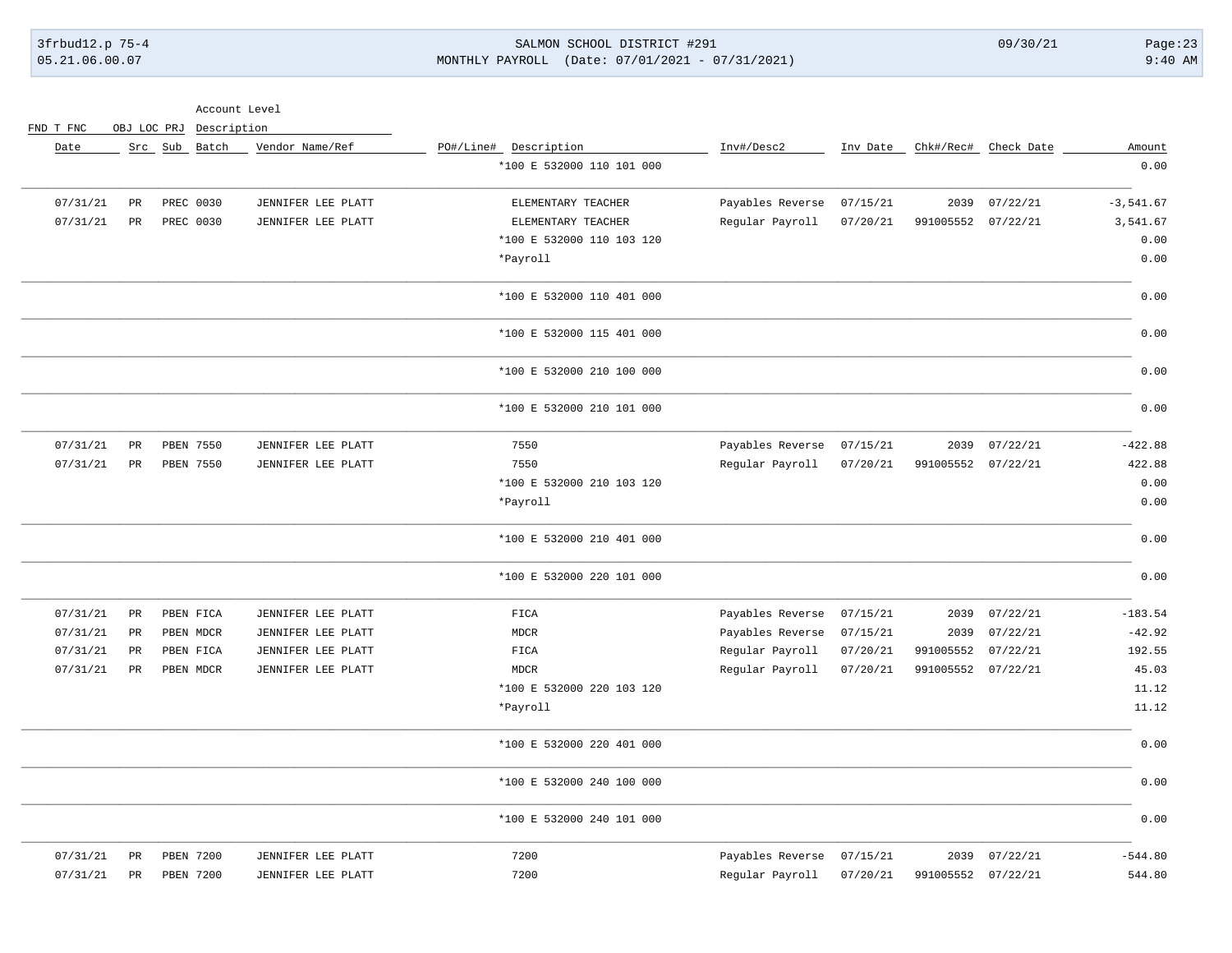Account Level

### 3frbud12.p 75-4 SALMON SCHOOL DISTRICT #291 09/30/21 Page:23 05.21.06.00.07 MONTHLY PAYROLL (Date: 07/01/2021 - 07/31/2021) 9:40 AM

|              |                      |                    |          |                  |                           |                    | Description   |           | OBJ LOC PRJ   | FND T FNC |
|--------------|----------------------|--------------------|----------|------------------|---------------------------|--------------------|---------------|-----------|---------------|-----------|
| Amount       | Chk#/Rec# Check Date |                    | Inv Date | Inv#/Desc2       | PO#/Line# Description     | Vendor Name/Ref    | Src Sub Batch |           |               | Date      |
| 0.00         |                      |                    |          |                  | *100 E 532000 110 101 000 |                    |               |           |               |           |
| $-3, 541.67$ | 07/22/21             | 2039               | 07/15/21 | Payables Reverse | ELEMENTARY TEACHER        | JENNIFER LEE PLATT |               | PREC 0030 | PR            | 07/31/21  |
| 3,541.67     | 07/22/21             | 991005552          | 07/20/21 | Regular Payroll  | ELEMENTARY TEACHER        | JENNIFER LEE PLATT |               | PREC 0030 | $_{\rm PR}$   | 07/31/21  |
| 0.00         |                      |                    |          |                  | *100 E 532000 110 103 120 |                    |               |           |               |           |
| 0.00         |                      |                    |          |                  | *Payroll                  |                    |               |           |               |           |
| 0.00         |                      |                    |          |                  | *100 E 532000 110 401 000 |                    |               |           |               |           |
| 0.00         |                      |                    |          |                  | *100 E 532000 115 401 000 |                    |               |           |               |           |
| 0.00         |                      |                    |          |                  | *100 E 532000 210 100 000 |                    |               |           |               |           |
| 0.00         |                      |                    |          |                  | *100 E 532000 210 101 000 |                    |               |           |               |           |
| $-422.88$    | 07/22/21             | 2039               | 07/15/21 | Payables Reverse | 7550                      | JENNIFER LEE PLATT |               | PBEN 7550 | PR            | 07/31/21  |
| 422.88       | 07/22/21             | 991005552          | 07/20/21 | Regular Payroll  | 7550                      | JENNIFER LEE PLATT |               | PBEN 7550 | PR            | 07/31/21  |
| 0.00         |                      |                    |          |                  | *100 E 532000 210 103 120 |                    |               |           |               |           |
| 0.00         |                      |                    |          |                  | *Payroll                  |                    |               |           |               |           |
| 0.00         |                      |                    |          |                  | *100 E 532000 210 401 000 |                    |               |           |               |           |
| 0.00         |                      |                    |          |                  | *100 E 532000 220 101 000 |                    |               |           |               |           |
| $-183.54$    | 07/22/21             | 2039               | 07/15/21 | Payables Reverse | FICA                      | JENNIFER LEE PLATT |               | PBEN FICA | PR            | 07/31/21  |
| $-42.92$     | 07/22/21             | 2039               | 07/15/21 | Payables Reverse | <b>MDCR</b>               | JENNIFER LEE PLATT |               | PBEN MDCR | $_{\rm PR}$   | 07/31/21  |
| 192.55       | 07/22/21             | 991005552          | 07/20/21 | Regular Payroll  | FICA                      | JENNIFER LEE PLATT |               | PBEN FICA | PR            | 07/31/21  |
| 45.03        |                      | 991005552 07/22/21 | 07/20/21 | Regular Payroll  | <b>MDCR</b>               | JENNIFER LEE PLATT |               | PBEN MDCR | $\mathtt{PR}$ | 07/31/21  |
| 11.12        |                      |                    |          |                  | *100 E 532000 220 103 120 |                    |               |           |               |           |
| 11.12        |                      |                    |          |                  | *Payroll                  |                    |               |           |               |           |
| 0.00         |                      |                    |          |                  | *100 E 532000 220 401 000 |                    |               |           |               |           |
| 0.00         |                      |                    |          |                  | *100 E 532000 240 100 000 |                    |               |           |               |           |
| 0.00         |                      |                    |          |                  | *100 E 532000 240 101 000 |                    |               |           |               |           |
| $-544.80$    | 07/22/21             | 2039               | 07/15/21 | Payables Reverse | 7200                      | JENNIFER LEE PLATT |               | PBEN 7200 | $_{\rm PR}$   | 07/31/21  |
| 544.80       | 07/22/21             | 991005552          | 07/20/21 | Regular Payroll  | 7200                      | JENNIFER LEE PLATT |               | PBEN 7200 | PR            | 07/31/21  |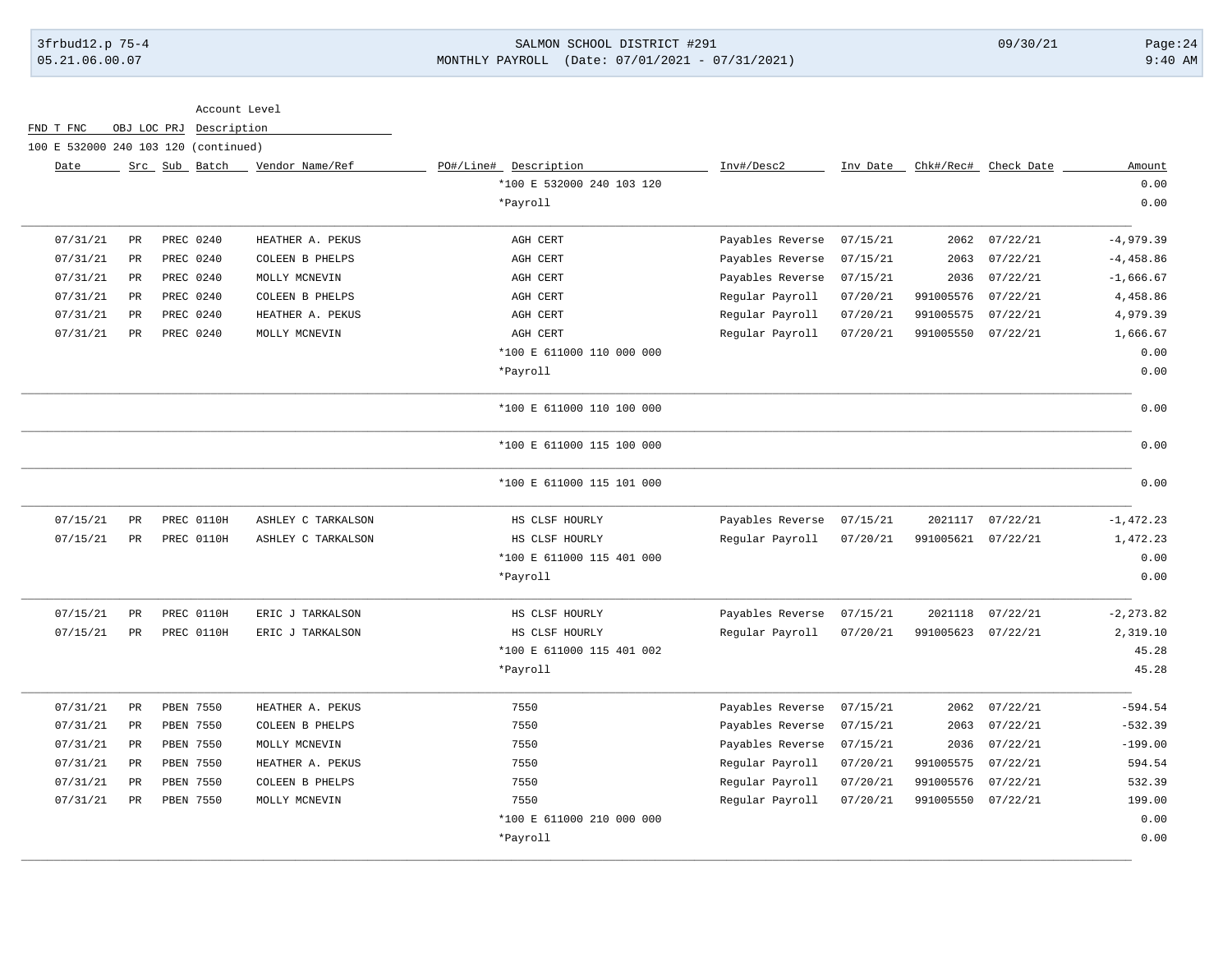### 3frbud12.p 75-4 SALMON SCHOOL DISTRICT #291 09/30/21 Page:24 05.21.06.00.07 MONTHLY PAYROLL (Date: 07/01/2021 - 07/31/2021) 9:40 AM

Account Level

FND T FNC OBJ LOC PRJ Description

100 E 532000 240 103 120 (continued)

| Amount       | Chk#/Rec# Check Date |                    | Inv Date | Inv#/Desc2       | PO#/Line#<br>Description  | Vendor Name/Ref    | Src Sub Batch |             | Date     |
|--------------|----------------------|--------------------|----------|------------------|---------------------------|--------------------|---------------|-------------|----------|
| 0.00         |                      |                    |          |                  | *100 E 532000 240 103 120 |                    |               |             |          |
| 0.00         |                      |                    |          |                  | *Payroll                  |                    |               |             |          |
| $-4,979.39$  | 07/22/21             | 2062               | 07/15/21 | Payables Reverse | AGH CERT                  | HEATHER A. PEKUS   | PREC 0240     | PR          | 07/31/21 |
| $-4,458.86$  | 07/22/21             | 2063               | 07/15/21 | Payables Reverse | AGH CERT                  | COLEEN B PHELPS    | PREC 0240     | PR          | 07/31/21 |
| $-1,666.67$  | 07/22/21             | 2036               | 07/15/21 | Payables Reverse | AGH CERT                  | MOLLY MCNEVIN      | PREC 0240     | PR          | 07/31/21 |
| 4,458.86     | 07/22/21             | 991005576          | 07/20/21 | Regular Payroll  | AGH CERT                  | COLEEN B PHELPS    | PREC 0240     | PR          | 07/31/21 |
| 4,979.39     | 07/22/21             | 991005575          | 07/20/21 | Regular Payroll  | AGH CERT                  | HEATHER A. PEKUS   | PREC 0240     | $_{\rm PR}$ | 07/31/21 |
| 1,666.67     | 07/22/21             | 991005550          | 07/20/21 | Regular Payroll  | AGH CERT                  | MOLLY MCNEVIN      | PREC 0240     | $_{\rm PR}$ | 07/31/21 |
| 0.00         |                      |                    |          |                  | *100 E 611000 110 000 000 |                    |               |             |          |
| 0.00         |                      |                    |          |                  | *Payroll                  |                    |               |             |          |
| 0.00         |                      |                    |          |                  | *100 E 611000 110 100 000 |                    |               |             |          |
| 0.00         |                      |                    |          |                  | *100 E 611000 115 100 000 |                    |               |             |          |
| 0.00         |                      |                    |          |                  | *100 E 611000 115 101 000 |                    |               |             |          |
| $-1, 472.23$ | 07/22/21             | 2021117            | 07/15/21 | Payables Reverse | HS CLSF HOURLY            | ASHLEY C TARKALSON | PREC 0110H    | PR          | 07/15/21 |
| 1,472.23     |                      | 991005621 07/22/21 | 07/20/21 | Regular Payroll  | HS CLSF HOURLY            | ASHLEY C TARKALSON | PREC 0110H    | PR          | 07/15/21 |
| 0.00         |                      |                    |          |                  | *100 E 611000 115 401 000 |                    |               |             |          |
| 0.00         |                      |                    |          |                  | *Payroll                  |                    |               |             |          |
| $-2, 273.82$ | 07/22/21             | 2021118            | 07/15/21 | Payables Reverse | HS CLSF HOURLY            | ERIC J TARKALSON   | PREC 0110H    | PR          | 07/15/21 |
| 2,319.10     |                      | 991005623 07/22/21 | 07/20/21 | Regular Payroll  | HS CLSF HOURLY            | ERIC J TARKALSON   | PREC 0110H    | PR          | 07/15/21 |
| 45.28        |                      |                    |          |                  | *100 E 611000 115 401 002 |                    |               |             |          |
| 45.28        |                      |                    |          |                  | *Payroll                  |                    |               |             |          |
| $-594.54$    | 07/22/21             | 2062               | 07/15/21 | Payables Reverse | 7550                      | HEATHER A. PEKUS   | PBEN 7550     | PR          | 07/31/21 |
| $-532.39$    | 07/22/21             | 2063               | 07/15/21 | Payables Reverse | 7550                      | COLEEN B PHELPS    | PBEN 7550     | PR          | 07/31/21 |
| $-199.00$    | 07/22/21             | 2036               | 07/15/21 | Payables Reverse | 7550                      | MOLLY MCNEVIN      | PBEN 7550     | PR          | 07/31/21 |
| 594.54       | 07/22/21             | 991005575          | 07/20/21 | Regular Payroll  | 7550                      | HEATHER A. PEKUS   | PBEN 7550     | PR          | 07/31/21 |
| 532.39       | 07/22/21             | 991005576          | 07/20/21 | Regular Payroll  | 7550                      | COLEEN B PHELPS    | PBEN 7550     | PR          | 07/31/21 |
| 199.00       |                      | 991005550 07/22/21 | 07/20/21 | Regular Payroll  | 7550                      | MOLLY MCNEVIN      | PBEN 7550     | PR          | 07/31/21 |
| 0.00         |                      |                    |          |                  | *100 E 611000 210 000 000 |                    |               |             |          |
| 0.00         |                      |                    |          |                  | *Payroll                  |                    |               |             |          |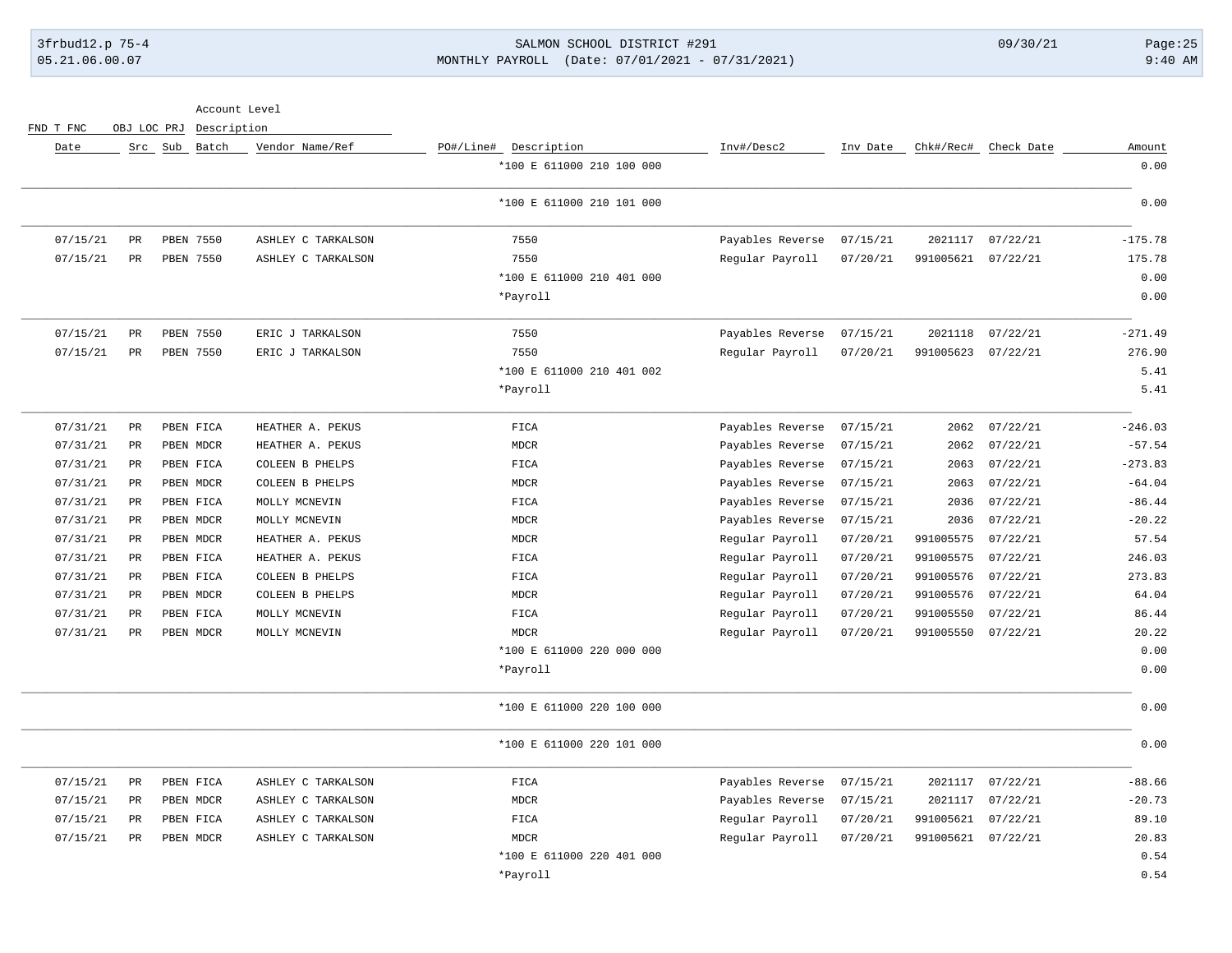# 3frbud12.p 75-4 SALMON SCHOOL DISTRICT #291 09/30/21 Page:25 05.21.06.00.07 MONTHLY PAYROLL (Date: 07/01/2021 - 07/31/2021) 9:40 AM

Account Level

| Amount    | Chk#/Rec# Check Date |                    | Inv Date | Inv#/Desc2       | PO#/Line# Description     | Vendor Name/Ref    | Src Sub Batch |             | Date     |
|-----------|----------------------|--------------------|----------|------------------|---------------------------|--------------------|---------------|-------------|----------|
| 0.00      |                      |                    |          |                  | *100 E 611000 210 100 000 |                    |               |             |          |
| 0.00      |                      |                    |          |                  | *100 E 611000 210 101 000 |                    |               |             |          |
| $-175.78$ | 07/22/21             | 2021117            | 07/15/21 | Payables Reverse | 7550                      | ASHLEY C TARKALSON | PBEN 7550     | $_{\rm PR}$ | 07/15/21 |
| 175.78    | 07/22/21             | 991005621          | 07/20/21 | Regular Payroll  | 7550                      | ASHLEY C TARKALSON | PBEN 7550     | PR          | 07/15/21 |
| 0.00      |                      |                    |          |                  | *100 E 611000 210 401 000 |                    |               |             |          |
| 0.00      |                      |                    |          |                  | *Payroll                  |                    |               |             |          |
| $-271.49$ | 07/22/21             | 2021118            | 07/15/21 | Payables Reverse | 7550                      | ERIC J TARKALSON   | PBEN 7550     | PR          | 07/15/21 |
| 276.90    |                      | 991005623 07/22/21 | 07/20/21 | Regular Payroll  | 7550                      | ERIC J TARKALSON   | PBEN 7550     | $_{\rm PR}$ | 07/15/21 |
| 5.41      |                      |                    |          |                  | *100 E 611000 210 401 002 |                    |               |             |          |
| 5.41      |                      |                    |          |                  | *Payroll                  |                    |               |             |          |
| $-246.03$ | 07/22/21             | 2062               | 07/15/21 | Payables Reverse | FICA                      | HEATHER A. PEKUS   | PBEN FICA     | $_{\rm PR}$ | 07/31/21 |
| $-57.54$  | 07/22/21             | 2062               | 07/15/21 | Payables Reverse | <b>MDCR</b>               | HEATHER A. PEKUS   | PBEN MDCR     | PR          | 07/31/21 |
| $-273.83$ | 07/22/21             | 2063               | 07/15/21 | Payables Reverse | FICA                      | COLEEN B PHELPS    | PBEN FICA     | PR          | 07/31/21 |
| $-64.04$  | 07/22/21             | 2063               | 07/15/21 | Payables Reverse | <b>MDCR</b>               | COLEEN B PHELPS    | PBEN MDCR     | PR          | 07/31/21 |
| $-86.44$  | 07/22/21             | 2036               | 07/15/21 | Payables Reverse | FICA                      | MOLLY MCNEVIN      | PBEN FICA     | PR          | 07/31/21 |
| $-20.22$  | 07/22/21             | 2036               | 07/15/21 | Payables Reverse | <b>MDCR</b>               | MOLLY MCNEVIN      | PBEN MDCR     | PR          | 07/31/21 |
| 57.54     | 07/22/21             | 991005575          | 07/20/21 | Regular Payroll  | <b>MDCR</b>               | HEATHER A. PEKUS   | PBEN MDCR     | PR          | 07/31/21 |
| 246.03    | 07/22/21             | 991005575          | 07/20/21 | Regular Payroll  | FICA                      | HEATHER A. PEKUS   | PBEN FICA     | PR          | 07/31/21 |
| 273.83    | 07/22/21             | 991005576          | 07/20/21 | Regular Payroll  | FICA                      | COLEEN B PHELPS    | PBEN FICA     | PR          | 07/31/21 |
| 64.04     | 07/22/21             | 991005576          | 07/20/21 | Regular Payroll  | <b>MDCR</b>               | COLEEN B PHELPS    | PBEN MDCR     | PR          | 07/31/21 |
| 86.44     | 07/22/21             | 991005550          | 07/20/21 | Regular Payroll  | FICA                      | MOLLY MCNEVIN      | PBEN FICA     | PR          | 07/31/21 |
| 20.22     | 07/22/21             | 991005550          | 07/20/21 | Regular Payroll  | <b>MDCR</b>               | MOLLY MCNEVIN      | PBEN MDCR     | PR          | 07/31/21 |
| 0.00      |                      |                    |          |                  | *100 E 611000 220 000 000 |                    |               |             |          |
| 0.00      |                      |                    |          |                  | *Payroll                  |                    |               |             |          |
| 0.00      |                      |                    |          |                  | *100 E 611000 220 100 000 |                    |               |             |          |
| 0.00      |                      |                    |          |                  | *100 E 611000 220 101 000 |                    |               |             |          |
| $-88.66$  | 07/22/21             | 2021117            | 07/15/21 | Payables Reverse | FICA                      | ASHLEY C TARKALSON | PBEN FICA     | $_{\rm PR}$ | 07/15/21 |
| $-20.73$  | 07/22/21             | 2021117            | 07/15/21 | Payables Reverse | <b>MDCR</b>               | ASHLEY C TARKALSON | PBEN MDCR     | PR          | 07/15/21 |
| 89.10     | 07/22/21             | 991005621          | 07/20/21 | Regular Payroll  | FICA                      | ASHLEY C TARKALSON | PBEN FICA     | PR          | 07/15/21 |
| 20.83     |                      | 991005621 07/22/21 | 07/20/21 | Regular Payroll  | <b>MDCR</b>               | ASHLEY C TARKALSON | PBEN MDCR     | $_{\rm PR}$ | 07/15/21 |
| 0.54      |                      |                    |          |                  | *100 E 611000 220 401 000 |                    |               |             |          |
| 0.54      |                      |                    |          |                  | *Payroll                  |                    |               |             |          |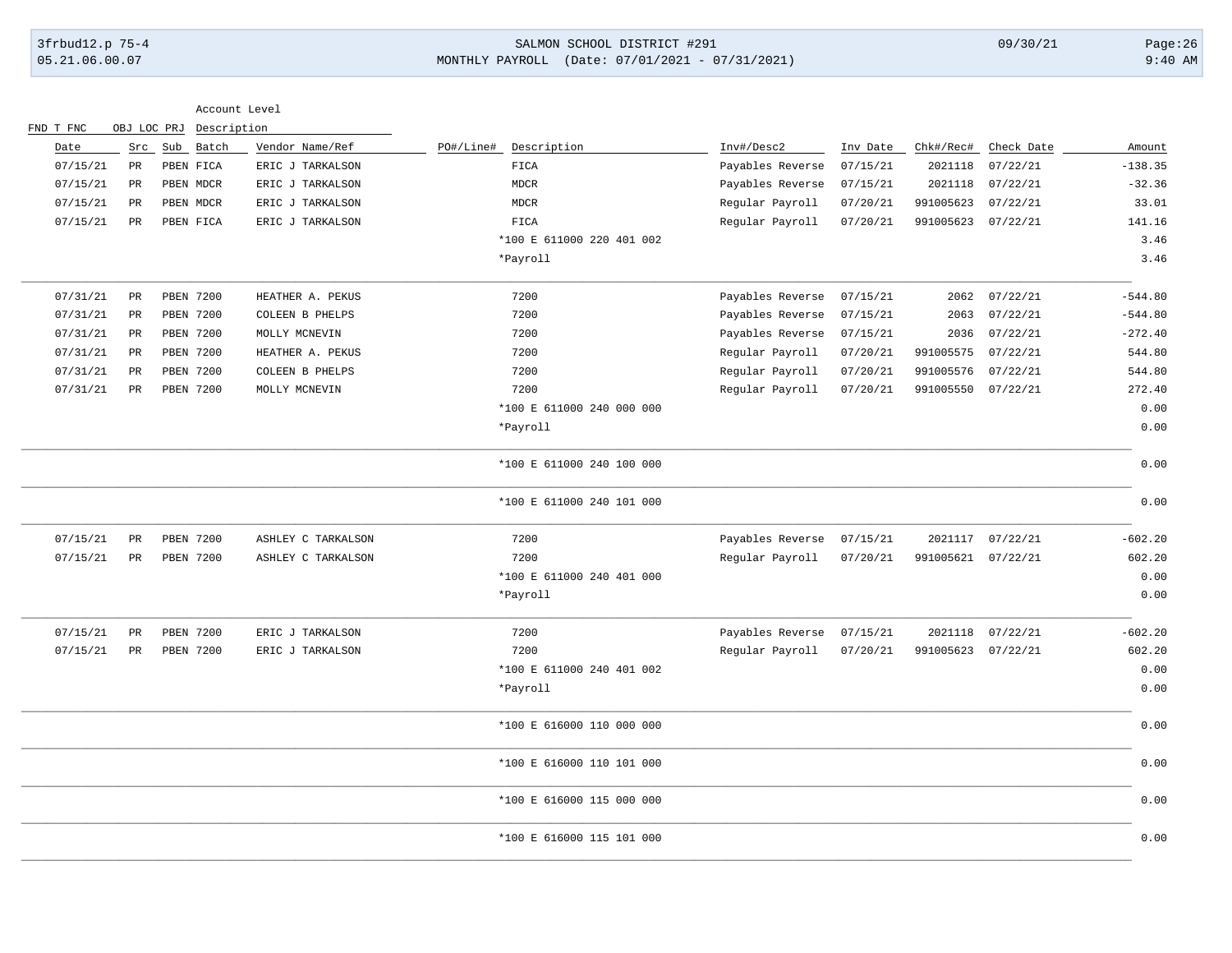# 3frbud12.p 75-4 SALMON SCHOOL DISTRICT #291 09/30/21 Page:26 05.21.06.00.07 MONTHLY PAYROLL (Date: 07/01/2021 - 07/31/2021) 9:40 AM

| OBJ LOC PRJ Description<br>Sub Batch<br>Vendor Name/Ref<br>PO#/Line#<br>Description<br>Inv#/Desc2<br>Chk#/Rec#<br>Date<br>Src<br>Inv Date<br>Check Date<br>07/15/21<br>PR<br>PBEN FICA<br>ERIC J TARKALSON<br>FICA<br>Payables Reverse<br>07/15/21<br>2021118<br>07/22/21<br>07/15/21<br><b>MDCR</b><br>Payables Reverse<br>07/15/21<br>2021118<br>07/22/21<br>PR<br>PBEN MDCR<br>ERIC J TARKALSON<br>07/15/21<br>Regular Payroll<br>991005623<br>07/22/21<br>PR<br>PBEN MDCR<br>ERIC J TARKALSON<br><b>MDCR</b><br>07/20/21<br>07/15/21<br>PBEN FICA<br>ERIC J TARKALSON<br>FICA<br>Regular Payroll<br>07/20/21<br>991005623<br>07/22/21<br>PR<br>*100 E 611000 220 401 002<br>*Payroll<br>07/31/21<br>PBEN 7200<br>HEATHER A. PEKUS<br>7200<br>Payables Reverse<br>07/15/21<br>07/22/21<br>PR<br>2062<br>7200<br>07/31/21<br>PBEN 7200<br>Payables Reverse<br>07/15/21<br>2063<br>07/22/21<br>PR<br>COLEEN B PHELPS<br>07/31/21<br>PBEN 7200<br>7200<br>07/15/21<br>07/22/21<br>PR<br>MOLLY MCNEVIN<br>Payables Reverse<br>2036<br>07/31/21<br>PBEN 7200<br>7200<br>PR<br>HEATHER A. PEKUS<br>Regular Payroll<br>07/20/21<br>991005575<br>07/22/21<br>07/31/21<br>PBEN 7200<br>7200<br>Regular Payroll<br>991005576<br>PR<br>COLEEN B PHELPS<br>07/20/21<br>07/22/21<br>07/31/21<br>7200<br>PBEN 7200<br>07/20/21<br>991005550 07/22/21<br>PR<br>MOLLY MCNEVIN<br>Regular Payroll<br>*100 E 611000 240 000 000<br>*Payroll<br>*100 E 611000 240 100 000<br>*100 E 611000 240 101 000<br>07/15/21<br><b>PBEN 7200</b><br>7200<br>Payables Reverse<br>07/15/21<br>2021117 07/22/21<br>PR<br>ASHLEY C TARKALSON<br>7200<br>07/15/21<br>PR<br>PBEN 7200<br>ASHLEY C TARKALSON<br>Regular Payroll<br>07/20/21<br>991005621 07/22/21<br>*100 E 611000 240 401 000<br>*Payroll<br>07/15/21<br>7200<br>Payables Reverse<br>07/22/21<br>PR<br>PBEN 7200<br>ERIC J TARKALSON<br>07/15/21<br>2021118<br>07/15/21<br>7200<br>Regular Payroll<br>PR<br>PBEN 7200<br>ERIC J TARKALSON<br>07/20/21<br>991005623<br>07/22/21<br>*100 E 611000 240 401 002<br>*Payroll<br>*100 E 616000 110 000 000<br>*100 E 616000 110 101 000 |           |  |  |  | Account Level |  | FND T FNC |
|-------------------------------------------------------------------------------------------------------------------------------------------------------------------------------------------------------------------------------------------------------------------------------------------------------------------------------------------------------------------------------------------------------------------------------------------------------------------------------------------------------------------------------------------------------------------------------------------------------------------------------------------------------------------------------------------------------------------------------------------------------------------------------------------------------------------------------------------------------------------------------------------------------------------------------------------------------------------------------------------------------------------------------------------------------------------------------------------------------------------------------------------------------------------------------------------------------------------------------------------------------------------------------------------------------------------------------------------------------------------------------------------------------------------------------------------------------------------------------------------------------------------------------------------------------------------------------------------------------------------------------------------------------------------------------------------------------------------------------------------------------------------------------------------------------------------------------------------------------------------------------------------------------------------------------------------------------------------------------------------------------------------------------------------------------------------------------------------------------------------|-----------|--|--|--|---------------|--|-----------|
|                                                                                                                                                                                                                                                                                                                                                                                                                                                                                                                                                                                                                                                                                                                                                                                                                                                                                                                                                                                                                                                                                                                                                                                                                                                                                                                                                                                                                                                                                                                                                                                                                                                                                                                                                                                                                                                                                                                                                                                                                                                                                                                   | Amount    |  |  |  |               |  |           |
|                                                                                                                                                                                                                                                                                                                                                                                                                                                                                                                                                                                                                                                                                                                                                                                                                                                                                                                                                                                                                                                                                                                                                                                                                                                                                                                                                                                                                                                                                                                                                                                                                                                                                                                                                                                                                                                                                                                                                                                                                                                                                                                   | $-138.35$ |  |  |  |               |  |           |
|                                                                                                                                                                                                                                                                                                                                                                                                                                                                                                                                                                                                                                                                                                                                                                                                                                                                                                                                                                                                                                                                                                                                                                                                                                                                                                                                                                                                                                                                                                                                                                                                                                                                                                                                                                                                                                                                                                                                                                                                                                                                                                                   | $-32.36$  |  |  |  |               |  |           |
|                                                                                                                                                                                                                                                                                                                                                                                                                                                                                                                                                                                                                                                                                                                                                                                                                                                                                                                                                                                                                                                                                                                                                                                                                                                                                                                                                                                                                                                                                                                                                                                                                                                                                                                                                                                                                                                                                                                                                                                                                                                                                                                   | 33.01     |  |  |  |               |  |           |
|                                                                                                                                                                                                                                                                                                                                                                                                                                                                                                                                                                                                                                                                                                                                                                                                                                                                                                                                                                                                                                                                                                                                                                                                                                                                                                                                                                                                                                                                                                                                                                                                                                                                                                                                                                                                                                                                                                                                                                                                                                                                                                                   | 141.16    |  |  |  |               |  |           |
|                                                                                                                                                                                                                                                                                                                                                                                                                                                                                                                                                                                                                                                                                                                                                                                                                                                                                                                                                                                                                                                                                                                                                                                                                                                                                                                                                                                                                                                                                                                                                                                                                                                                                                                                                                                                                                                                                                                                                                                                                                                                                                                   | 3.46      |  |  |  |               |  |           |
|                                                                                                                                                                                                                                                                                                                                                                                                                                                                                                                                                                                                                                                                                                                                                                                                                                                                                                                                                                                                                                                                                                                                                                                                                                                                                                                                                                                                                                                                                                                                                                                                                                                                                                                                                                                                                                                                                                                                                                                                                                                                                                                   | 3.46      |  |  |  |               |  |           |
|                                                                                                                                                                                                                                                                                                                                                                                                                                                                                                                                                                                                                                                                                                                                                                                                                                                                                                                                                                                                                                                                                                                                                                                                                                                                                                                                                                                                                                                                                                                                                                                                                                                                                                                                                                                                                                                                                                                                                                                                                                                                                                                   | $-544.80$ |  |  |  |               |  |           |
|                                                                                                                                                                                                                                                                                                                                                                                                                                                                                                                                                                                                                                                                                                                                                                                                                                                                                                                                                                                                                                                                                                                                                                                                                                                                                                                                                                                                                                                                                                                                                                                                                                                                                                                                                                                                                                                                                                                                                                                                                                                                                                                   | $-544.80$ |  |  |  |               |  |           |
|                                                                                                                                                                                                                                                                                                                                                                                                                                                                                                                                                                                                                                                                                                                                                                                                                                                                                                                                                                                                                                                                                                                                                                                                                                                                                                                                                                                                                                                                                                                                                                                                                                                                                                                                                                                                                                                                                                                                                                                                                                                                                                                   | $-272.40$ |  |  |  |               |  |           |
|                                                                                                                                                                                                                                                                                                                                                                                                                                                                                                                                                                                                                                                                                                                                                                                                                                                                                                                                                                                                                                                                                                                                                                                                                                                                                                                                                                                                                                                                                                                                                                                                                                                                                                                                                                                                                                                                                                                                                                                                                                                                                                                   | 544.80    |  |  |  |               |  |           |
|                                                                                                                                                                                                                                                                                                                                                                                                                                                                                                                                                                                                                                                                                                                                                                                                                                                                                                                                                                                                                                                                                                                                                                                                                                                                                                                                                                                                                                                                                                                                                                                                                                                                                                                                                                                                                                                                                                                                                                                                                                                                                                                   | 544.80    |  |  |  |               |  |           |
|                                                                                                                                                                                                                                                                                                                                                                                                                                                                                                                                                                                                                                                                                                                                                                                                                                                                                                                                                                                                                                                                                                                                                                                                                                                                                                                                                                                                                                                                                                                                                                                                                                                                                                                                                                                                                                                                                                                                                                                                                                                                                                                   | 272.40    |  |  |  |               |  |           |
|                                                                                                                                                                                                                                                                                                                                                                                                                                                                                                                                                                                                                                                                                                                                                                                                                                                                                                                                                                                                                                                                                                                                                                                                                                                                                                                                                                                                                                                                                                                                                                                                                                                                                                                                                                                                                                                                                                                                                                                                                                                                                                                   | 0.00      |  |  |  |               |  |           |
|                                                                                                                                                                                                                                                                                                                                                                                                                                                                                                                                                                                                                                                                                                                                                                                                                                                                                                                                                                                                                                                                                                                                                                                                                                                                                                                                                                                                                                                                                                                                                                                                                                                                                                                                                                                                                                                                                                                                                                                                                                                                                                                   | 0.00      |  |  |  |               |  |           |
|                                                                                                                                                                                                                                                                                                                                                                                                                                                                                                                                                                                                                                                                                                                                                                                                                                                                                                                                                                                                                                                                                                                                                                                                                                                                                                                                                                                                                                                                                                                                                                                                                                                                                                                                                                                                                                                                                                                                                                                                                                                                                                                   | 0.00      |  |  |  |               |  |           |
|                                                                                                                                                                                                                                                                                                                                                                                                                                                                                                                                                                                                                                                                                                                                                                                                                                                                                                                                                                                                                                                                                                                                                                                                                                                                                                                                                                                                                                                                                                                                                                                                                                                                                                                                                                                                                                                                                                                                                                                                                                                                                                                   | 0.00      |  |  |  |               |  |           |
|                                                                                                                                                                                                                                                                                                                                                                                                                                                                                                                                                                                                                                                                                                                                                                                                                                                                                                                                                                                                                                                                                                                                                                                                                                                                                                                                                                                                                                                                                                                                                                                                                                                                                                                                                                                                                                                                                                                                                                                                                                                                                                                   | $-602.20$ |  |  |  |               |  |           |
|                                                                                                                                                                                                                                                                                                                                                                                                                                                                                                                                                                                                                                                                                                                                                                                                                                                                                                                                                                                                                                                                                                                                                                                                                                                                                                                                                                                                                                                                                                                                                                                                                                                                                                                                                                                                                                                                                                                                                                                                                                                                                                                   | 602.20    |  |  |  |               |  |           |
|                                                                                                                                                                                                                                                                                                                                                                                                                                                                                                                                                                                                                                                                                                                                                                                                                                                                                                                                                                                                                                                                                                                                                                                                                                                                                                                                                                                                                                                                                                                                                                                                                                                                                                                                                                                                                                                                                                                                                                                                                                                                                                                   | 0.00      |  |  |  |               |  |           |
|                                                                                                                                                                                                                                                                                                                                                                                                                                                                                                                                                                                                                                                                                                                                                                                                                                                                                                                                                                                                                                                                                                                                                                                                                                                                                                                                                                                                                                                                                                                                                                                                                                                                                                                                                                                                                                                                                                                                                                                                                                                                                                                   | 0.00      |  |  |  |               |  |           |
|                                                                                                                                                                                                                                                                                                                                                                                                                                                                                                                                                                                                                                                                                                                                                                                                                                                                                                                                                                                                                                                                                                                                                                                                                                                                                                                                                                                                                                                                                                                                                                                                                                                                                                                                                                                                                                                                                                                                                                                                                                                                                                                   | $-602.20$ |  |  |  |               |  |           |
|                                                                                                                                                                                                                                                                                                                                                                                                                                                                                                                                                                                                                                                                                                                                                                                                                                                                                                                                                                                                                                                                                                                                                                                                                                                                                                                                                                                                                                                                                                                                                                                                                                                                                                                                                                                                                                                                                                                                                                                                                                                                                                                   | 602.20    |  |  |  |               |  |           |
|                                                                                                                                                                                                                                                                                                                                                                                                                                                                                                                                                                                                                                                                                                                                                                                                                                                                                                                                                                                                                                                                                                                                                                                                                                                                                                                                                                                                                                                                                                                                                                                                                                                                                                                                                                                                                                                                                                                                                                                                                                                                                                                   | 0.00      |  |  |  |               |  |           |
|                                                                                                                                                                                                                                                                                                                                                                                                                                                                                                                                                                                                                                                                                                                                                                                                                                                                                                                                                                                                                                                                                                                                                                                                                                                                                                                                                                                                                                                                                                                                                                                                                                                                                                                                                                                                                                                                                                                                                                                                                                                                                                                   | 0.00      |  |  |  |               |  |           |
|                                                                                                                                                                                                                                                                                                                                                                                                                                                                                                                                                                                                                                                                                                                                                                                                                                                                                                                                                                                                                                                                                                                                                                                                                                                                                                                                                                                                                                                                                                                                                                                                                                                                                                                                                                                                                                                                                                                                                                                                                                                                                                                   | 0.00      |  |  |  |               |  |           |
|                                                                                                                                                                                                                                                                                                                                                                                                                                                                                                                                                                                                                                                                                                                                                                                                                                                                                                                                                                                                                                                                                                                                                                                                                                                                                                                                                                                                                                                                                                                                                                                                                                                                                                                                                                                                                                                                                                                                                                                                                                                                                                                   | 0.00      |  |  |  |               |  |           |
| *100 E 616000 115 000 000                                                                                                                                                                                                                                                                                                                                                                                                                                                                                                                                                                                                                                                                                                                                                                                                                                                                                                                                                                                                                                                                                                                                                                                                                                                                                                                                                                                                                                                                                                                                                                                                                                                                                                                                                                                                                                                                                                                                                                                                                                                                                         | 0.00      |  |  |  |               |  |           |
| *100 E 616000 115 101 000                                                                                                                                                                                                                                                                                                                                                                                                                                                                                                                                                                                                                                                                                                                                                                                                                                                                                                                                                                                                                                                                                                                                                                                                                                                                                                                                                                                                                                                                                                                                                                                                                                                                                                                                                                                                                                                                                                                                                                                                                                                                                         | 0.00      |  |  |  |               |  |           |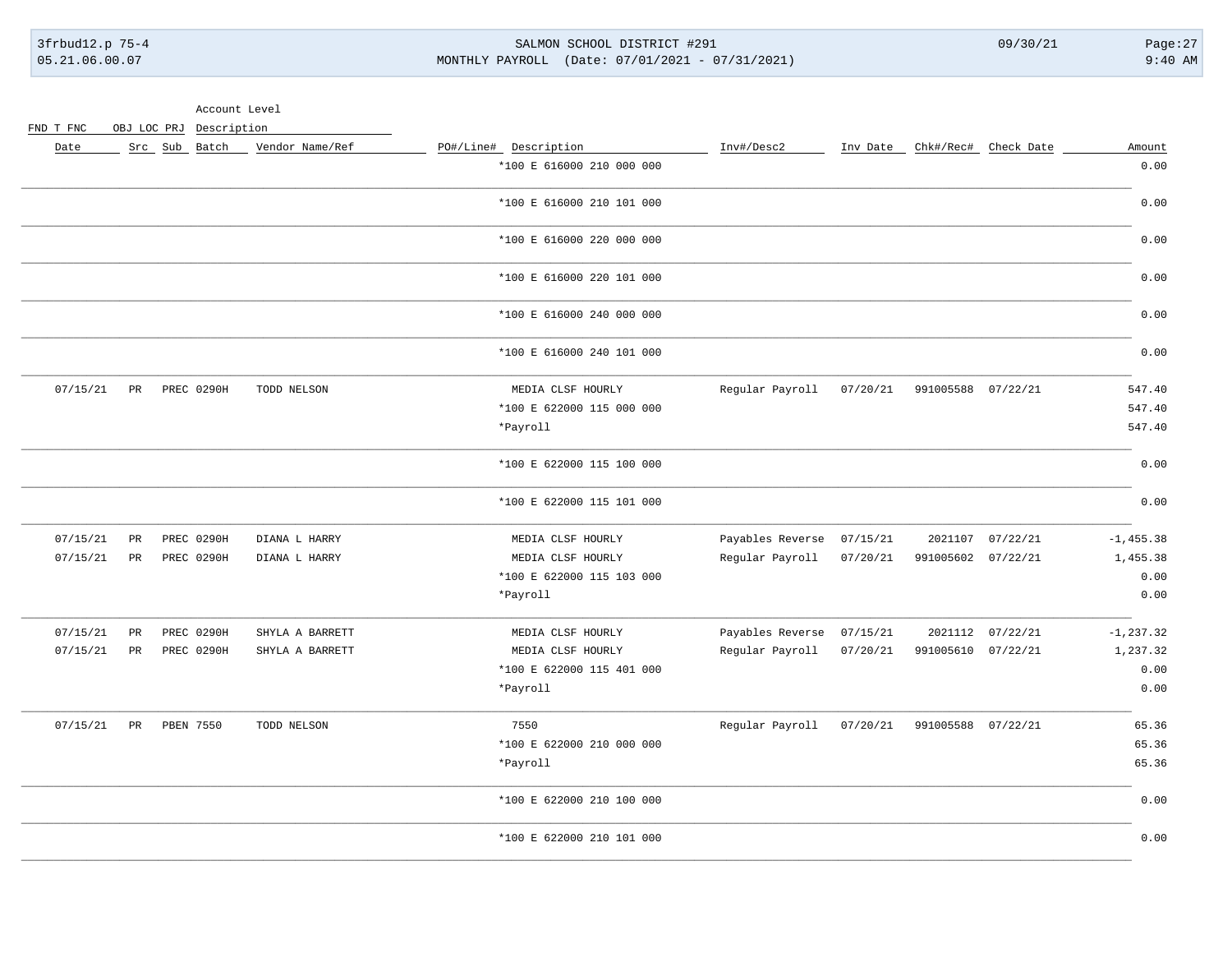3frbud12.p 75-4 05.21.06.00.07

SALMON SCHOOL DISTRICT #291 MONTHLY PAYROLL (Date: 07/01/2021 - 07/31/2021)  $09/30/21$ 

 $Page:27$  $9:40$  AM

| Amount       | Chk#/Rec# Check Date |                    | Inv Date | Inv#/Desc2                | PO#/Line# Description     | Vendor Name/Ref | Src Sub Batch     |                 | Date     |
|--------------|----------------------|--------------------|----------|---------------------------|---------------------------|-----------------|-------------------|-----------------|----------|
| 0.00         |                      |                    |          |                           | *100 E 616000 210 000 000 |                 |                   |                 |          |
| 0.00         |                      |                    |          |                           | *100 E 616000 210 101 000 |                 |                   |                 |          |
| 0.00         |                      |                    |          |                           | *100 E 616000 220 000 000 |                 |                   |                 |          |
| 0.00         |                      |                    |          |                           | *100 E 616000 220 101 000 |                 |                   |                 |          |
| 0.00         |                      |                    |          |                           | *100 E 616000 240 000 000 |                 |                   |                 |          |
| 0.00         |                      |                    |          |                           | *100 E 616000 240 101 000 |                 |                   |                 |          |
| 547.40       |                      | 991005588 07/22/21 | 07/20/21 | Regular Payroll           | MEDIA CLSF HOURLY         | TODD NELSON     | PREC 0290H        | PR              | 07/15/21 |
| 547.40       |                      |                    |          |                           | *100 E 622000 115 000 000 |                 |                   |                 |          |
| 547.40       |                      |                    |          |                           | *Payroll                  |                 |                   |                 |          |
| 0.00         |                      |                    |          |                           | *100 E 622000 115 100 000 |                 |                   |                 |          |
| 0.00         |                      |                    |          |                           | *100 E 622000 115 101 000 |                 |                   |                 |          |
| $-1, 455.38$ | 07/22/21             | 2021107            | 07/15/21 | Payables Reverse          | MEDIA CLSF HOURLY         | DIANA L HARRY   | PREC 0290H        | $\mbox{\sf PR}$ | 07/15/21 |
| 1,455.38     |                      | 991005602 07/22/21 | 07/20/21 | Regular Payroll           | MEDIA CLSF HOURLY         | DIANA L HARRY   | PREC 0290H        | $_{\rm PR}$     | 07/15/21 |
| 0.00         |                      |                    |          |                           | *100 E 622000 115 103 000 |                 |                   |                 |          |
| 0.00         |                      |                    |          |                           | *Payroll                  |                 |                   |                 |          |
| $-1, 237.32$ | 07/22/21             | 2021112            |          | Payables Reverse 07/15/21 | MEDIA CLSF HOURLY         | SHYLA A BARRETT | <b>PREC 0290H</b> | PR              | 07/15/21 |
| 1,237.32     | 07/22/21             | 991005610          | 07/20/21 | Regular Payroll           | MEDIA CLSF HOURLY         | SHYLA A BARRETT | PREC 0290H        | $_{\rm PR}$     | 07/15/21 |
| 0.00         |                      |                    |          |                           | *100 E 622000 115 401 000 |                 |                   |                 |          |
| 0.00         |                      |                    |          |                           | *Payroll                  |                 |                   |                 |          |
| 65.36        |                      | 991005588 07/22/21 | 07/20/21 | Regular Payroll           | 7550                      | TODD NELSON     | PBEN 7550         | PR              | 07/15/21 |
| 65.36        |                      |                    |          |                           | *100 E 622000 210 000 000 |                 |                   |                 |          |
| 65.36        |                      |                    |          |                           | $*$ Payroll               |                 |                   |                 |          |
| 0.00         |                      |                    |          |                           | *100 E 622000 210 100 000 |                 |                   |                 |          |
| 0.00         |                      |                    |          |                           | *100 E 622000 210 101 000 |                 |                   |                 |          |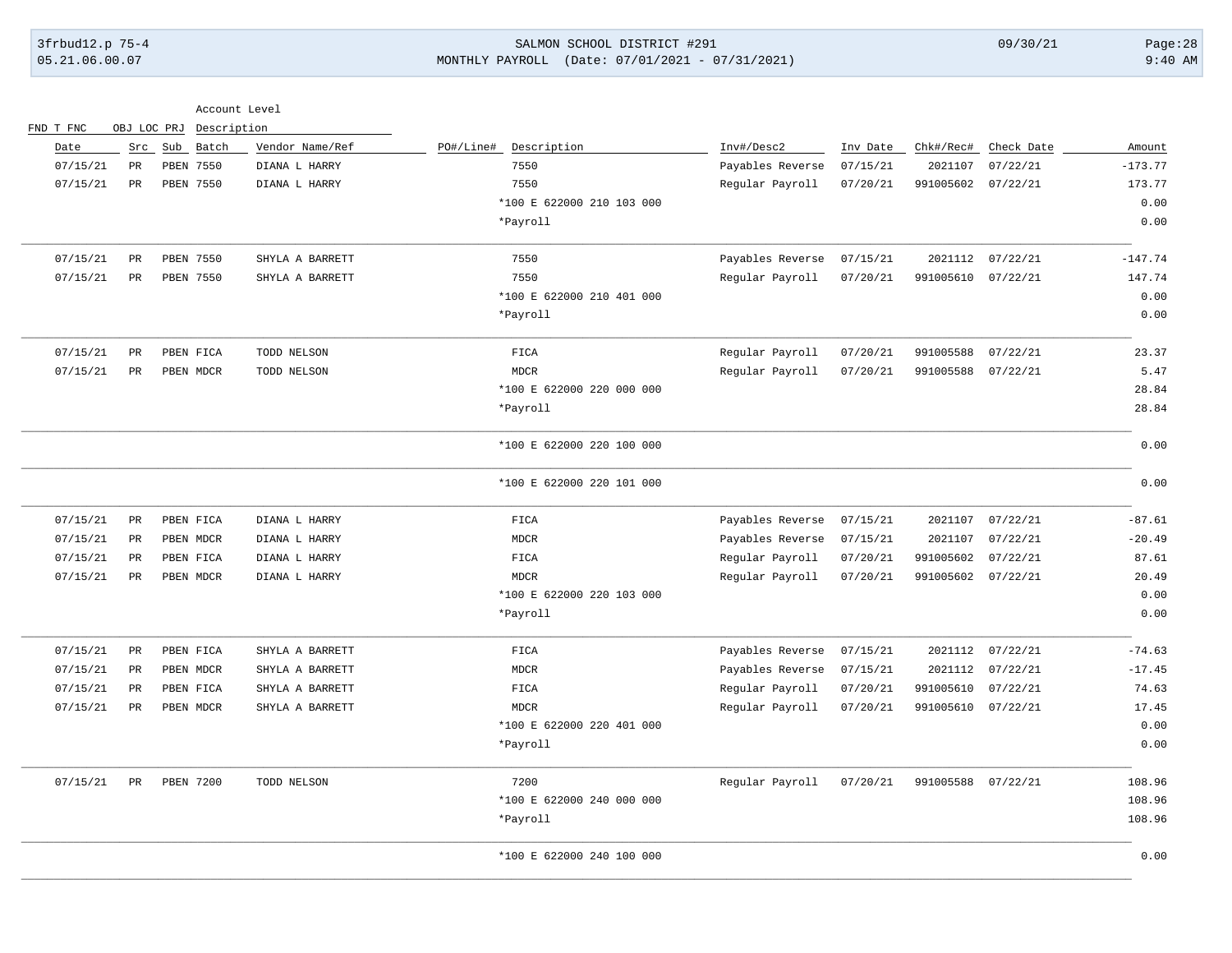# 3frbud12.p 75-4 SALMON SCHOOL DISTRICT #291 09/30/21 Page:28 05.21.06.00.07 MONTHLY PAYROLL (Date: 07/01/2021 - 07/31/2021) 9:40 AM

| Date     | Src             | Sub Batch        | Vendor Name/Ref | PO#/Line#<br>Description  | Inv#/Desc2       | Inv Date | Chk#/Rec#          | Check Date | Amount    |
|----------|-----------------|------------------|-----------------|---------------------------|------------------|----------|--------------------|------------|-----------|
| 07/15/21 | PR              | PBEN 7550        | DIANA L HARRY   | 7550                      | Payables Reverse | 07/15/21 | 2021107            | 07/22/21   | $-173.77$ |
| 07/15/21 | $_{\rm PR}$     | <b>PBEN 7550</b> | DIANA L HARRY   | 7550                      | Regular Payroll  | 07/20/21 | 991005602          | 07/22/21   | 173.77    |
|          |                 |                  |                 | *100 E 622000 210 103 000 |                  |          |                    |            | 0.00      |
|          |                 |                  |                 | *Payroll                  |                  |          |                    |            | 0.00      |
| 07/15/21 | PR              | PBEN 7550        | SHYLA A BARRETT | 7550                      | Payables Reverse | 07/15/21 | 2021112            | 07/22/21   | $-147.74$ |
| 07/15/21 | $_{\rm PR}$     | <b>PBEN 7550</b> | SHYLA A BARRETT | 7550                      | Regular Payroll  | 07/20/21 | 991005610          | 07/22/21   | 147.74    |
|          |                 |                  |                 | *100 E 622000 210 401 000 |                  |          |                    |            | 0.00      |
|          |                 |                  |                 | *Payroll                  |                  |          |                    |            | 0.00      |
| 07/15/21 | $\mathtt{PR}$   | PBEN FICA        | TODD NELSON     | FICA                      | Regular Payroll  | 07/20/21 | 991005588          | 07/22/21   | 23.37     |
| 07/15/21 | $\mathtt{PR}$   | PBEN MDCR        | TODD NELSON     | <b>MDCR</b>               | Regular Payroll  | 07/20/21 | 991005588          | 07/22/21   | 5.47      |
|          |                 |                  |                 | *100 E 622000 220 000 000 |                  |          |                    |            | 28.84     |
|          |                 |                  |                 | *Payroll                  |                  |          |                    |            | 28.84     |
|          |                 |                  |                 | *100 E 622000 220 100 000 |                  |          |                    |            | 0.00      |
|          |                 |                  |                 | *100 E 622000 220 101 000 |                  |          |                    |            | 0.00      |
| 07/15/21 | PR              | PBEN FICA        | DIANA L HARRY   | FICA                      | Payables Reverse | 07/15/21 | 2021107            | 07/22/21   | $-87.61$  |
| 07/15/21 | $_{\rm PR}$     | PBEN MDCR        | DIANA L HARRY   | <b>MDCR</b>               | Payables Reverse | 07/15/21 | 2021107            | 07/22/21   | $-20.49$  |
| 07/15/21 | <b>PR</b>       | PBEN FICA        | DIANA L HARRY   | FICA                      | Regular Payroll  | 07/20/21 | 991005602          | 07/22/21   | 87.61     |
| 07/15/21 | $\mbox{\sf PR}$ | PBEN MDCR        | DIANA L HARRY   | <b>MDCR</b>               | Regular Payroll  | 07/20/21 | 991005602          | 07/22/21   | 20.49     |
|          |                 |                  |                 | *100 E 622000 220 103 000 |                  |          |                    |            | 0.00      |
|          |                 |                  |                 | *Payroll                  |                  |          |                    |            | 0.00      |
| 07/15/21 | PR              | PBEN FICA        | SHYLA A BARRETT | FICA                      | Payables Reverse | 07/15/21 | 2021112            | 07/22/21   | $-74.63$  |
| 07/15/21 | $_{\rm PR}$     | PBEN MDCR        | SHYLA A BARRETT | <b>MDCR</b>               | Payables Reverse | 07/15/21 | 2021112            | 07/22/21   | $-17.45$  |
| 07/15/21 | <b>PR</b>       | PBEN FICA        | SHYLA A BARRETT | FICA                      | Regular Payroll  | 07/20/21 | 991005610          | 07/22/21   | 74.63     |
| 07/15/21 | PR              | PBEN MDCR        | SHYLA A BARRETT | <b>MDCR</b>               | Regular Payroll  | 07/20/21 | 991005610 07/22/21 |            | 17.45     |
|          |                 |                  |                 | *100 E 622000 220 401 000 |                  |          |                    |            | 0.00      |
|          |                 |                  |                 | *Payroll                  |                  |          |                    |            | 0.00      |
| 07/15/21 | PR              | <b>PBEN 7200</b> | TODD NELSON     | 7200                      | Regular Payroll  | 07/20/21 | 991005588          | 07/22/21   | 108.96    |
|          |                 |                  |                 | *100 E 622000 240 000 000 |                  |          |                    |            | 108.96    |
|          |                 |                  |                 | *Payroll                  |                  |          |                    |            | 108.96    |
|          |                 |                  |                 | *100 E 622000 240 100 000 |                  |          |                    |            | 0.00      |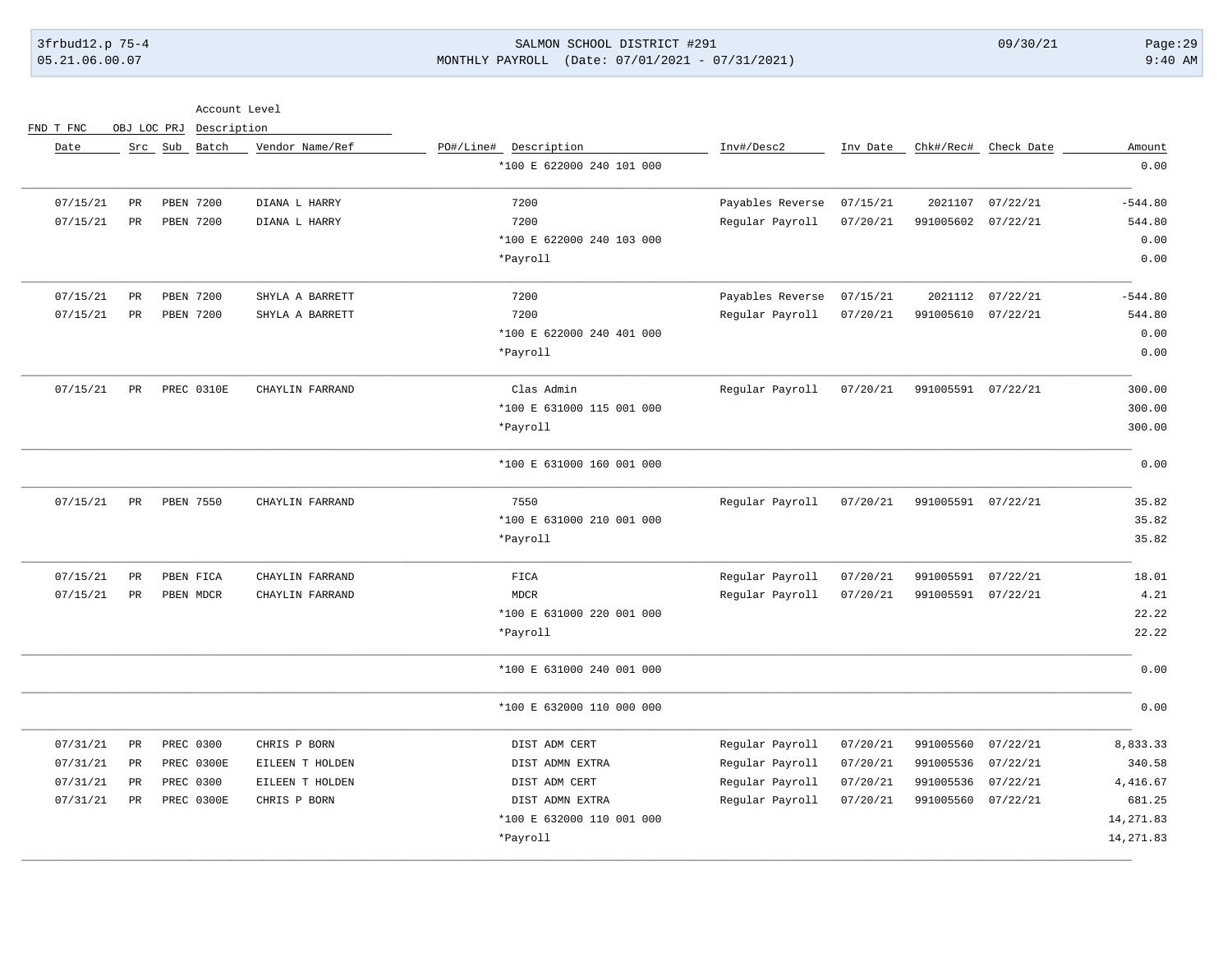## 3frbud12.p 75-4 SALMON SCHOOL DISTRICT #291 09/30/21 Page:29 05.21.06.00.07 MONTHLY PAYROLL (Date: 07/01/2021 - 07/31/2021) 9:40 AM

| Account Level<br>$\sim$ |  |
|-------------------------|--|
|-------------------------|--|

| Amount    | Check Date | Chk#/Rec#          | Inv Date | Inv#/Desc2       | PO#/Line# Description     | Vendor Name/Ref |            | Src Sub Batch |               | Date     |
|-----------|------------|--------------------|----------|------------------|---------------------------|-----------------|------------|---------------|---------------|----------|
| 0.00      |            |                    |          |                  | *100 E 622000 240 101 000 |                 |            |               |               |          |
| $-544.80$ | 07/22/21   | 2021107            | 07/15/21 | Payables Reverse | 7200                      | DIANA L HARRY   |            | PBEN 7200     | $\mathtt{PR}$ | 07/15/21 |
| 544.80    | 07/22/21   | 991005602          | 07/20/21 | Regular Payroll  | 7200                      | DIANA L HARRY   |            | PBEN 7200     | PR            | 07/15/21 |
| 0.00      |            |                    |          |                  | *100 E 622000 240 103 000 |                 |            |               |               |          |
| 0.00      |            |                    |          |                  | *Payroll                  |                 |            |               |               |          |
| $-544.80$ | 07/22/21   | 2021112            | 07/15/21 | Payables Reverse | 7200                      | SHYLA A BARRETT |            | PBEN 7200     | $_{\rm PR}$   | 07/15/21 |
| 544.80    | 07/22/21   | 991005610          | 07/20/21 | Regular Payroll  | 7200                      | SHYLA A BARRETT |            | PBEN 7200     | PR            | 07/15/21 |
| 0.00      |            |                    |          |                  | *100 E 622000 240 401 000 |                 |            |               |               |          |
| 0.00      |            |                    |          |                  | *Payroll                  |                 |            |               |               |          |
| 300.00    |            | 991005591 07/22/21 | 07/20/21 | Regular Payroll  | Clas Admin                | CHAYLIN FARRAND | PREC 0310E |               | PR            | 07/15/21 |
| 300.00    |            |                    |          |                  | *100 E 631000 115 001 000 |                 |            |               |               |          |
| 300.00    |            |                    |          |                  | *Payroll                  |                 |            |               |               |          |
| 0.00      |            |                    |          |                  | *100 E 631000 160 001 000 |                 |            |               |               |          |
| 35.82     |            | 991005591 07/22/21 | 07/20/21 | Regular Payroll  | 7550                      | CHAYLIN FARRAND |            | PBEN 7550     | PR            | 07/15/21 |
| 35.82     |            |                    |          |                  | *100 E 631000 210 001 000 |                 |            |               |               |          |
| 35.82     |            |                    |          |                  | *Payroll                  |                 |            |               |               |          |
| 18.01     | 07/22/21   | 991005591          | 07/20/21 | Regular Payroll  | FICA                      | CHAYLIN FARRAND |            | PBEN FICA     | $_{\rm PR}$   | 07/15/21 |
| 4.21      |            | 991005591 07/22/21 | 07/20/21 | Regular Payroll  | <b>MDCR</b>               | CHAYLIN FARRAND |            | PBEN MDCR     | $_{\rm PR}$   | 07/15/21 |
| 22.22     |            |                    |          |                  | *100 E 631000 220 001 000 |                 |            |               |               |          |
| 22.22     |            |                    |          |                  | *Payroll                  |                 |            |               |               |          |
| 0.00      |            |                    |          |                  | *100 E 631000 240 001 000 |                 |            |               |               |          |
| 0.00      |            |                    |          |                  | *100 E 632000 110 000 000 |                 |            |               |               |          |
| 8,833.33  | 07/22/21   | 991005560          | 07/20/21 | Regular Payroll  | DIST ADM CERT             | CHRIS P BORN    |            | PREC 0300     | PR            | 07/31/21 |
| 340.58    | 07/22/21   | 991005536          | 07/20/21 | Regular Payroll  | DIST ADMN EXTRA           | EILEEN T HOLDEN | PREC 0300E |               | PR            | 07/31/21 |
| 4, 416.67 | 07/22/21   | 991005536          | 07/20/21 | Regular Payroll  | DIST ADM CERT             | EILEEN T HOLDEN |            | PREC 0300     | $_{\rm PR}$   | 07/31/21 |
| 681.25    | 07/22/21   | 991005560          | 07/20/21 | Regular Payroll  | DIST ADMN EXTRA           | CHRIS P BORN    | PREC 0300E |               | PR            | 07/31/21 |
| 14,271.83 |            |                    |          |                  | *100 E 632000 110 001 000 |                 |            |               |               |          |
| 14,271.83 |            |                    |          |                  | *Payroll                  |                 |            |               |               |          |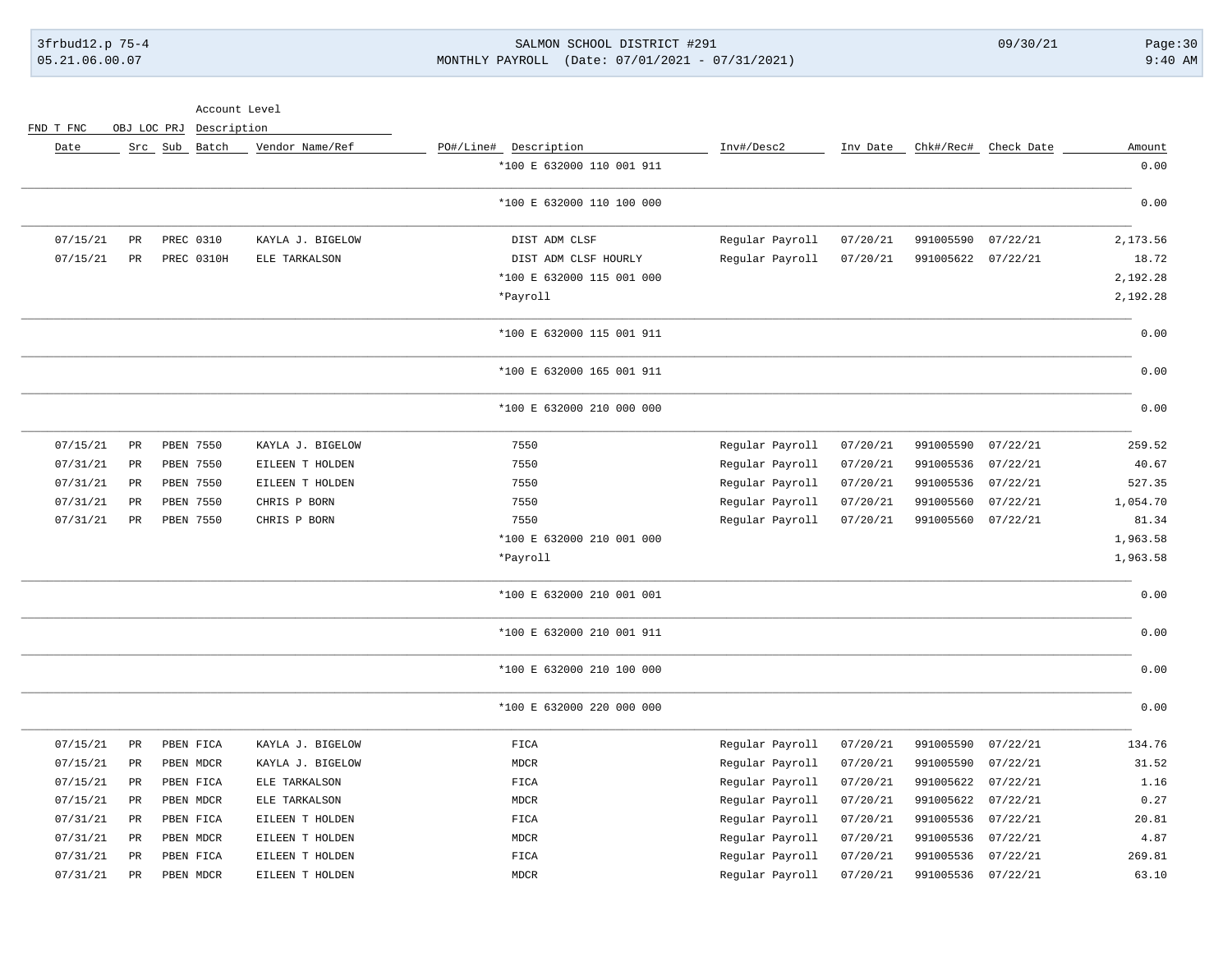### 3frbud12.p 75-4 SALMON SCHOOL DISTRICT #291 09/30/21 Page:30 05.21.06.00.07 MONTHLY PAYROLL (Date: 07/01/2021 - 07/31/2021) 9:40 AM

| Account Level |  |
|---------------|--|
|               |  |

| Date     |                 | Src Sub Batch | Vendor Name/Ref  | PO#/Line# Description     | Inv#/Desc2      | Inv Date |           | Chk#/Rec# Check Date | Amount   |
|----------|-----------------|---------------|------------------|---------------------------|-----------------|----------|-----------|----------------------|----------|
|          |                 |               |                  | *100 E 632000 110 001 911 |                 |          |           |                      | 0.00     |
|          |                 |               |                  | *100 E 632000 110 100 000 |                 |          |           |                      | 0.00     |
| 07/15/21 | $_{\rm PR}$     | PREC 0310     | KAYLA J. BIGELOW | DIST ADM CLSF             | Regular Payroll | 07/20/21 | 991005590 | 07/22/21             | 2,173.56 |
| 07/15/21 | $_{\rm PR}$     | PREC 0310H    | ELE TARKALSON    | DIST ADM CLSF HOURLY      | Regular Payroll | 07/20/21 | 991005622 | 07/22/21             | 18.72    |
|          |                 |               |                  | *100 E 632000 115 001 000 |                 |          |           |                      | 2,192.28 |
|          |                 |               |                  | *Payroll                  |                 |          |           |                      | 2,192.28 |
|          |                 |               |                  | *100 E 632000 115 001 911 |                 |          |           |                      | 0.00     |
|          |                 |               |                  | *100 E 632000 165 001 911 |                 |          |           |                      | 0.00     |
|          |                 |               |                  | *100 E 632000 210 000 000 |                 |          |           |                      | 0.00     |
| 07/15/21 | $_{\rm PR}$     | PBEN 7550     | KAYLA J. BIGELOW | 7550                      | Regular Payroll | 07/20/21 | 991005590 | 07/22/21             | 259.52   |
| 07/31/21 | $\mbox{\sf PR}$ | PBEN 7550     | EILEEN T HOLDEN  | 7550                      | Regular Payroll | 07/20/21 | 991005536 | 07/22/21             | 40.67    |
| 07/31/21 | $_{\rm PR}$     | PBEN 7550     | EILEEN T HOLDEN  | 7550                      | Regular Payroll | 07/20/21 | 991005536 | 07/22/21             | 527.35   |
| 07/31/21 | PR              | PBEN 7550     | CHRIS P BORN     | 7550                      | Regular Payroll | 07/20/21 | 991005560 | 07/22/21             | 1,054.70 |
| 07/31/21 | PR              | PBEN 7550     | CHRIS P BORN     | 7550                      | Regular Payroll | 07/20/21 | 991005560 | 07/22/21             | 81.34    |
|          |                 |               |                  | *100 E 632000 210 001 000 |                 |          |           |                      | 1,963.58 |
|          |                 |               |                  | *Payroll                  |                 |          |           |                      | 1,963.58 |
|          |                 |               |                  | *100 E 632000 210 001 001 |                 |          |           |                      | 0.00     |
|          |                 |               |                  | *100 E 632000 210 001 911 |                 |          |           |                      | 0.00     |
|          |                 |               |                  | *100 E 632000 210 100 000 |                 |          |           |                      | 0.00     |
|          |                 |               |                  | *100 E 632000 220 000 000 |                 |          |           |                      | 0.00     |
| 07/15/21 | $\mathtt{PR}$   | PBEN FICA     | KAYLA J. BIGELOW | FIGA                      | Regular Payroll | 07/20/21 | 991005590 | 07/22/21             | 134.76   |
| 07/15/21 | $_{\rm PR}$     | PBEN MDCR     | KAYLA J. BIGELOW | <b>MDCR</b>               | Regular Payroll | 07/20/21 | 991005590 | 07/22/21             | 31.52    |
| 07/15/21 | PR              | PBEN FICA     | ELE TARKALSON    | FICA                      | Regular Payroll | 07/20/21 | 991005622 | 07/22/21             | 1.16     |
| 07/15/21 | $_{\rm PR}$     | PBEN MDCR     | ELE TARKALSON    | MDCR                      | Regular Payroll | 07/20/21 | 991005622 | 07/22/21             | 0.27     |
| 07/31/21 | PR              | PBEN FICA     | EILEEN T HOLDEN  | FICA                      | Regular Payroll | 07/20/21 | 991005536 | 07/22/21             | 20.81    |
| 07/31/21 | $_{\rm PR}$     | PBEN MDCR     | EILEEN T HOLDEN  | MDCR                      | Regular Payroll | 07/20/21 | 991005536 | 07/22/21             | 4.87     |
| 07/31/21 | PR              | PBEN FICA     | EILEEN T HOLDEN  | ${\tt FICA}$              | Regular Payroll | 07/20/21 | 991005536 | 07/22/21             | 269.81   |
| 07/31/21 | $_{\rm PR}$     | PBEN MDCR     | EILEEN T HOLDEN  | MDCR                      | Regular Payroll | 07/20/21 | 991005536 | 07/22/21             | 63.10    |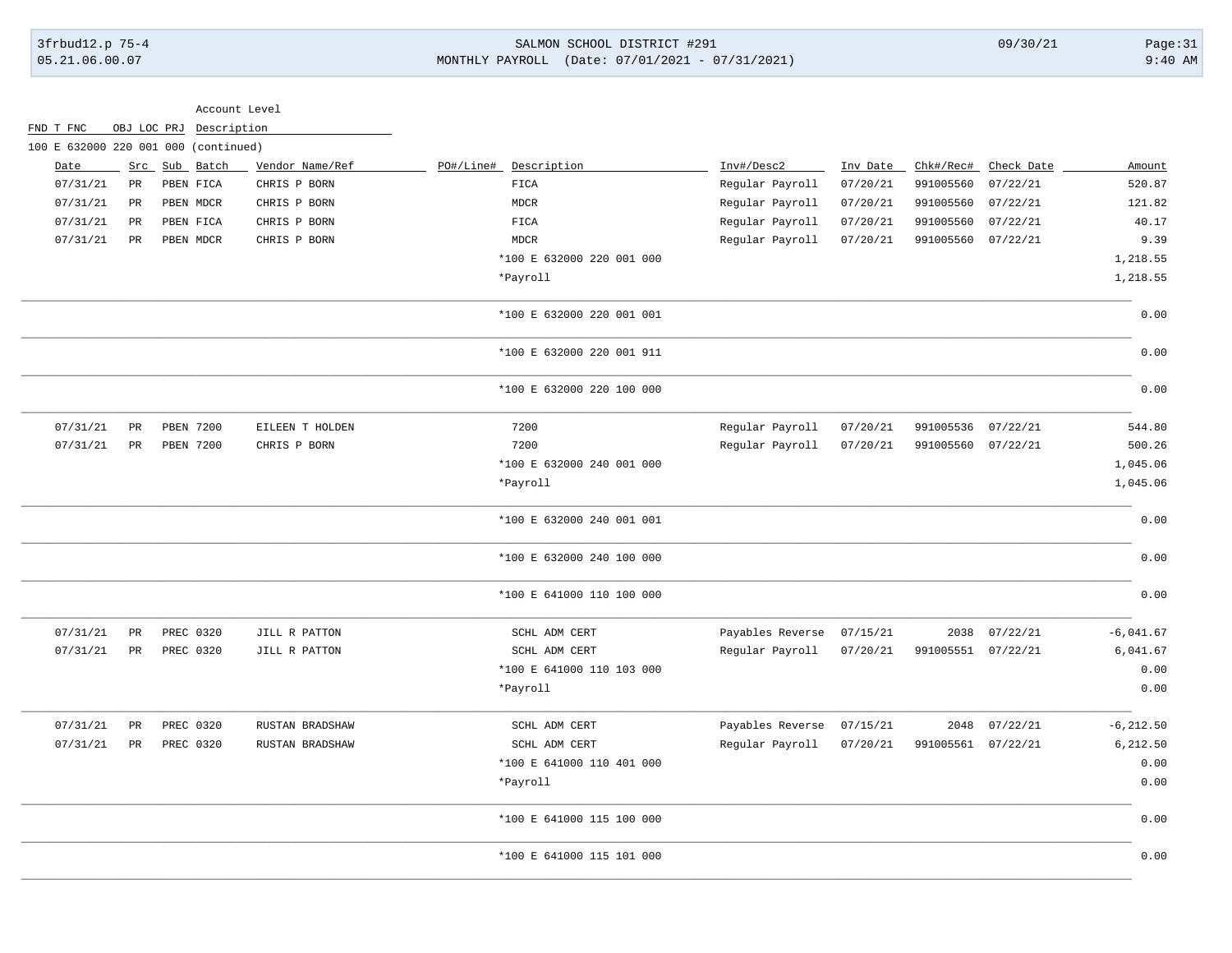| 3frbud12.p 75-4<br>05.21.06.00.07 |             |                                      |                 | SALMON SCHOOL DISTRICT #291<br>$(Date: 07/01/2021 - 07/31/2021)$<br>MONTHLY PAYROLL |                           |                          |          |                    | 09/30/21      | Page:31<br>$9:40$ AM |
|-----------------------------------|-------------|--------------------------------------|-----------------|-------------------------------------------------------------------------------------|---------------------------|--------------------------|----------|--------------------|---------------|----------------------|
|                                   |             |                                      |                 |                                                                                     |                           |                          |          |                    |               |                      |
|                                   |             |                                      | Account Level   |                                                                                     |                           |                          |          |                    |               |                      |
| FND T FNC                         |             | OBJ LOC PRJ Description              |                 |                                                                                     |                           |                          |          |                    |               |                      |
|                                   |             | 100 E 632000 220 001 000 (continued) |                 |                                                                                     |                           |                          |          |                    |               |                      |
| Date                              |             | Src Sub Batch                        | Vendor Name/Ref | PO#/Line#                                                                           | Description               | Inv#/Desc2               | Inv Date | Chk#/Rec#          | Check Date    | Amount               |
| 07/31/21                          | $_{\rm PR}$ | PBEN FICA                            | CHRIS P BORN    | FICA                                                                                |                           | Regular Payroll          | 07/20/21 | 991005560          | 07/22/21      | 520.87               |
| 07/31/21                          | PR          | PBEN MDCR                            | CHRIS P BORN    | MDCR                                                                                |                           | Regular Payroll          | 07/20/21 | 991005560          | 07/22/21      | 121.82               |
| 07/31/21                          | PR          | PBEN FICA                            | CHRIS P BORN    | FICA                                                                                |                           | Regular Payroll          | 07/20/21 | 991005560          | 07/22/21      | 40.17                |
| 07/31/21                          | PR          | PBEN MDCR                            | CHRIS P BORN    | MDCR                                                                                |                           | Regular Payroll          | 07/20/21 | 991005560          | 07/22/21      | 9.39                 |
|                                   |             |                                      |                 |                                                                                     | *100 E 632000 220 001 000 |                          |          |                    |               | 1,218.55             |
|                                   |             |                                      |                 | *Payroll                                                                            |                           |                          |          |                    |               | 1,218.55             |
|                                   |             |                                      |                 |                                                                                     | *100 E 632000 220 001 001 |                          |          |                    |               | 0.00                 |
|                                   |             |                                      |                 |                                                                                     | *100 E 632000 220 001 911 |                          |          |                    |               | 0.00                 |
|                                   |             |                                      |                 |                                                                                     | *100 E 632000 220 100 000 |                          |          |                    |               | 0.00                 |
| 07/31/21                          | PR          | <b>PBEN 7200</b>                     | EILEEN T HOLDEN | 7200                                                                                |                           | Regular Payroll          | 07/20/21 | 991005536          | 07/22/21      | 544.80               |
| 07/31/21                          | PR          | PBEN 7200                            | CHRIS P BORN    | 7200                                                                                |                           | Regular Payroll          | 07/20/21 | 991005560 07/22/21 |               | 500.26               |
|                                   |             |                                      |                 |                                                                                     | *100 E 632000 240 001 000 |                          |          |                    |               | 1,045.06             |
|                                   |             |                                      |                 | *Payroll                                                                            |                           |                          |          |                    |               | 1,045.06             |
|                                   |             |                                      |                 |                                                                                     | *100 E 632000 240 001 001 |                          |          |                    |               | 0.00                 |
|                                   |             |                                      |                 |                                                                                     | *100 E 632000 240 100 000 |                          |          |                    |               | 0.00                 |
|                                   |             |                                      |                 |                                                                                     | *100 E 641000 110 100 000 |                          |          |                    |               | 0.00                 |
| 07/31/21                          | $_{\rm PR}$ | PREC 0320                            | JILL R PATTON   |                                                                                     | SCHL ADM CERT             | Payables Reverse         | 07/15/21 | 2038               | 07/22/21      | $-6,041.67$          |
| 07/31/21                          | PR          | PREC 0320                            | JILL R PATTON   |                                                                                     | SCHL ADM CERT             | Regular Payroll          | 07/20/21 | 991005551 07/22/21 |               | 6,041.67             |
|                                   |             |                                      |                 |                                                                                     | *100 E 641000 110 103 000 |                          |          |                    |               | 0.00                 |
|                                   |             |                                      |                 | *Payroll                                                                            |                           |                          |          |                    |               | 0.00                 |
| 07/31/21                          | PR          | PREC 0320                            | RUSTAN BRADSHAW |                                                                                     | SCHL ADM CERT             | Payables Reverse         | 07/15/21 |                    | 2048 07/22/21 | $-6, 212.50$         |
|                                   |             | 07/31/21 PR PREC 0320                | RUSTAN BRADSHAW |                                                                                     | SCHL ADM CERT             | Regular Payroll 07/20/21 |          | 991005561 07/22/21 |               | 6,212.50             |
|                                   |             |                                      |                 |                                                                                     | *100 E 641000 110 401 000 |                          |          |                    |               | 0.00                 |
|                                   |             |                                      |                 | *Payroll                                                                            |                           |                          |          |                    |               | 0.00                 |
|                                   |             |                                      |                 |                                                                                     | *100 E 641000 115 100 000 |                          |          |                    |               | 0.00                 |
|                                   |             |                                      |                 |                                                                                     | *100 E 641000 115 101 000 |                          |          |                    |               | 0.00                 |

\_\_\_\_\_\_\_\_\_\_\_\_\_\_\_\_\_\_\_\_\_\_\_\_\_\_\_\_\_\_\_\_\_\_\_\_\_\_\_\_\_\_\_\_\_\_\_\_\_\_\_\_\_\_\_\_\_\_\_\_\_\_\_\_\_\_\_\_\_\_\_\_\_\_\_\_\_\_\_\_\_\_\_\_\_\_\_\_\_\_\_\_\_\_\_\_\_\_\_\_\_\_\_\_\_\_\_\_\_\_\_\_\_\_\_\_\_\_\_\_\_\_\_\_\_\_\_\_\_\_\_\_\_\_\_\_\_\_\_\_\_\_\_\_\_\_\_\_\_\_\_\_\_\_\_\_\_\_\_\_\_\_\_\_\_\_\_\_\_\_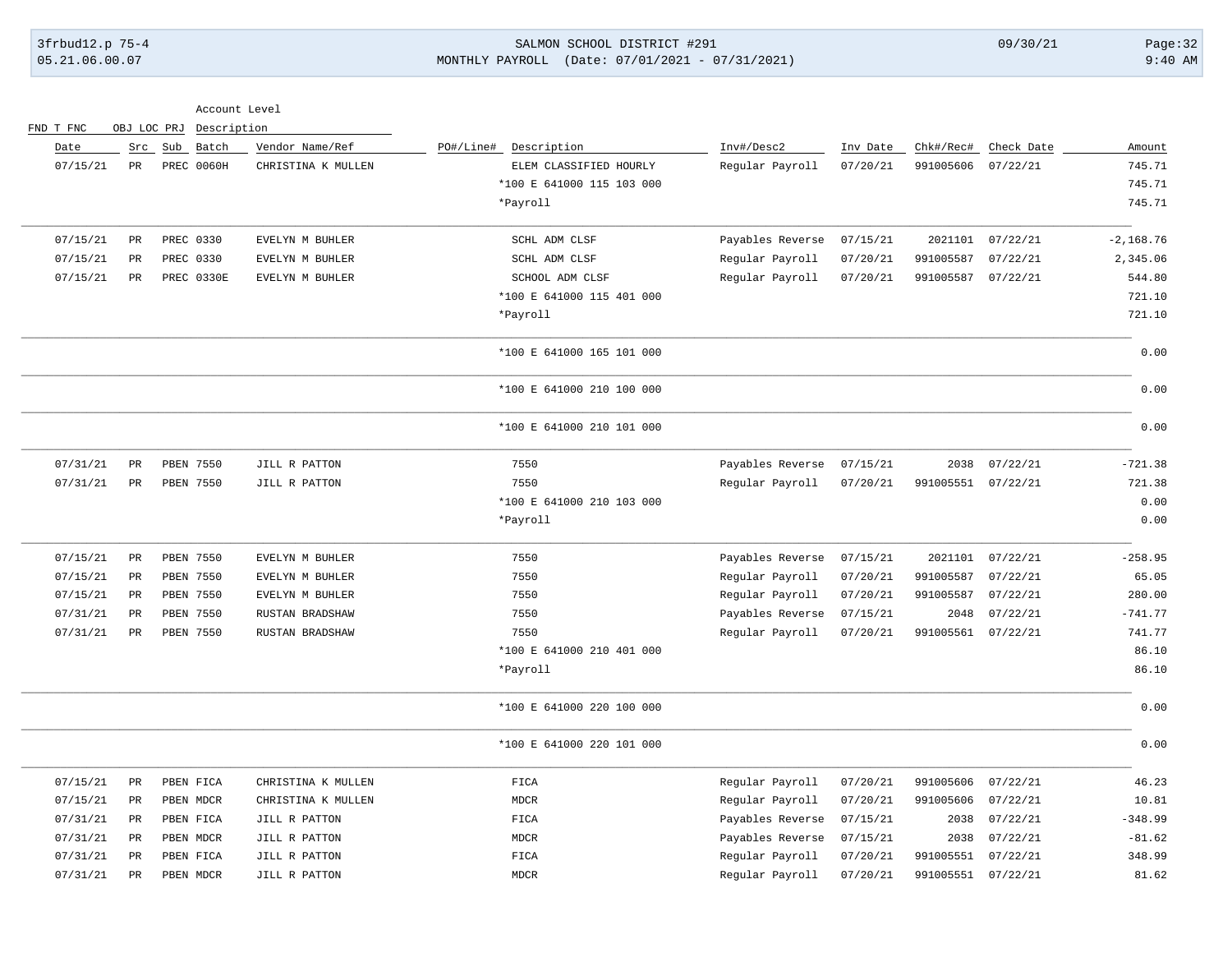### 3frbud12.p 75-4 SALMON SCHOOL DISTRICT #291 09/30/21 Page:32 05.21.06.00.07 MONTHLY PAYROLL (Date: 07/01/2021 - 07/31/2021) 9:40 AM

|              |                  | Chk#/Rec#          |          |                  |                           | FND T FNC<br>Description<br>OBJ LOC PRJ |                   |                 |          |
|--------------|------------------|--------------------|----------|------------------|---------------------------|-----------------------------------------|-------------------|-----------------|----------|
| Amount       | Check Date       |                    | Inv Date | Inv#/Desc2       | PO#/Line#<br>Description  | Vendor Name/Ref                         | Batch             | Src Sub         | Date     |
| 745.71       | 07/22/21         | 991005606          | 07/20/21 | Regular Payroll  | ELEM CLASSIFIED HOURLY    | CHRISTINA K MULLEN                      | <b>PREC 0060H</b> | PR              | 07/15/21 |
| 745.71       |                  |                    |          |                  | *100 E 641000 115 103 000 |                                         |                   |                 |          |
| 745.71       |                  |                    |          |                  | *Payroll                  |                                         |                   |                 |          |
| $-2, 168.76$ | 07/22/21         | 2021101            | 07/15/21 | Payables Reverse | SCHL ADM CLSF             | EVELYN M BUHLER                         | PREC 0330         | $\mbox{\sf PR}$ | 07/15/21 |
| 2,345.06     | 07/22/21         | 991005587          | 07/20/21 | Regular Payroll  | SCHL ADM CLSF             | EVELYN M BUHLER                         | PREC 0330         | $_{\rm PR}$     | 07/15/21 |
| 544.80       | 07/22/21         | 991005587          | 07/20/21 | Regular Payroll  | SCHOOL ADM CLSF           | EVELYN M BUHLER                         | PREC 0330E        | $_{\rm PR}$     | 07/15/21 |
| 721.10       |                  |                    |          |                  | *100 E 641000 115 401 000 |                                         |                   |                 |          |
| 721.10       |                  |                    |          |                  | *Payroll                  |                                         |                   |                 |          |
| 0.00         |                  |                    |          |                  | *100 E 641000 165 101 000 |                                         |                   |                 |          |
| 0.00         |                  |                    |          |                  | *100 E 641000 210 100 000 |                                         |                   |                 |          |
| 0.00         |                  |                    |          |                  | *100 E 641000 210 101 000 |                                         |                   |                 |          |
| $-721.38$    | 07/22/21         | 2038               | 07/15/21 | Payables Reverse | 7550                      | JILL R PATTON                           | PBEN 7550         | $_{\rm PR}$     | 07/31/21 |
| 721.38       |                  | 991005551 07/22/21 | 07/20/21 | Regular Payroll  | 7550                      | JILL R PATTON                           | PBEN 7550         | PR              | 07/31/21 |
| 0.00         |                  |                    |          |                  | *100 E 641000 210 103 000 |                                         |                   |                 |          |
| 0.00         |                  |                    |          |                  | *Payroll                  |                                         |                   |                 |          |
| $-258.95$    | 2021101 07/22/21 |                    | 07/15/21 | Payables Reverse | 7550                      | EVELYN M BUHLER                         | PBEN 7550         | $_{\rm PR}$     | 07/15/21 |
| 65.05        | 07/22/21         | 991005587          | 07/20/21 | Regular Payroll  | 7550                      | EVELYN M BUHLER                         | PBEN 7550         | PR              | 07/15/21 |
| 280.00       | 07/22/21         | 991005587          | 07/20/21 | Regular Payroll  | 7550                      | EVELYN M BUHLER                         | PBEN 7550         | PR              | 07/15/21 |
| $-741.77$    | 07/22/21         | 2048               | 07/15/21 | Payables Reverse | 7550                      | RUSTAN BRADSHAW                         | PBEN 7550         | PR              | 07/31/21 |
| 741.77       | 07/22/21         | 991005561          | 07/20/21 | Regular Payroll  | 7550                      | RUSTAN BRADSHAW                         | PBEN 7550         | PR              | 07/31/21 |
| 86.10        |                  |                    |          |                  | *100 E 641000 210 401 000 |                                         |                   |                 |          |
| 86.10        |                  |                    |          |                  | *Payroll                  |                                         |                   |                 |          |
| 0.00         |                  |                    |          |                  | *100 E 641000 220 100 000 |                                         |                   |                 |          |
| 0.00         |                  |                    |          |                  | *100 E 641000 220 101 000 |                                         |                   |                 |          |
| 46.23        | 07/22/21         | 991005606          | 07/20/21 | Regular Payroll  | FICA                      | CHRISTINA K MULLEN                      | PBEN FICA         | $\mbox{\sf PR}$ | 07/15/21 |
| 10.81        | 07/22/21         | 991005606          | 07/20/21 | Regular Payroll  | ${\tt MDCR}$              | CHRISTINA K MULLEN                      | PBEN MDCR         | PR              | 07/15/21 |
| $-348.99$    | 07/22/21         | 2038               | 07/15/21 | Payables Reverse | FICA                      | JILL R PATTON                           | PBEN FICA         | PR              | 07/31/21 |
| $-81.62$     | 07/22/21         | 2038               | 07/15/21 | Payables Reverse | MDCR                      | JILL R PATTON                           | PBEN MDCR         | PR              | 07/31/21 |
| 348.99       | 07/22/21         | 991005551          | 07/20/21 | Regular Payroll  | FICA                      | JILL R PATTON                           | PBEN FICA         | PR              | 07/31/21 |
| 81.62        |                  | 991005551 07/22/21 | 07/20/21 | Regular Payroll  | <b>MDCR</b>               | JILL R PATTON                           | PBEN MDCR         | $_{\rm PR}$     | 07/31/21 |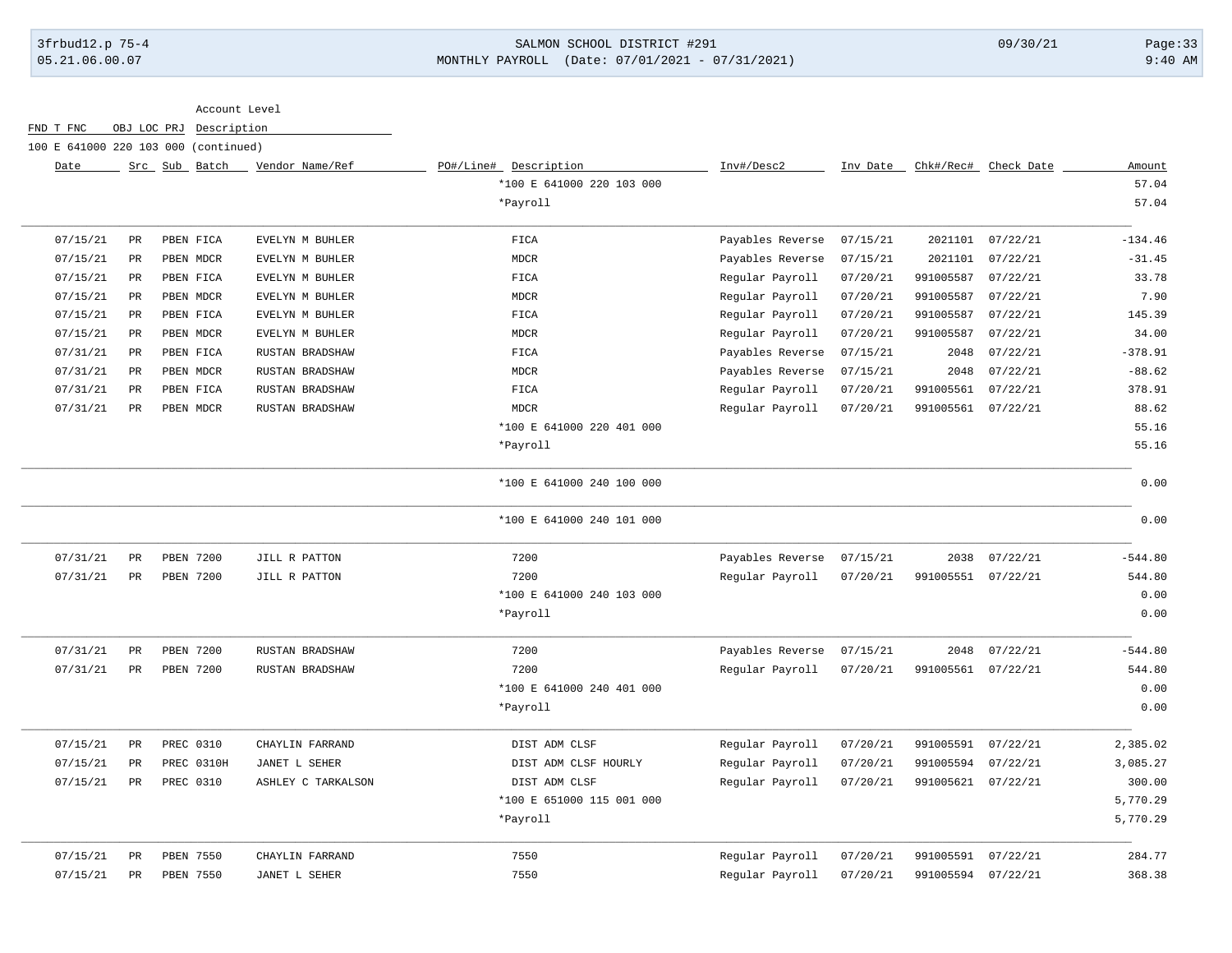### 3frbud12.p 75-4 SALMON SCHOOL DISTRICT #291 09/30/21 Page:33 05.21.06.00.07 MONTHLY PAYROLL (Date: 07/01/2021 - 07/31/2021) 9:40 AM

Account Level

FND T FNC OBJ LOC PRJ Description

100 E 641000 220 103 000 (continued)

| Date     |             | Src Sub Batch    | Vendor Name/Ref    | PO#/Line#<br>Description  | Inv#/Desc2       | Inv Date | Chk#/Rec#          | Check Date | Amount    |
|----------|-------------|------------------|--------------------|---------------------------|------------------|----------|--------------------|------------|-----------|
|          |             |                  |                    | *100 E 641000 220 103 000 |                  |          |                    |            | 57.04     |
|          |             |                  |                    | *Payroll                  |                  |          |                    |            | 57.04     |
| 07/15/21 | PR          | PBEN FICA        | EVELYN M BUHLER    | FICA                      | Payables Reverse | 07/15/21 | 2021101            | 07/22/21   | $-134.46$ |
| 07/15/21 | PR          | PBEN MDCR        | EVELYN M BUHLER    | <b>MDCR</b>               | Payables Reverse | 07/15/21 | 2021101            | 07/22/21   | $-31.45$  |
| 07/15/21 | PR          | PBEN FICA        | EVELYN M BUHLER    | FICA                      | Regular Payroll  | 07/20/21 | 991005587          | 07/22/21   | 33.78     |
| 07/15/21 | $_{\rm PR}$ | PBEN MDCR        | EVELYN M BUHLER    | <b>MDCR</b>               | Regular Payroll  | 07/20/21 | 991005587          | 07/22/21   | 7.90      |
| 07/15/21 | PR          | PBEN FICA        | EVELYN M BUHLER    | FICA                      | Regular Payroll  | 07/20/21 | 991005587          | 07/22/21   | 145.39    |
| 07/15/21 | PR          | PBEN MDCR        | EVELYN M BUHLER    | <b>MDCR</b>               | Regular Payroll  | 07/20/21 | 991005587          | 07/22/21   | 34.00     |
| 07/31/21 | $_{\rm PR}$ | PBEN FICA        | RUSTAN BRADSHAW    | ${\tt FICA}$              | Payables Reverse | 07/15/21 | 2048               | 07/22/21   | $-378.91$ |
| 07/31/21 | PR          | PBEN MDCR        | RUSTAN BRADSHAW    | <b>MDCR</b>               | Payables Reverse | 07/15/21 | 2048               | 07/22/21   | $-88.62$  |
| 07/31/21 | PR          | PBEN FICA        | RUSTAN BRADSHAW    | FICA                      | Regular Payroll  | 07/20/21 | 991005561          | 07/22/21   | 378.91    |
| 07/31/21 | PR          | PBEN MDCR        | RUSTAN BRADSHAW    | <b>MDCR</b>               | Regular Payroll  | 07/20/21 | 991005561          | 07/22/21   | 88.62     |
|          |             |                  |                    | *100 E 641000 220 401 000 |                  |          |                    |            | 55.16     |
|          |             |                  |                    | *Payroll                  |                  |          |                    |            | 55.16     |
|          |             |                  |                    | *100 E 641000 240 100 000 |                  |          |                    |            | 0.00      |
|          |             |                  |                    | *100 E 641000 240 101 000 |                  |          |                    |            | 0.00      |
| 07/31/21 | PR          | <b>PBEN 7200</b> | JILL R PATTON      | 7200                      | Payables Reverse | 07/15/21 | 2038               | 07/22/21   | $-544.80$ |
| 07/31/21 | PR          | <b>PBEN 7200</b> | JILL R PATTON      | 7200                      | Regular Payroll  | 07/20/21 | 991005551          | 07/22/21   | 544.80    |
|          |             |                  |                    | *100 E 641000 240 103 000 |                  |          |                    |            | 0.00      |
|          |             |                  |                    | *Payroll                  |                  |          |                    |            | 0.00      |
| 07/31/21 | PR          | PBEN 7200        | RUSTAN BRADSHAW    | 7200                      | Payables Reverse | 07/15/21 | 2048               | 07/22/21   | $-544.80$ |
| 07/31/21 | PR          | <b>PBEN 7200</b> | RUSTAN BRADSHAW    | 7200                      | Regular Payroll  | 07/20/21 | 991005561          | 07/22/21   | 544.80    |
|          |             |                  |                    | *100 E 641000 240 401 000 |                  |          |                    |            | 0.00      |
|          |             |                  |                    | *Payroll                  |                  |          |                    |            | 0.00      |
| 07/15/21 | PR          | PREC 0310        | CHAYLIN FARRAND    | DIST ADM CLSF             | Regular Payroll  | 07/20/21 | 991005591          | 07/22/21   | 2,385.02  |
| 07/15/21 | PR          | PREC 0310H       | JANET L SEHER      | DIST ADM CLSF HOURLY      | Regular Payroll  | 07/20/21 | 991005594          | 07/22/21   | 3,085.27  |
| 07/15/21 | PR          | PREC 0310        | ASHLEY C TARKALSON | DIST ADM CLSF             | Regular Payroll  | 07/20/21 | 991005621          | 07/22/21   | 300.00    |
|          |             |                  |                    | *100 E 651000 115 001 000 |                  |          |                    |            | 5,770.29  |
|          |             |                  |                    | *Payroll                  |                  |          |                    |            | 5,770.29  |
| 07/15/21 | PR          | PBEN 7550        | CHAYLIN FARRAND    | 7550                      | Regular Payroll  | 07/20/21 | 991005591          | 07/22/21   | 284.77    |
| 07/15/21 | PR          | PBEN 7550        | JANET L SEHER      | 7550                      | Regular Payroll  | 07/20/21 | 991005594 07/22/21 |            | 368.38    |
|          |             |                  |                    |                           |                  |          |                    |            |           |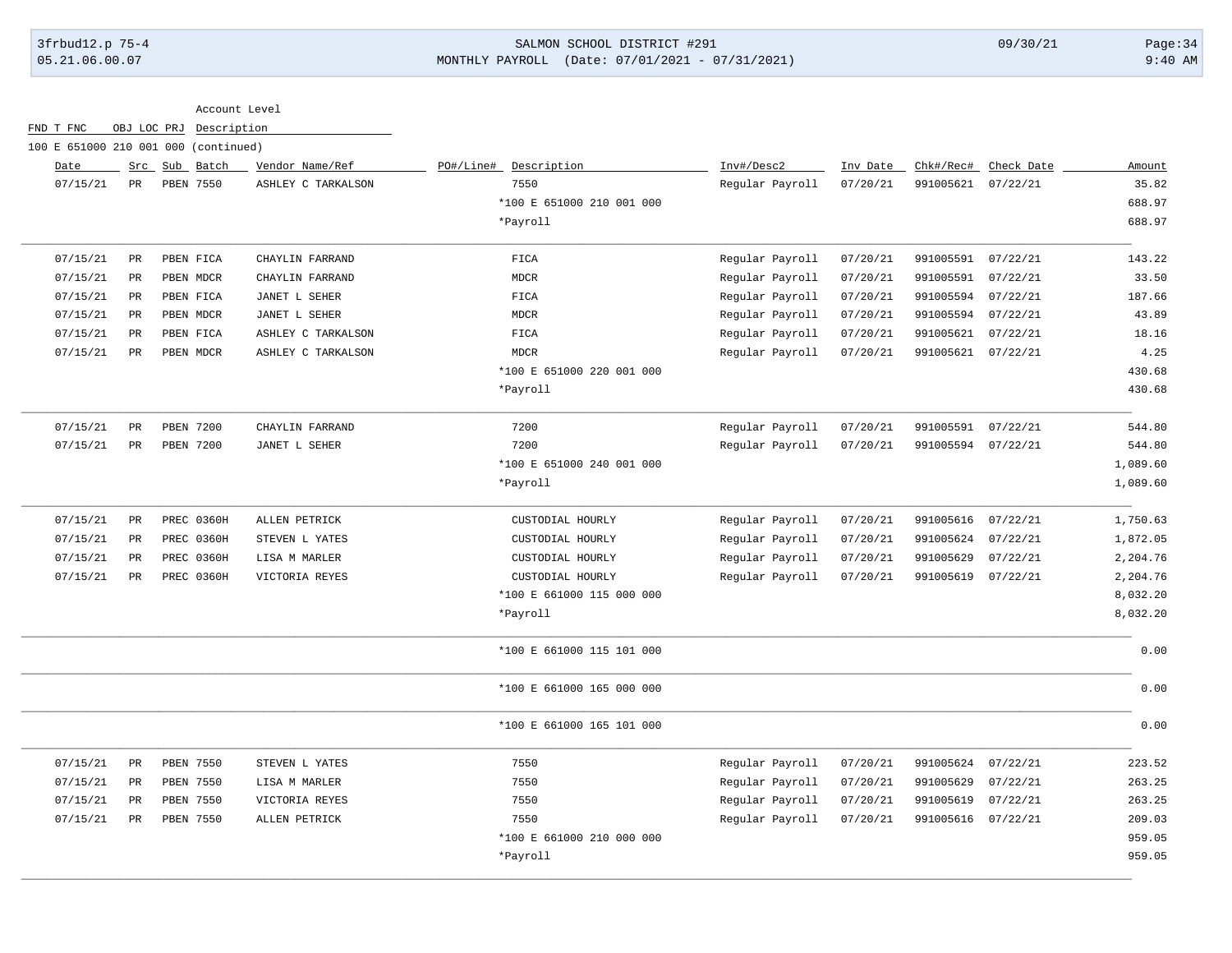# 3frbud12.p 75-4 SALMON SCHOOL DISTRICT #291 09/30/21 Page:34 05.21.06.00.07 MONTHLY PAYROLL (Date: 07/01/2021 - 07/31/2021) 9:40 AM

| Date     |               | Src Sub Batch | Vendor Name/Ref    | PO#/Line# Description     | Inv#/Desc2      | Inv Date | Chk#/Rec# | Check Date | Amount   |
|----------|---------------|---------------|--------------------|---------------------------|-----------------|----------|-----------|------------|----------|
| 07/15/21 | PR            | PBEN 7550     | ASHLEY C TARKALSON | 7550                      | Regular Payroll | 07/20/21 | 991005621 | 07/22/21   | 35.82    |
|          |               |               |                    | *100 E 651000 210 001 000 |                 |          |           |            | 688.97   |
|          |               |               |                    | *Payroll                  |                 |          |           |            | 688.97   |
| 07/15/21 | PR            | PBEN FICA     | CHAYLIN FARRAND    | FICA                      | Regular Payroll | 07/20/21 | 991005591 | 07/22/21   | 143.22   |
| 07/15/21 | PR            | PBEN MDCR     | CHAYLIN FARRAND    | <b>MDCR</b>               | Regular Payroll | 07/20/21 | 991005591 | 07/22/21   | 33.50    |
| 07/15/21 | PR            | PBEN FICA     | JANET L SEHER      | FICA                      | Regular Payroll | 07/20/21 | 991005594 | 07/22/21   | 187.66   |
| 07/15/21 | $_{\rm PR}$   | PBEN MDCR     | JANET L SEHER      | MDCR                      | Regular Payroll | 07/20/21 | 991005594 | 07/22/21   | 43.89    |
| 07/15/21 | PR            | PBEN FICA     | ASHLEY C TARKALSON | FICA                      | Regular Payroll | 07/20/21 | 991005621 | 07/22/21   | 18.16    |
| 07/15/21 | $_{\rm PR}$   | PBEN MDCR     | ASHLEY C TARKALSON | <b>MDCR</b>               | Regular Payroll | 07/20/21 | 991005621 | 07/22/21   | 4.25     |
|          |               |               |                    | *100 E 651000 220 001 000 |                 |          |           |            | 430.68   |
|          |               |               |                    | *Payroll                  |                 |          |           |            | 430.68   |
| 07/15/21 | $\mathtt{PR}$ | PBEN 7200     | CHAYLIN FARRAND    | 7200                      | Regular Payroll | 07/20/21 | 991005591 | 07/22/21   | 544.80   |
| 07/15/21 | PR            | PBEN 7200     | JANET L SEHER      | 7200                      | Regular Payroll | 07/20/21 | 991005594 | 07/22/21   | 544.80   |
|          |               |               |                    | *100 E 651000 240 001 000 |                 |          |           |            | 1,089.60 |
|          |               |               |                    | *Payroll                  |                 |          |           |            | 1,089.60 |
| 07/15/21 | $_{\rm PR}$   | PREC 0360H    | ALLEN PETRICK      | CUSTODIAL HOURLY          | Regular Payroll | 07/20/21 | 991005616 | 07/22/21   | 1,750.63 |
| 07/15/21 | $_{\rm PR}$   | PREC 0360H    | STEVEN L YATES     | CUSTODIAL HOURLY          | Regular Payroll | 07/20/21 | 991005624 | 07/22/21   | 1,872.05 |
| 07/15/21 | $_{\rm PR}$   | PREC 0360H    | LISA M MARLER      | CUSTODIAL HOURLY          | Regular Payroll | 07/20/21 | 991005629 | 07/22/21   | 2,204.76 |
| 07/15/21 | PR            | PREC 0360H    | VICTORIA REYES     | CUSTODIAL HOURLY          | Regular Payroll | 07/20/21 | 991005619 | 07/22/21   | 2,204.76 |
|          |               |               |                    | *100 E 661000 115 000 000 |                 |          |           |            | 8,032.20 |
|          |               |               |                    | *Payroll                  |                 |          |           |            | 8,032.20 |
|          |               |               |                    | *100 E 661000 115 101 000 |                 |          |           |            | 0.00     |
|          |               |               |                    | *100 E 661000 165 000 000 |                 |          |           |            | 0.00     |
|          |               |               |                    | *100 E 661000 165 101 000 |                 |          |           |            | 0.00     |
| 07/15/21 | PR            | PBEN 7550     | STEVEN L YATES     | 7550                      | Regular Payroll | 07/20/21 | 991005624 | 07/22/21   | 223.52   |
| 07/15/21 | $_{\rm PR}$   | PBEN 7550     | LISA M MARLER      | 7550                      | Regular Payroll | 07/20/21 | 991005629 | 07/22/21   | 263.25   |
| 07/15/21 | $_{\rm PR}$   | PBEN 7550     | VICTORIA REYES     | 7550                      | Regular Payroll | 07/20/21 | 991005619 | 07/22/21   | 263.25   |
| 07/15/21 | PR            | PBEN 7550     | ALLEN PETRICK      | 7550                      | Regular Payroll | 07/20/21 | 991005616 | 07/22/21   | 209.03   |
|          |               |               |                    | *100 E 661000 210 000 000 |                 |          |           |            | 959.05   |
|          |               |               |                    | *Payroll                  |                 |          |           |            | 959.05   |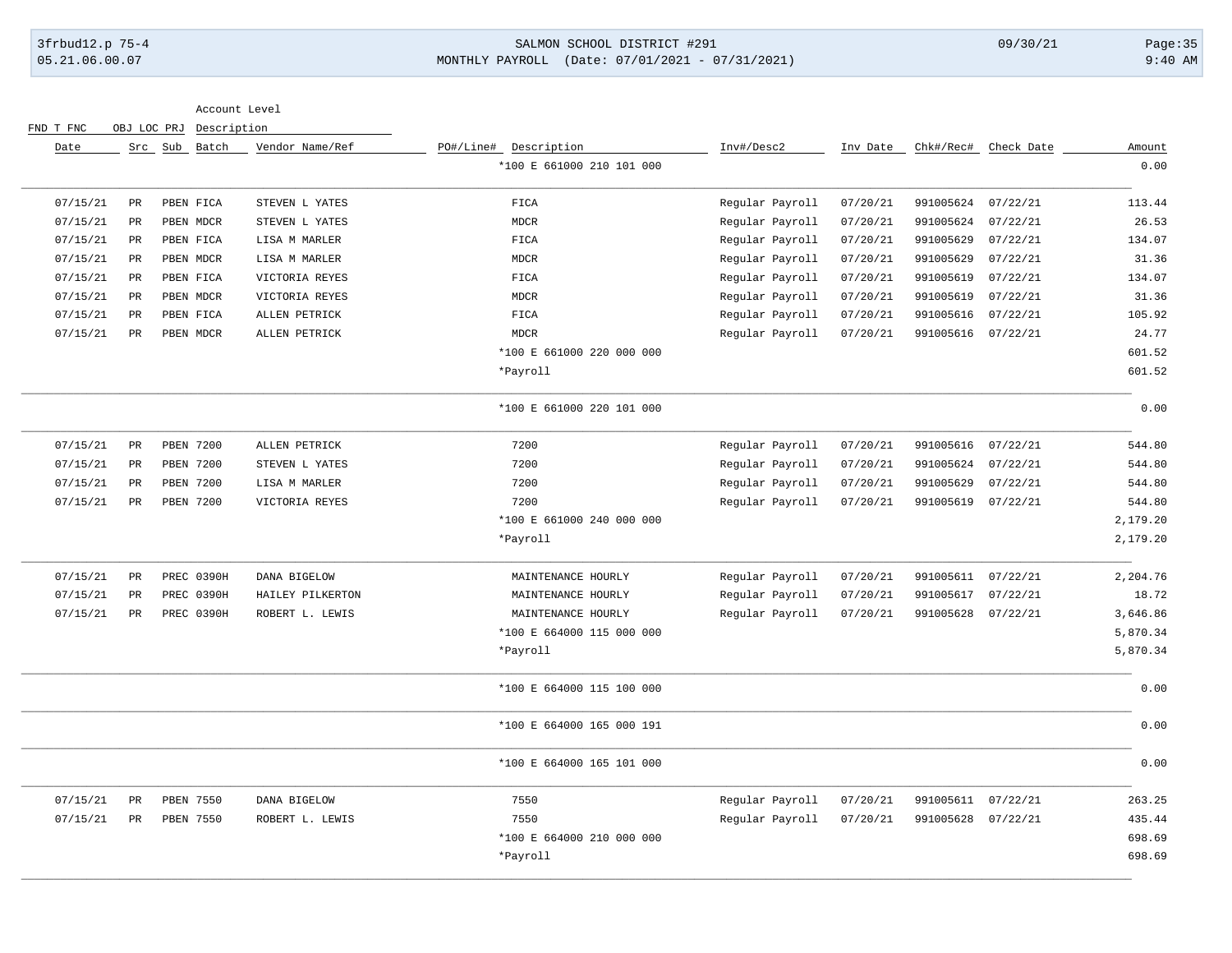### 3frbud12.p 75-4 SALMON SCHOOL DISTRICT #291 09/30/21 Page:35 05.21.06.00.07 MONTHLY PAYROLL (Date: 07/01/2021 - 07/31/2021) 9:40 AM

| Amount   | Check Date | Chk#/Rec# | Inv Date | Inv#/Desc2      | PO#/Line# Description     | Vendor Name/Ref  | Src Sub Batch    |                 | Date     |
|----------|------------|-----------|----------|-----------------|---------------------------|------------------|------------------|-----------------|----------|
| 0.00     |            |           |          |                 | *100 E 661000 210 101 000 |                  |                  |                 |          |
| 113.44   | 07/22/21   | 991005624 | 07/20/21 | Regular Payroll | ${\tt FICA}$              | STEVEN L YATES   | PBEN FICA        | $\mbox{\sf PR}$ | 07/15/21 |
| 26.53    | 07/22/21   | 991005624 | 07/20/21 | Regular Payroll | <b>MDCR</b>               | STEVEN L YATES   | PBEN MDCR        | $\mbox{\sf PR}$ | 07/15/21 |
| 134.07   | 07/22/21   | 991005629 | 07/20/21 | Regular Payroll | FICA                      | LISA M MARLER    | PBEN FICA        | $\mbox{\sf PR}$ | 07/15/21 |
| 31.36    | 07/22/21   | 991005629 | 07/20/21 | Regular Payroll | <b>MDCR</b>               | LISA M MARLER    | PBEN MDCR        | $_{\rm PR}$     | 07/15/21 |
| 134.07   | 07/22/21   | 991005619 | 07/20/21 | Regular Payroll | FICA                      | VICTORIA REYES   | PBEN FICA        | $\mathtt{PR}$   | 07/15/21 |
| 31.36    | 07/22/21   | 991005619 | 07/20/21 | Regular Payroll | <b>MDCR</b>               | VICTORIA REYES   | PBEN MDCR        | $\mathtt{PR}$   | 07/15/21 |
| 105.92   | 07/22/21   | 991005616 | 07/20/21 | Regular Payroll | FICA                      | ALLEN PETRICK    | PBEN FICA        | $_{\rm PR}$     | 07/15/21 |
| 24.77    | 07/22/21   | 991005616 | 07/20/21 | Regular Payroll | <b>MDCR</b>               | ALLEN PETRICK    | PBEN MDCR        | PR              | 07/15/21 |
| 601.52   |            |           |          |                 | *100 E 661000 220 000 000 |                  |                  |                 |          |
| 601.52   |            |           |          |                 | *Payroll                  |                  |                  |                 |          |
| 0.00     |            |           |          |                 | *100 E 661000 220 101 000 |                  |                  |                 |          |
| 544.80   | 07/22/21   | 991005616 | 07/20/21 | Regular Payroll | 7200                      | ALLEN PETRICK    | PBEN 7200        | PR              | 07/15/21 |
| 544.80   | 07/22/21   | 991005624 | 07/20/21 | Regular Payroll | 7200                      | STEVEN L YATES   | <b>PBEN 7200</b> | PR              | 07/15/21 |
| 544.80   | 07/22/21   | 991005629 | 07/20/21 | Regular Payroll | 7200                      | LISA M MARLER    | PBEN 7200        | $\mathtt{PR}$   | 07/15/21 |
| 544.80   | 07/22/21   | 991005619 | 07/20/21 | Regular Payroll | 7200                      | VICTORIA REYES   | PBEN 7200        | PR              | 07/15/21 |
| 2,179.20 |            |           |          |                 | *100 E 661000 240 000 000 |                  |                  |                 |          |
| 2,179.20 |            |           |          |                 | *Payroll                  |                  |                  |                 |          |
| 2,204.76 | 07/22/21   | 991005611 | 07/20/21 | Regular Payroll | MAINTENANCE HOURLY        | DANA BIGELOW     | PREC 0390H       | $\mathtt{PR}$   | 07/15/21 |
| 18.72    | 07/22/21   | 991005617 | 07/20/21 | Regular Payroll | MAINTENANCE HOURLY        | HAILEY PILKERTON | PREC 0390H       | $\mbox{\sf PR}$ | 07/15/21 |
| 3,646.86 | 07/22/21   | 991005628 | 07/20/21 | Regular Payroll | MAINTENANCE HOURLY        | ROBERT L. LEWIS  | PREC 0390H       | $_{\rm PR}$     | 07/15/21 |
| 5,870.34 |            |           |          |                 | *100 E 664000 115 000 000 |                  |                  |                 |          |
| 5,870.34 |            |           |          |                 | *Payroll                  |                  |                  |                 |          |
| 0.00     |            |           |          |                 | *100 E 664000 115 100 000 |                  |                  |                 |          |
| 0.00     |            |           |          |                 | *100 E 664000 165 000 191 |                  |                  |                 |          |
| 0.00     |            |           |          |                 | *100 E 664000 165 101 000 |                  |                  |                 |          |
| 263.25   | 07/22/21   | 991005611 | 07/20/21 | Regular Payroll | 7550                      | DANA BIGELOW     | PBEN 7550        | $\mbox{\sf PR}$ | 07/15/21 |
| 435.44   | 07/22/21   | 991005628 | 07/20/21 | Regular Payroll | 7550                      | ROBERT L. LEWIS  | PBEN 7550        | $_{\rm PR}$     | 07/15/21 |
|          |            |           |          |                 |                           |                  |                  |                 |          |
| 698.69   |            |           |          |                 | *100 E 664000 210 000 000 |                  |                  |                 |          |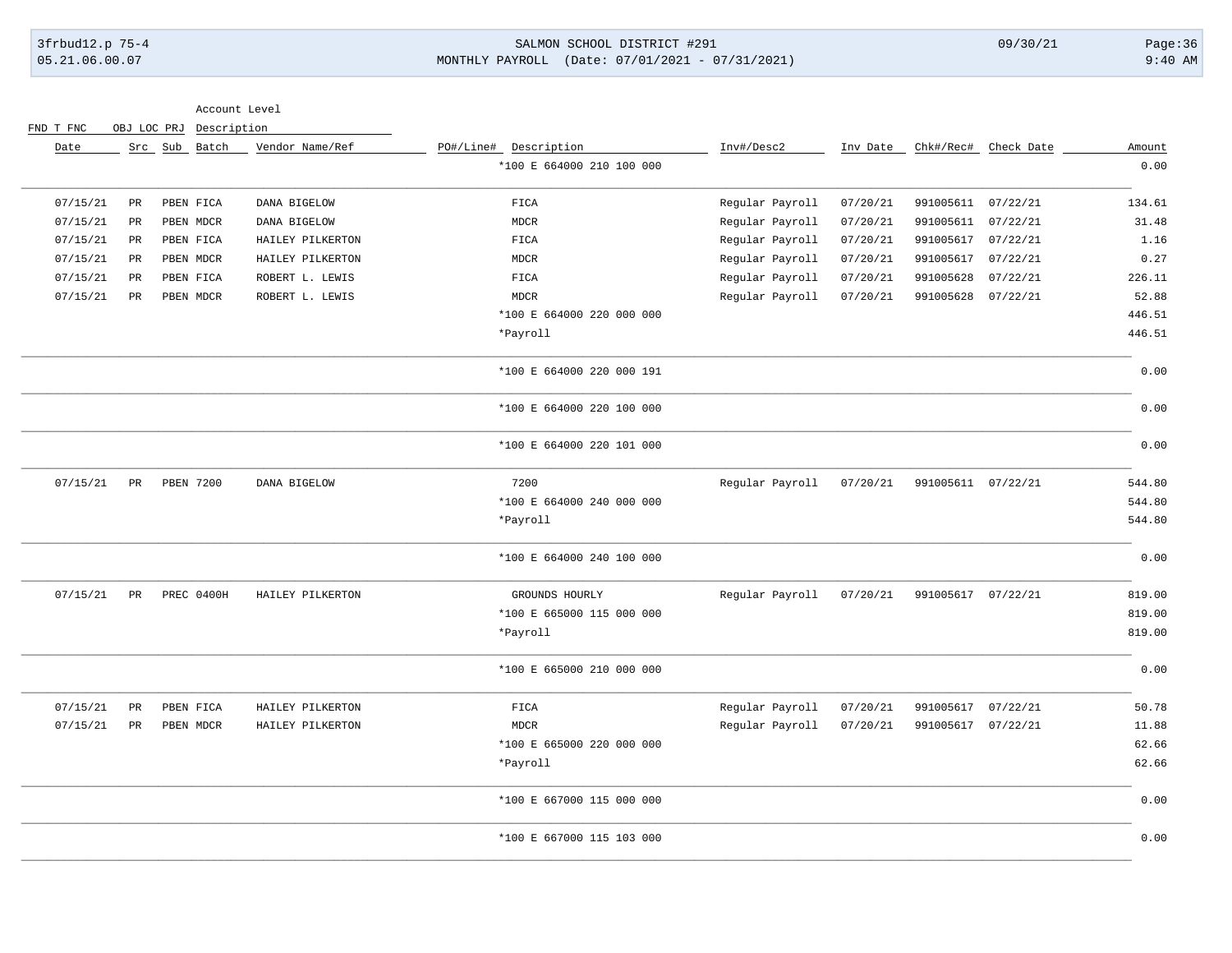### 3frbud12.p 75-4 SALMON SCHOOL DISTRICT #291 09/30/21 Page:36 05.21.06.00.07 MONTHLY PAYROLL (Date: 07/01/2021 - 07/31/2021) 9:40 AM

| Chk#/Rec# Check Date  | Inv Date | Inv#/Desc2      | PO#/Line# Description     | Vendor Name/Ref  | Src Sub Batch |                 | Date     |
|-----------------------|----------|-----------------|---------------------------|------------------|---------------|-----------------|----------|
|                       |          |                 | *100 E 664000 210 100 000 |                  |               |                 |          |
| 991005611<br>07/22/21 | 07/20/21 | Regular Payroll | <b>FICA</b>               | DANA BIGELOW     | PBEN FICA     | $\mbox{\sf PR}$ | 07/15/21 |
| 991005611<br>07/22/21 | 07/20/21 | Regular Payroll | MDCR                      | DANA BIGELOW     | PBEN MDCR     | PR              | 07/15/21 |
| 991005617<br>07/22/21 | 07/20/21 | Regular Payroll | FIGA                      | HAILEY PILKERTON | PBEN FICA     | PR              | 07/15/21 |
| 991005617<br>07/22/21 | 07/20/21 | Regular Payroll | MDCR                      | HAILEY PILKERTON | PBEN MDCR     | PR              | 07/15/21 |
| 991005628<br>07/22/21 | 07/20/21 | Regular Payroll | FICA                      | ROBERT L. LEWIS  | PBEN FICA     | PR              | 07/15/21 |
| 991005628<br>07/22/21 | 07/20/21 | Regular Payroll | <b>MDCR</b>               | ROBERT L. LEWIS  | PBEN MDCR     | PR              | 07/15/21 |
|                       |          |                 | *100 E 664000 220 000 000 |                  |               |                 |          |
|                       |          |                 | *Payroll                  |                  |               |                 |          |
|                       |          |                 | *100 E 664000 220 000 191 |                  |               |                 |          |
|                       |          |                 | *100 E 664000 220 100 000 |                  |               |                 |          |
|                       |          |                 | *100 E 664000 220 101 000 |                  |               |                 |          |
| 991005611 07/22/21    | 07/20/21 | Regular Payroll | 7200                      | DANA BIGELOW     | PBEN 7200     | PR              | 07/15/21 |
|                       |          |                 | *100 E 664000 240 000 000 |                  |               |                 |          |
|                       |          |                 | *Payroll                  |                  |               |                 |          |
|                       |          |                 | *100 E 664000 240 100 000 |                  |               |                 |          |
| 991005617 07/22/21    | 07/20/21 | Regular Payroll | GROUNDS HOURLY            | HAILEY PILKERTON | PREC 0400H    | $_{\rm PR}$     | 07/15/21 |
|                       |          |                 | *100 E 665000 115 000 000 |                  |               |                 |          |
|                       |          |                 | *Payroll                  |                  |               |                 |          |
|                       |          |                 | *100 E 665000 210 000 000 |                  |               |                 |          |
| 07/22/21<br>991005617 | 07/20/21 | Regular Payroll | FIGA                      | HAILEY PILKERTON | PBEN FICA     | $\mbox{\sf PR}$ | 07/15/21 |
| 991005617<br>07/22/21 | 07/20/21 | Regular Payroll | <b>MDCR</b>               | HAILEY PILKERTON | PBEN MDCR     | $_{\rm PR}$     | 07/15/21 |
|                       |          |                 | *100 E 665000 220 000 000 |                  |               |                 |          |
|                       |          |                 | *Payroll                  |                  |               |                 |          |
|                       |          |                 | *100 E 667000 115 000 000 |                  |               |                 |          |
|                       |          |                 | *100 E 667000 115 103 000 |                  |               |                 |          |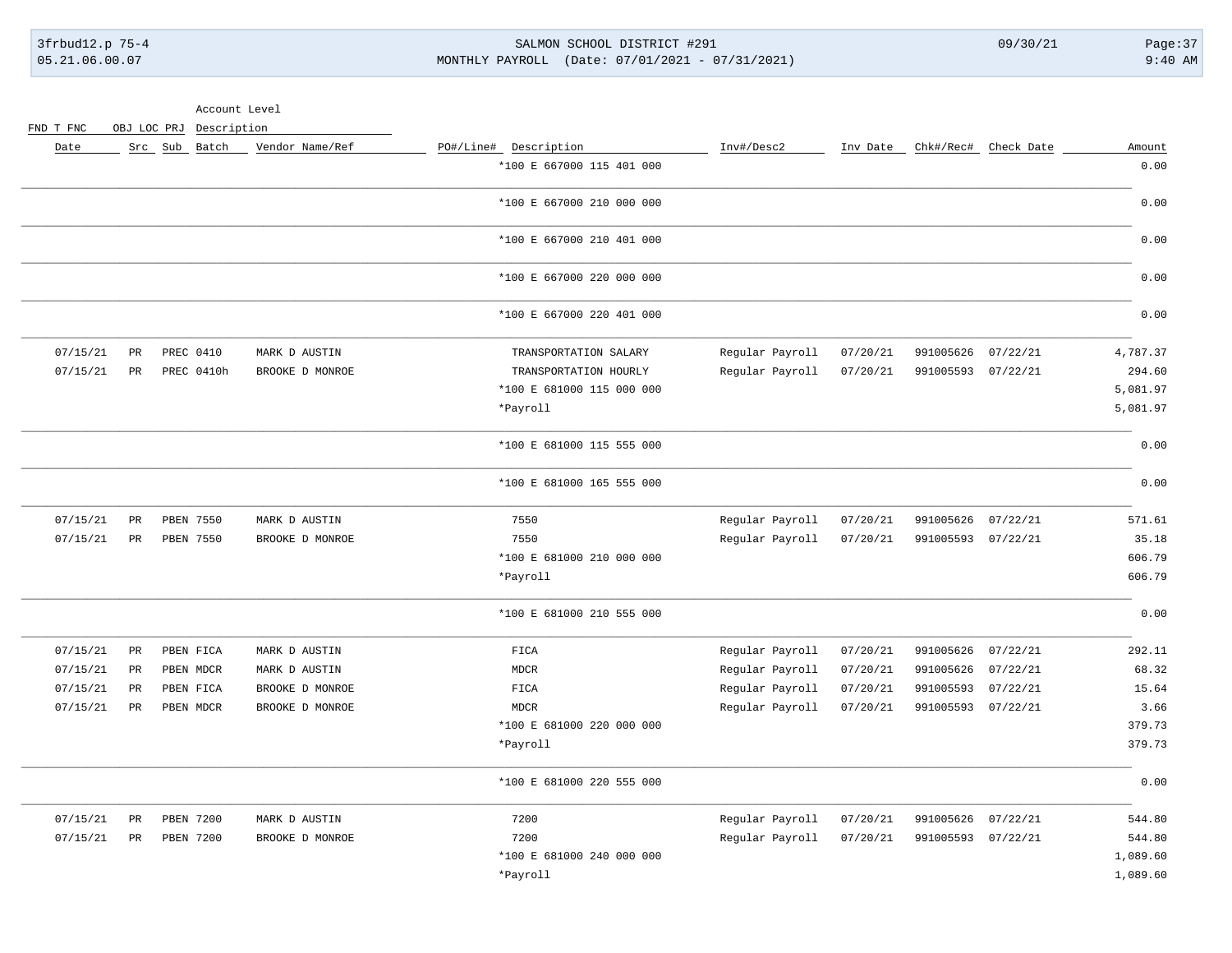3frbud12.p 75-4 SALMON SCHOOL DISTRICT #291 09/30/21 Page:37 05.21.06.00.07 MONTHLY PAYROLL (Date: 07/01/2021 - 07/31/2021) 9:40 AM

Account Level

| Amount   | Chk#/Rec# Check Date |                    | Inv Date | Inv#/Desc2      | PO#/Line# Description     | Vendor Name/Ref | Src Sub Batch |                 | Date     |
|----------|----------------------|--------------------|----------|-----------------|---------------------------|-----------------|---------------|-----------------|----------|
| 0.00     |                      |                    |          |                 | *100 E 667000 115 401 000 |                 |               |                 |          |
| 0.00     |                      |                    |          |                 | *100 E 667000 210 000 000 |                 |               |                 |          |
| 0.00     |                      |                    |          |                 | *100 E 667000 210 401 000 |                 |               |                 |          |
| 0.00     |                      |                    |          |                 | *100 E 667000 220 000 000 |                 |               |                 |          |
| 0.00     |                      |                    |          |                 | *100 E 667000 220 401 000 |                 |               |                 |          |
| 4,787.37 | 07/22/21             | 991005626          | 07/20/21 | Regular Payroll | TRANSPORTATION SALARY     | MARK D AUSTIN   | PREC 0410     | $_{\rm PR}$     | 07/15/21 |
| 294.60   |                      | 991005593 07/22/21 | 07/20/21 | Regular Payroll | TRANSPORTATION HOURLY     | BROOKE D MONROE | PREC 0410h    | $_{\rm PR}$     | 07/15/21 |
| 5,081.97 |                      |                    |          |                 | *100 E 681000 115 000 000 |                 |               |                 |          |
| 5,081.97 |                      |                    |          |                 | *Payroll                  |                 |               |                 |          |
| 0.00     |                      |                    |          |                 | *100 E 681000 115 555 000 |                 |               |                 |          |
| 0.00     |                      |                    |          |                 | *100 E 681000 165 555 000 |                 |               |                 |          |
| 571.61   | 07/22/21             | 991005626          | 07/20/21 | Regular Payroll | 7550                      | MARK D AUSTIN   | PBEN 7550     | PR              | 07/15/21 |
| 35.18    | 07/22/21             | 991005593          | 07/20/21 | Regular Payroll | 7550                      | BROOKE D MONROE | PBEN 7550     | $_{\rm PR}$     | 07/15/21 |
| 606.79   |                      |                    |          |                 | *100 E 681000 210 000 000 |                 |               |                 |          |
| 606.79   |                      |                    |          |                 | *Payroll                  |                 |               |                 |          |
| 0.00     |                      |                    |          |                 | *100 E 681000 210 555 000 |                 |               |                 |          |
| 292.11   | 07/22/21             | 991005626          | 07/20/21 | Regular Payroll | FICA                      | MARK D AUSTIN   | PBEN FICA     | $\mbox{\sf PR}$ | 07/15/21 |
| 68.32    | 07/22/21             | 991005626          | 07/20/21 | Regular Payroll | MDCR                      | MARK D AUSTIN   | PBEN MDCR     | PR              | 07/15/21 |
| 15.64    | 07/22/21             | 991005593          | 07/20/21 | Regular Payroll | FICA                      | BROOKE D MONROE | PBEN FICA     | PR              | 07/15/21 |
| 3.66     |                      | 991005593 07/22/21 | 07/20/21 | Regular Payroll | <b>MDCR</b>               | BROOKE D MONROE | PBEN MDCR     | $_{\rm PR}$     | 07/15/21 |
| 379.73   |                      |                    |          |                 | *100 E 681000 220 000 000 |                 |               |                 |          |
| 379.73   |                      |                    |          |                 | *Payroll                  |                 |               |                 |          |
| 0.00     |                      |                    |          |                 | *100 E 681000 220 555 000 |                 |               |                 |          |
| 544.80   | 07/22/21             | 991005626          | 07/20/21 | Regular Payroll | 7200                      | MARK D AUSTIN   | PBEN 7200     | $\mbox{\sf PR}$ | 07/15/21 |
| 544.80   |                      | 991005593 07/22/21 | 07/20/21 | Regular Payroll | 7200                      | BROOKE D MONROE | PBEN 7200     | $_{\rm PR}$     | 07/15/21 |
| 1,089.60 |                      |                    |          |                 | *100 E 681000 240 000 000 |                 |               |                 |          |
| 1,089.60 |                      |                    |          |                 | *Payroll                  |                 |               |                 |          |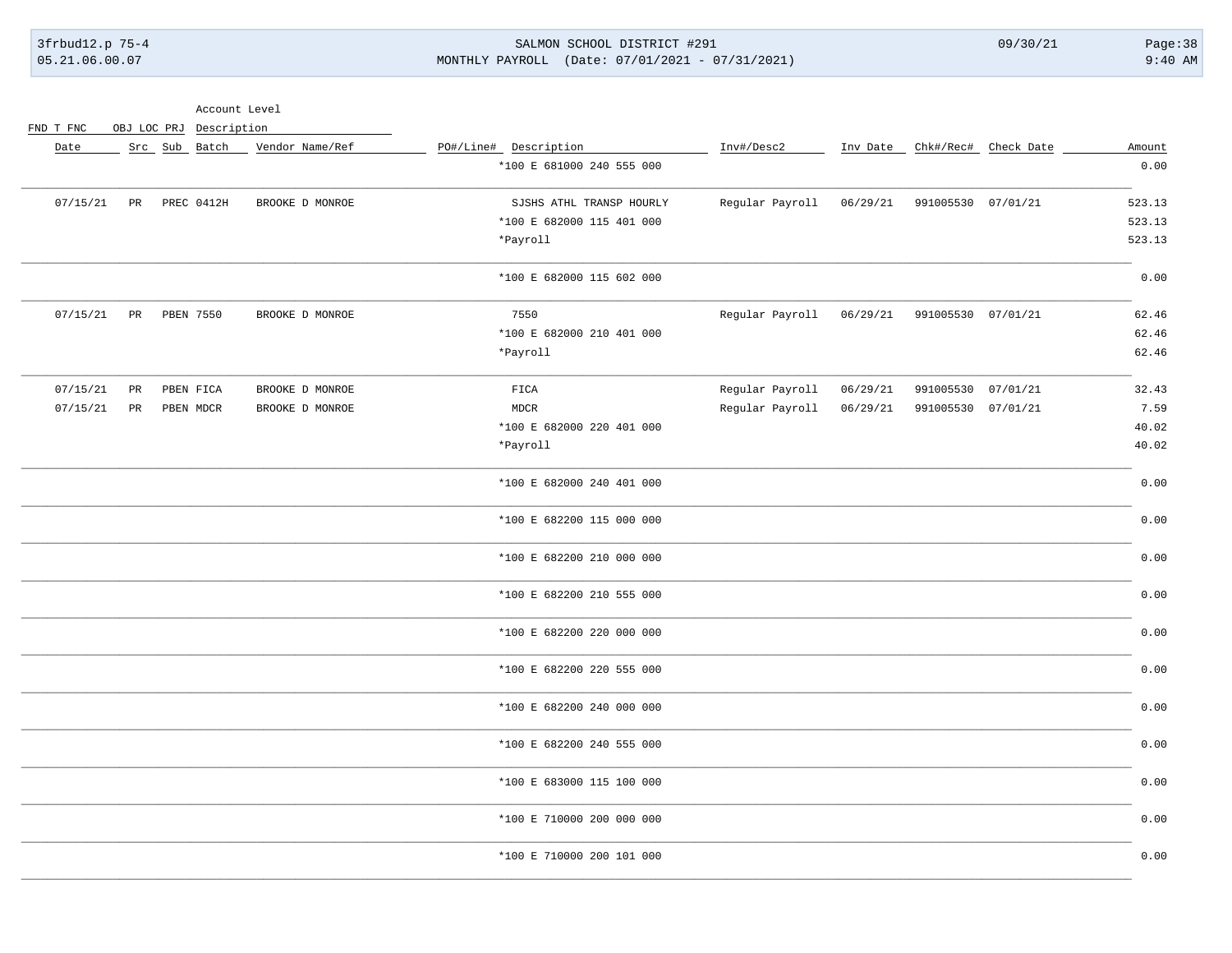3frbud12.p 75-4 05.21.06.00.07

### SALMON SCHOOL DISTRICT #291 MONTHLY PAYROLL (Date: 07/01/2021 - 07/31/2021)

 $09/30/21$ 

Account Level

| Date     |             | Src Sub Batch | Vendor Name/Ref | PO#/Line# Description     | Inv#/Desc2      | Inv Date |                    | Chk#/Rec# Check Date | Amount |
|----------|-------------|---------------|-----------------|---------------------------|-----------------|----------|--------------------|----------------------|--------|
|          |             |               |                 | *100 E 681000 240 555 000 |                 |          |                    |                      | 0.00   |
| 07/15/21 | $_{\rm PR}$ | PREC 0412H    | BROOKE D MONROE | SJSHS ATHL TRANSP HOURLY  | Regular Payroll | 06/29/21 | 991005530 07/01/21 |                      | 523.13 |
|          |             |               |                 | *100 E 682000 115 401 000 |                 |          |                    |                      | 523.13 |
|          |             |               |                 | *Payroll                  |                 |          |                    |                      | 523.13 |
|          |             |               |                 | *100 E 682000 115 602 000 |                 |          |                    |                      | 0.00   |
| 07/15/21 | PR          | PBEN 7550     | BROOKE D MONROE | 7550                      | Regular Payroll | 06/29/21 | 991005530 07/01/21 |                      | 62.46  |
|          |             |               |                 | *100 E 682000 210 401 000 |                 |          |                    |                      | 62.46  |
|          |             |               |                 | *Payroll                  |                 |          |                    |                      | 62.46  |
| 07/15/21 | PR          | PBEN FICA     | BROOKE D MONROE | FICA                      | Regular Payroll | 06/29/21 | 991005530          | 07/01/21             | 32.43  |
| 07/15/21 | PR          | PBEN MDCR     | BROOKE D MONROE | <b>MDCR</b>               | Regular Payroll | 06/29/21 | 991005530 07/01/21 |                      | 7.59   |
|          |             |               |                 | *100 E 682000 220 401 000 |                 |          |                    |                      | 40.02  |
|          |             |               |                 | *Payroll                  |                 |          |                    |                      | 40.02  |
|          |             |               |                 | *100 E 682000 240 401 000 |                 |          |                    |                      | 0.00   |
|          |             |               |                 | *100 E 682200 115 000 000 |                 |          |                    |                      | 0.00   |
|          |             |               |                 | *100 E 682200 210 000 000 |                 |          |                    |                      | 0.00   |
|          |             |               |                 | *100 E 682200 210 555 000 |                 |          |                    |                      | 0.00   |
|          |             |               |                 | *100 E 682200 220 000 000 |                 |          |                    |                      | 0.00   |
|          |             |               |                 | *100 E 682200 220 555 000 |                 |          |                    |                      | 0.00   |
|          |             |               |                 | *100 E 682200 240 000 000 |                 |          |                    |                      | 0.00   |
|          |             |               |                 | *100 E 682200 240 555 000 |                 |          |                    |                      | 0.00   |
|          |             |               |                 | *100 E 683000 115 100 000 |                 |          |                    |                      | 0.00   |
|          |             |               |                 | *100 E 710000 200 000 000 |                 |          |                    |                      | 0.00   |
|          |             |               |                 | *100 E 710000 200 101 000 |                 |          |                    |                      | 0.00   |